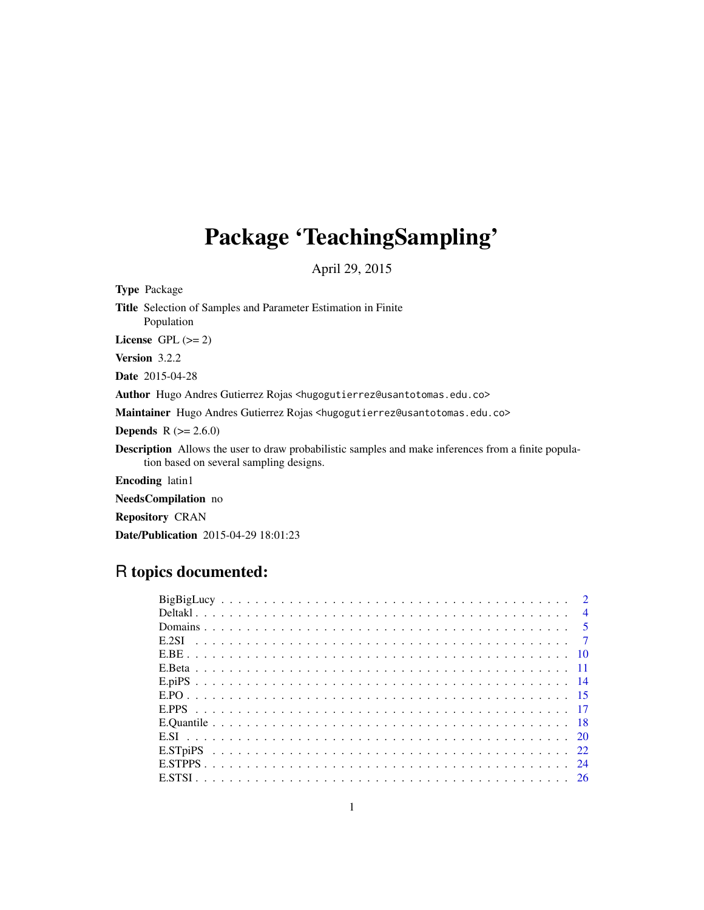# Package 'TeachingSampling'

April 29, 2015

Type Package

Title Selection of Samples and Parameter Estimation in Finite Population

License GPL  $(>= 2)$ 

Version 3.2.2

Date 2015-04-28

Author Hugo Andres Gutierrez Rojas <hugogutierrez@usantotomas.edu.co>

Maintainer Hugo Andres Gutierrez Rojas <hugogutierrez@usantotomas.edu.co>

**Depends** R  $(>= 2.6.0)$ 

Description Allows the user to draw probabilistic samples and make inferences from a finite population based on several sampling designs.

Encoding latin1

NeedsCompilation no

Repository CRAN

Date/Publication 2015-04-29 18:01:23

## R topics documented:

| $\overline{4}$ |  |
|----------------|--|
|                |  |
|                |  |
|                |  |
|                |  |
|                |  |
|                |  |
|                |  |
|                |  |
|                |  |
|                |  |
| 24             |  |
|                |  |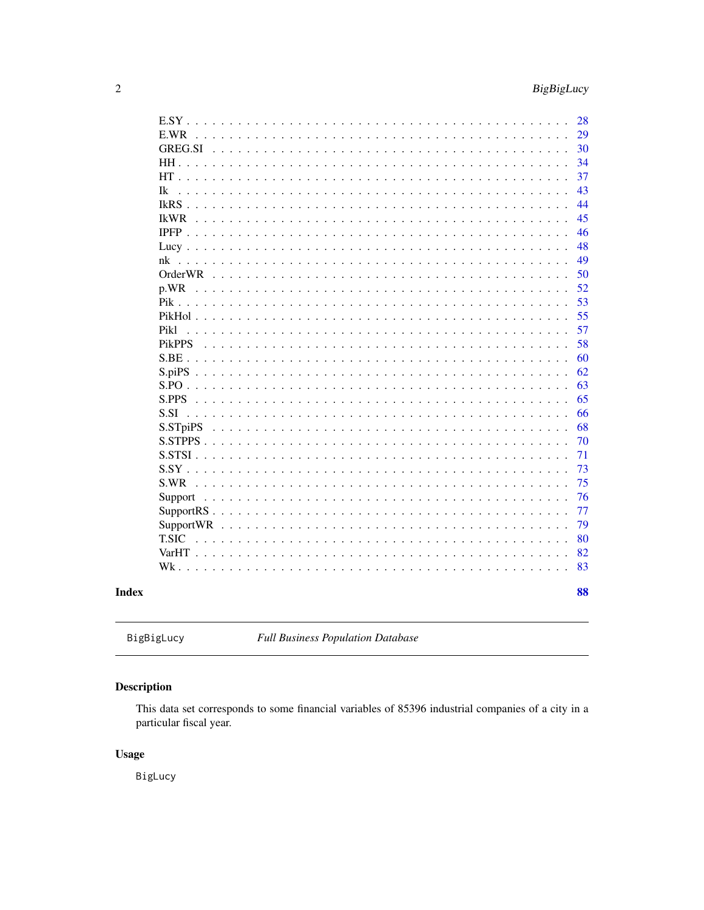<span id="page-1-0"></span>

|                                                                                                                                                                                                                                                                                                                                                                                                   | 28 |
|---------------------------------------------------------------------------------------------------------------------------------------------------------------------------------------------------------------------------------------------------------------------------------------------------------------------------------------------------------------------------------------------------|----|
| E.WR<br>$\mathbf{r}$ and $\mathbf{r}$ and $\mathbf{r}$ and $\mathbf{r}$                                                                                                                                                                                                                                                                                                                           | 29 |
| GREG.SI                                                                                                                                                                                                                                                                                                                                                                                           | 30 |
| HH.<br>$\mathcal{L}$                                                                                                                                                                                                                                                                                                                                                                              | 34 |
| $HT$                                                                                                                                                                                                                                                                                                                                                                                              | 37 |
| Ik<br>$\sim$<br>$\mathbf{1}$ $\mathbf{1}$ $\mathbf{1}$ $\mathbf{1}$                                                                                                                                                                                                                                                                                                                               | 43 |
| $I kRS$<br>$\mathbf{r}$ . The set of the set of the set of the set of the set of the set of the set of the set of the set of the set of the set of the set of the set of the set of the set of the set of the set of the set of the set of t<br>$\begin{array}{cccccccccccccc} . & . & . & . & . & . & . & . & . \end{array}$<br>$\mathbf{1}$ $\mathbf{1}$ $\mathbf{1}$ $\mathbf{1}$ $\mathbf{1}$ | 44 |
| <b>IkWR</b><br>$\ddot{\phantom{a}}$<br>$\ddot{\phantom{0}}$<br>$\ddot{\phantom{a}}$                                                                                                                                                                                                                                                                                                               | 45 |
| $IPFP$<br>$\mathbf{L}$                                                                                                                                                                                                                                                                                                                                                                            | 46 |
|                                                                                                                                                                                                                                                                                                                                                                                                   | 48 |
| nk                                                                                                                                                                                                                                                                                                                                                                                                | 49 |
| <b>OrderWR</b><br>$\sim$ $\sim$ $\sim$ $\sim$<br>$\mathbb{R}^2$<br>$\mathbf{r}$<br>$\sim$<br>$\mathbf{r}$                                                                                                                                                                                                                                                                                         | 50 |
| p.WR<br>$\mathbf{r}$<br>$\mathbf{r}$<br>$\sim$                                                                                                                                                                                                                                                                                                                                                    | 52 |
| $Pik \ldots$ .<br>$\frac{1}{2}$ . $\frac{1}{2}$ . $\frac{1}{2}$ . $\frac{1}{2}$ . $\frac{1}{2}$ . $\frac{1}{2}$ . $\frac{1}{2}$ . $\frac{1}{2}$<br>$\mathbb{R}^n$<br>$\mathbf{L}$                                                                                                                                                                                                                 | 53 |
| PikHol<br>$\mathbf{L}$<br>$\mathbf{L}^{\text{max}}$<br>$\mathbf{L}^{\mathbf{r}}$<br>$\mathbf{r}$<br>$\overline{a}$<br>$\overline{a}$                                                                                                                                                                                                                                                              | 55 |
| Pik1<br>$\mathbf{r}$<br>$\sim$<br>$\sim$<br>$\mathbf{L}$<br>$\ddot{\phantom{0}}$<br>$\ddot{\phantom{0}}$<br>$\sim$<br>$\sim$ $\sim$<br>$\mathbf{L}$                                                                                                                                                                                                                                               | 57 |
| PikPPS                                                                                                                                                                                                                                                                                                                                                                                            | 58 |
| S.BE                                                                                                                                                                                                                                                                                                                                                                                              | 60 |
|                                                                                                                                                                                                                                                                                                                                                                                                   | 62 |
|                                                                                                                                                                                                                                                                                                                                                                                                   | 63 |
| $S.PPS$<br>$\mathbf{1}$ $\mathbf{1}$ $\mathbf{1}$                                                                                                                                                                                                                                                                                                                                                 | 65 |
| S.SI                                                                                                                                                                                                                                                                                                                                                                                              | 66 |
| S.STpiPS<br>$\mathbf{1}$ $\mathbf{1}$ $\mathbf{1}$ $\mathbf{1}$                                                                                                                                                                                                                                                                                                                                   | 68 |
| $S. STPPS$                                                                                                                                                                                                                                                                                                                                                                                        | 70 |
| $S. STSI \dots$                                                                                                                                                                                                                                                                                                                                                                                   | 71 |
| $S.SY$ .                                                                                                                                                                                                                                                                                                                                                                                          | 73 |
| S.WR                                                                                                                                                                                                                                                                                                                                                                                              | 75 |
| Support<br>$\sim$ $\sim$                                                                                                                                                                                                                                                                                                                                                                          | 76 |
| $SupportRS$<br>$\ddot{\phantom{a}}$<br>$\ddot{\phantom{a}}$<br>$\ddot{\phantom{a}}$                                                                                                                                                                                                                                                                                                               | 77 |
| <b>SupportWR</b>                                                                                                                                                                                                                                                                                                                                                                                  | 79 |
| <b>T.SIC</b><br>$\mathbf{1}$ $\mathbf{1}$ $\mathbf{1}$ $\mathbf{1}$<br>$\ddot{\phantom{0}}$                                                                                                                                                                                                                                                                                                       | 80 |
| $VarHT$<br>$\ddot{\phantom{0}}$                                                                                                                                                                                                                                                                                                                                                                   | 82 |
| $Wk$ .                                                                                                                                                                                                                                                                                                                                                                                            | 83 |
|                                                                                                                                                                                                                                                                                                                                                                                                   |    |
|                                                                                                                                                                                                                                                                                                                                                                                                   | 88 |

## **Index**

```
BigBigLucy
```
**Full Business Population Database** 

## Description

This data set corresponds to some financial variables of 85396 industrial companies of a city in a particular fiscal year.

## **Usage**

BigLucy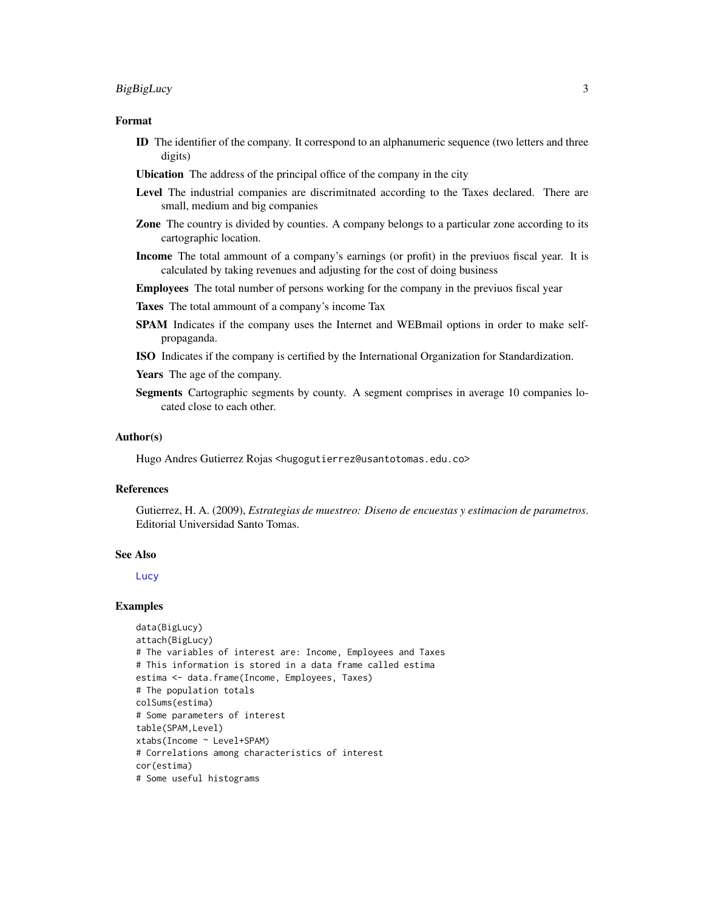## BigBigLucy 3

#### Format

- ID The identifier of the company. It correspond to an alphanumeric sequence (two letters and three digits)
- Ubication The address of the principal office of the company in the city
- Level The industrial companies are discrimitnated according to the Taxes declared. There are small, medium and big companies
- Zone The country is divided by counties. A company belongs to a particular zone according to its cartographic location.
- Income The total ammount of a company's earnings (or profit) in the previuos fiscal year. It is calculated by taking revenues and adjusting for the cost of doing business

Employees The total number of persons working for the company in the previuos fiscal year

- Taxes The total ammount of a company's income Tax
- SPAM Indicates if the company uses the Internet and WEBmail options in order to make selfpropaganda.
- ISO Indicates if the company is certified by the International Organization for Standardization.
- Years The age of the company.
- Segments Cartographic segments by county. A segment comprises in average 10 companies located close to each other.

#### Author(s)

Hugo Andres Gutierrez Rojas <hugogutierrez@usantotomas.edu.co>

#### References

Gutierrez, H. A. (2009), *Estrategias de muestreo: Diseno de encuestas y estimacion de parametros*. Editorial Universidad Santo Tomas.

#### See Also

**[Lucy](#page-47-1)** 

#### Examples

```
data(BigLucy)
attach(BigLucy)
# The variables of interest are: Income, Employees and Taxes
# This information is stored in a data frame called estima
estima <- data.frame(Income, Employees, Taxes)
# The population totals
colSums(estima)
# Some parameters of interest
table(SPAM,Level)
xtabs(Income ~ Level+SPAM)
# Correlations among characteristics of interest
cor(estima)
# Some useful histograms
```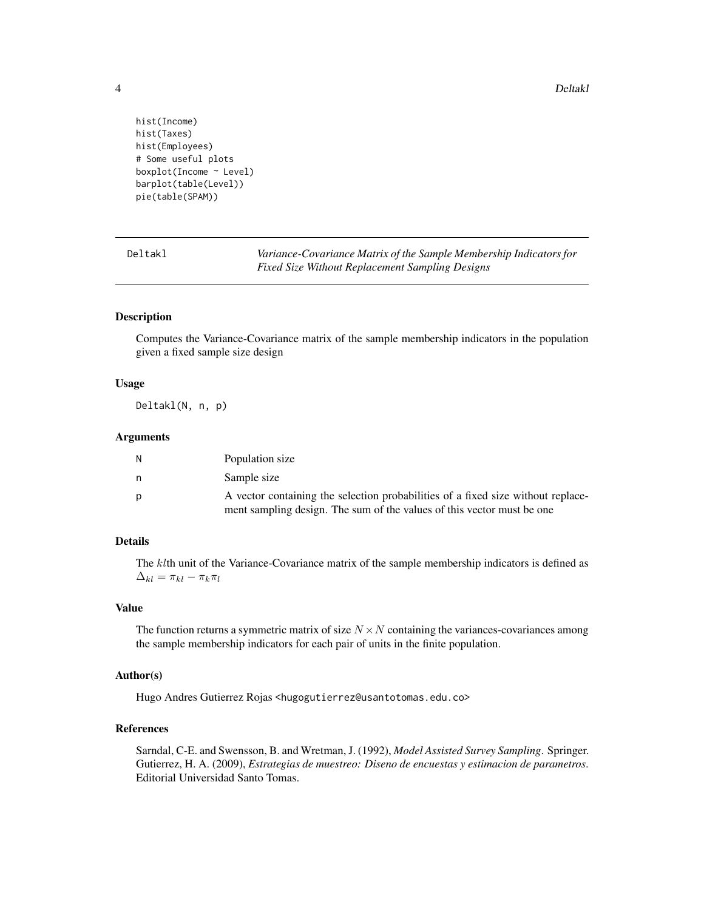4 Deltakl

```
hist(Income)
hist(Taxes)
hist(Employees)
# Some useful plots
boxplot(Income ~ Level)
barplot(table(Level))
pie(table(SPAM))
```
Deltakl *Variance-Covariance Matrix of the Sample Membership Indicators for Fixed Size Without Replacement Sampling Designs*

## Description

Computes the Variance-Covariance matrix of the sample membership indicators in the population given a fixed sample size design

## Usage

Deltakl(N, n, p)

#### **Arguments**

| N | Population size                                                                  |
|---|----------------------------------------------------------------------------------|
| n | Sample size                                                                      |
| D | A vector containing the selection probabilities of a fixed size without replace- |
|   | ment sampling design. The sum of the values of this vector must be one           |

## Details

The klth unit of the Variance-Covariance matrix of the sample membership indicators is defined as  $\Delta_{kl} = \pi_{kl} - \pi_k \pi_l$ 

## Value

The function returns a symmetric matrix of size  $N \times N$  containing the variances-covariances among the sample membership indicators for each pair of units in the finite population.

#### Author(s)

Hugo Andres Gutierrez Rojas <hugogutierrez@usantotomas.edu.co>

## References

Sarndal, C-E. and Swensson, B. and Wretman, J. (1992), *Model Assisted Survey Sampling*. Springer. Gutierrez, H. A. (2009), *Estrategias de muestreo: Diseno de encuestas y estimacion de parametros*. Editorial Universidad Santo Tomas.

<span id="page-3-0"></span>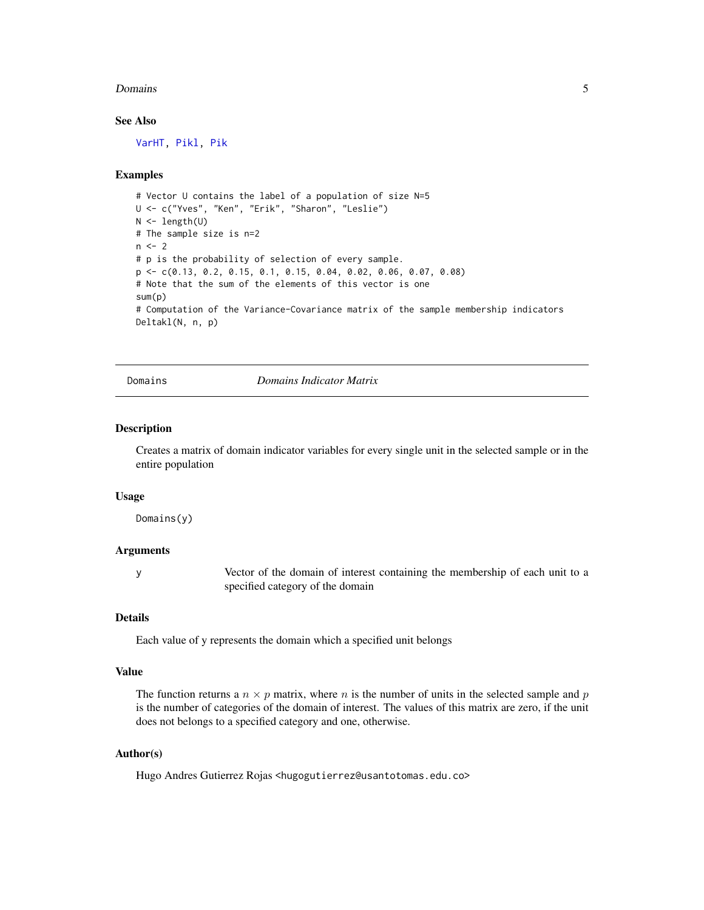#### <span id="page-4-0"></span>Domains 5

## See Also

[VarHT,](#page-81-1) [Pikl,](#page-56-1) [Pik](#page-52-1)

#### Examples

```
# Vector U contains the label of a population of size N=5
U <- c("Yves", "Ken", "Erik", "Sharon", "Leslie")
N < - length(U)
# The sample size is n=2
n < -2# p is the probability of selection of every sample.
p <- c(0.13, 0.2, 0.15, 0.1, 0.15, 0.04, 0.02, 0.06, 0.07, 0.08)
# Note that the sum of the elements of this vector is one
sum(p)
# Computation of the Variance-Covariance matrix of the sample membership indicators
Deltakl(N, n, p)
```
Domains *Domains Indicator Matrix*

## Description

Creates a matrix of domain indicator variables for every single unit in the selected sample or in the entire population

#### Usage

Domains(y)

## Arguments

y Vector of the domain of interest containing the membership of each unit to a specified category of the domain

## Details

Each value of y represents the domain which a specified unit belongs

#### Value

The function returns a  $n \times p$  matrix, where n is the number of units in the selected sample and p is the number of categories of the domain of interest. The values of this matrix are zero, if the unit does not belongs to a specified category and one, otherwise.

## Author(s)

Hugo Andres Gutierrez Rojas <hugogutierrez@usantotomas.edu.co>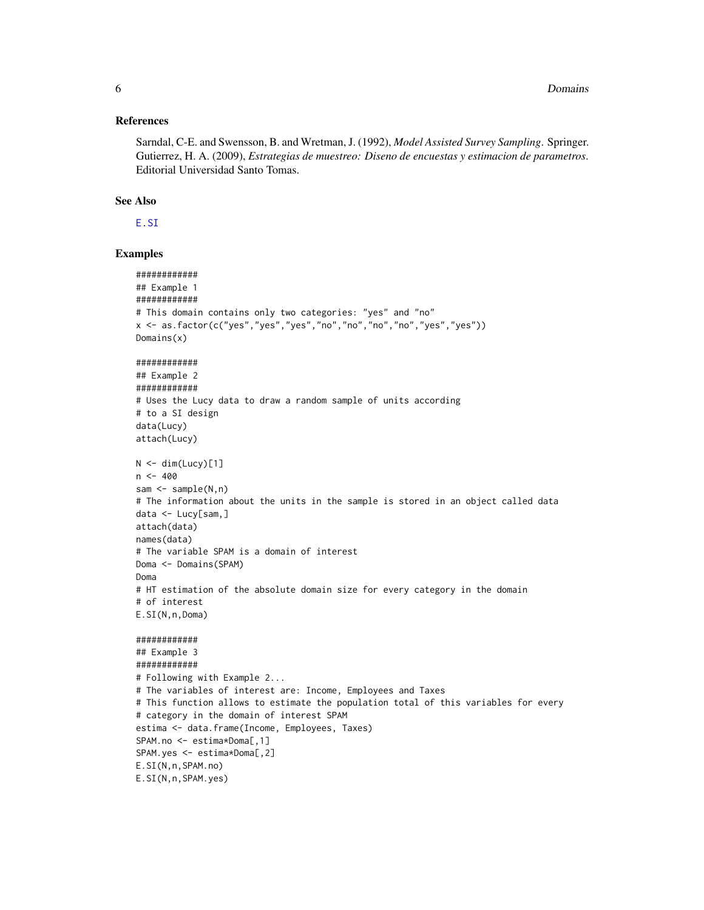#### **References**

Sarndal, C-E. and Swensson, B. and Wretman, J. (1992), Model Assisted Survey Sampling. Springer. Gutierrez, H. A. (2009), Estrategias de muestreo: Diseno de encuestas y estimacion de parametros. Editorial Universidad Santo Tomas.

## **See Also**

E.SI

#### **Examples**

```
###########
## Example 1
############
# This domain contains only two categories: "yes" and "no"
x \leq -a s. factor(c("yes","yes","yes","no","no","no","no","yes","yes"))
Domain(x)############
## Example 2
############
# Uses the Lucy data to draw a random sample of units according
# to a SI design
data(Lucy)
attach(Lucy)
N \leq -\dim(\text{Lucy})[1]n \le -400sam \leq sample(N, n)# The information about the units in the sample is stored in an object called data
data <- Lucy[sam,]
attach(data)
names(data)
# The variable SPAM is a domain of interest
Doma <- Domains(SPAM)
Doma
# HT estimation of the absolute domain size for every category in the domain
# of interest
E.SI(N, n, Doma)############
## Example 3
############
# Following with Example 2...
# The variables of interest are: Income, Employees and Taxes
# This function allows to estimate the population total of this variables for every
# category in the domain of interest SPAM
estima <- data.frame(Income, Employees, Taxes)
SPAM.no <- estima*Doma[,1]
SPAM.yes <- estima*Doma[,2]
E.SI(N, n, SPAM.no)E.SI(N,n,SPAM.yes)
```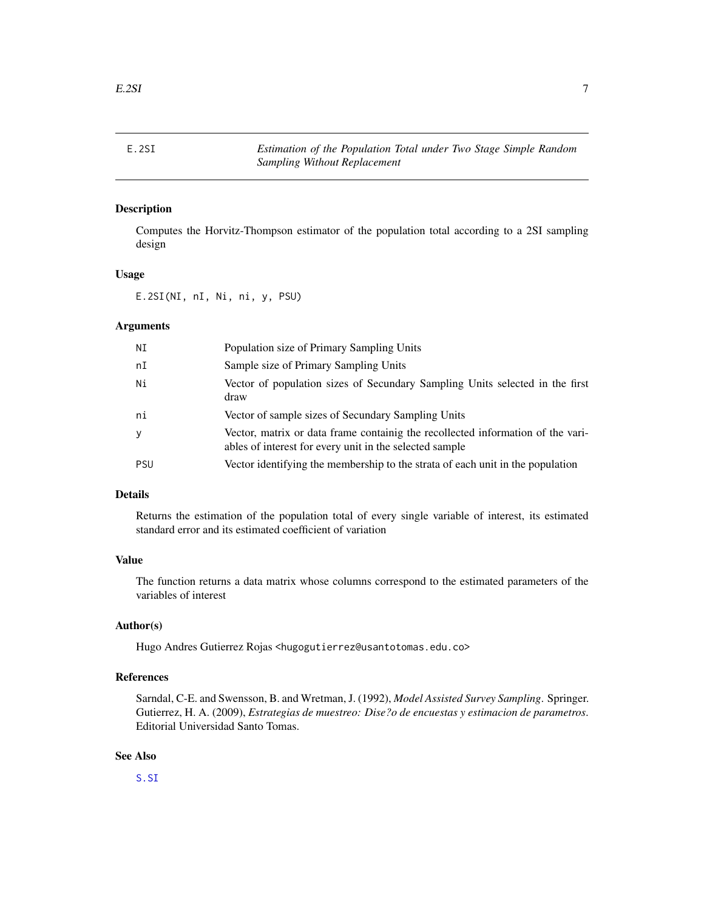<span id="page-6-0"></span>

## Description

Computes the Horvitz-Thompson estimator of the population total according to a 2SI sampling design

#### Usage

E.2SI(NI, nI, Ni, ni, y, PSU)

#### Arguments

| ΝI         | Population size of Primary Sampling Units                                                                                                  |
|------------|--------------------------------------------------------------------------------------------------------------------------------------------|
| nI         | Sample size of Primary Sampling Units                                                                                                      |
| Ni         | Vector of population sizes of Secundary Sampling Units selected in the first<br>draw                                                       |
| ni         | Vector of sample sizes of Secundary Sampling Units                                                                                         |
| У          | Vector, matrix or data frame containig the recollected information of the vari-<br>ables of interest for every unit in the selected sample |
| <b>PSU</b> | Vector identifying the membership to the strata of each unit in the population                                                             |

## Details

Returns the estimation of the population total of every single variable of interest, its estimated standard error and its estimated coefficient of variation

## Value

The function returns a data matrix whose columns correspond to the estimated parameters of the variables of interest

## Author(s)

Hugo Andres Gutierrez Rojas <hugogutierrez@usantotomas.edu.co>

## References

Sarndal, C-E. and Swensson, B. and Wretman, J. (1992), *Model Assisted Survey Sampling*. Springer. Gutierrez, H. A. (2009), *Estrategias de muestreo: Dise?o de encuestas y estimacion de parametros*. Editorial Universidad Santo Tomas.

## See Also

[S.SI](#page-65-1)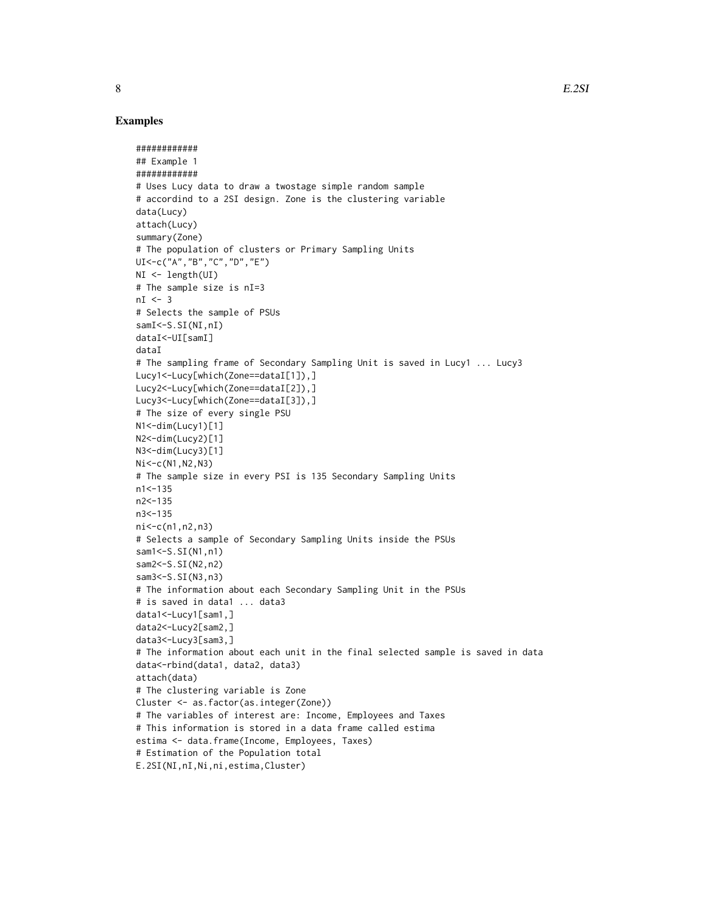#### Examples

```
############
## Example 1
############
# Uses Lucy data to draw a twostage simple random sample
# accordind to a 2SI design. Zone is the clustering variable
data(Lucy)
attach(Lucy)
summary(Zone)
# The population of clusters or Primary Sampling Units
UI<-c("A","B","C","D","E")
NI <- length(UI)
# The sample size is nI=3
nI < -3# Selects the sample of PSUs
samI<-S.SI(NI,nI)
dataI<-UI[samI]
dataI
# The sampling frame of Secondary Sampling Unit is saved in Lucy1 ... Lucy3
Lucy1<-Lucy[which(Zone==dataI[1]),]
Lucy2<-Lucy[which(Zone==dataI[2]),]
Lucy3<-Lucy[which(Zone==dataI[3]),]
# The size of every single PSU
N1<-dim(Lucy1)[1]
N2<-dim(Lucy2)[1]
N3<-dim(Lucy3)[1]
Ni<-c(N1,N2,N3)
# The sample size in every PSI is 135 Secondary Sampling Units
n1 < -135n2<-135
n3<-135
ni<-c(n1,n2,n3)
# Selects a sample of Secondary Sampling Units inside the PSUs
sam1 < - S. SI(N1, n1)
sam2<-S.SI(N2,n2)
sam3<-S.SI(N3,n3)
# The information about each Secondary Sampling Unit in the PSUs
# is saved in data1 ... data3
data1<-Lucy1[sam1,]
data2<-Lucy2[sam2,]
data3<-Lucy3[sam3,]
# The information about each unit in the final selected sample is saved in data
data<-rbind(data1, data2, data3)
attach(data)
# The clustering variable is Zone
Cluster <- as.factor(as.integer(Zone))
# The variables of interest are: Income, Employees and Taxes
# This information is stored in a data frame called estima
estima <- data.frame(Income, Employees, Taxes)
# Estimation of the Population total
E.2SI(NI,nI,Ni,ni,estima,Cluster)
```
8 B. B. 2SI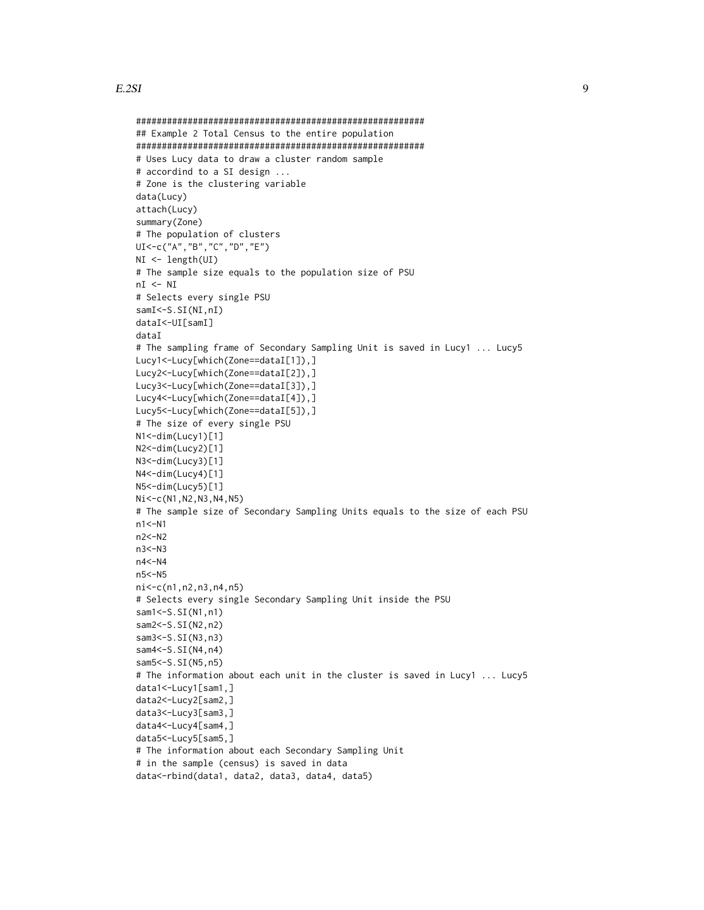#### $E.2SI$  9

```
########################################################
## Example 2 Total Census to the entire population
########################################################
# Uses Lucy data to draw a cluster random sample
# accordind to a SI design ...
# Zone is the clustering variable
data(Lucy)
attach(Lucy)
summary(Zone)
# The population of clusters
UI<-c("A","B","C","D","E")
NI <- length(UI)
# The sample size equals to the population size of PSU
nI < - NI# Selects every single PSU
samI<-S.SI(NI,nI)
dataI<-UI[samI]
dataI
# The sampling frame of Secondary Sampling Unit is saved in Lucy1 ... Lucy5
Lucy1<-Lucy[which(Zone==dataI[1]),]
Lucy2<-Lucy[which(Zone==dataI[2]),]
Lucy3<-Lucy[which(Zone==dataI[3]),]
Lucy4<-Lucy[which(Zone==dataI[4]),]
Lucy5<-Lucy[which(Zone==dataI[5]),]
# The size of every single PSU
N1<-dim(Lucy1)[1]
N2<-dim(Lucy2)[1]
N3<-dim(Lucy3)[1]
N4<-dim(Lucy4)[1]
N5<-dim(Lucy5)[1]
Ni<-c(N1,N2,N3,N4,N5)
# The sample size of Secondary Sampling Units equals to the size of each PSU
n1<-N1
n2<-N2
n3<-N3
n4<-N4
n5<-N5
ni<-c(n1,n2,n3,n4,n5)
# Selects every single Secondary Sampling Unit inside the PSU
sam1 < - S. SI(N1, n1)
sam2<-S.SI(N2,n2)
sam3 < - S. SI(N3, n3)
sam4<-S.SI(N4,n4)
sam5<-S.SI(N5,n5)
# The information about each unit in the cluster is saved in Lucy1 ... Lucy5
data1<-Lucy1[sam1,]
data2<-Lucy2[sam2,]
data3<-Lucy3[sam3,]
data4<-Lucy4[sam4,]
data5<-Lucy5[sam5,]
# The information about each Secondary Sampling Unit
# in the sample (census) is saved in data
```

```
data<-rbind(data1, data2, data3, data4, data5)
```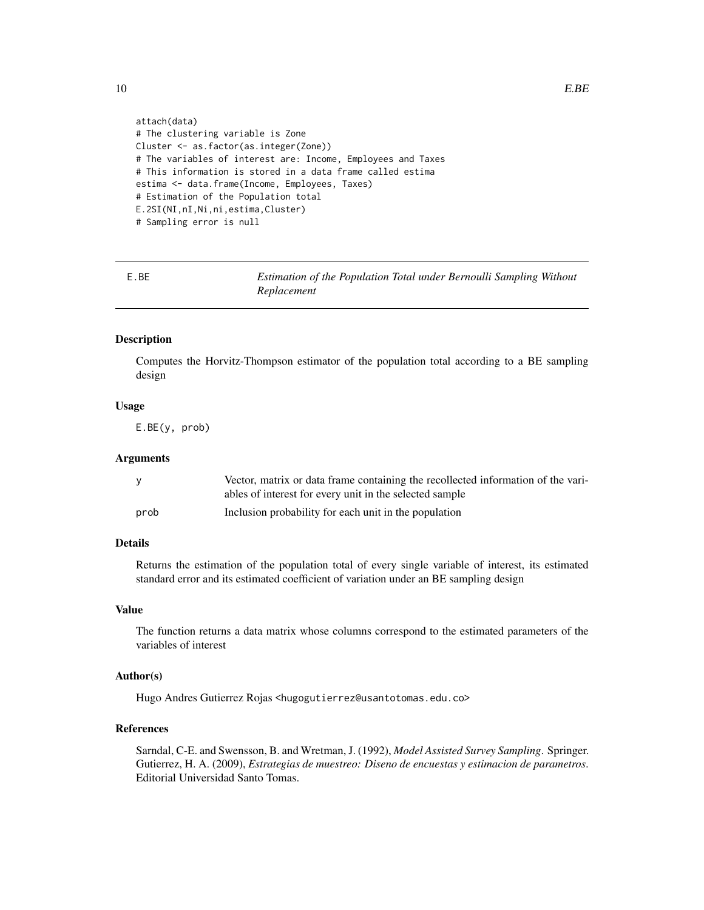```
attach(data)
# The clustering variable is Zone
Cluster <- as.factor(as.integer(Zone))
# The variables of interest are: Income, Employees and Taxes
# This information is stored in a data frame called estima
estima <- data.frame(Income, Employees, Taxes)
# Estimation of the Population total
E.2SI(NI,nI,Ni,ni,estima,Cluster)
# Sampling error is null
```
E.BE *Estimation of the Population Total under Bernoulli Sampling Without Replacement*

#### Description

Computes the Horvitz-Thompson estimator of the population total according to a BE sampling design

## Usage

E.BE(y, prob)

#### **Arguments**

|      | Vector, matrix or data frame containing the recollected information of the vari-<br>ables of interest for every unit in the selected sample |
|------|---------------------------------------------------------------------------------------------------------------------------------------------|
| prob | Inclusion probability for each unit in the population                                                                                       |

## Details

Returns the estimation of the population total of every single variable of interest, its estimated standard error and its estimated coefficient of variation under an BE sampling design

#### Value

The function returns a data matrix whose columns correspond to the estimated parameters of the variables of interest

## Author(s)

Hugo Andres Gutierrez Rojas <hugogutierrez@usantotomas.edu.co>

## References

Sarndal, C-E. and Swensson, B. and Wretman, J. (1992), *Model Assisted Survey Sampling*. Springer. Gutierrez, H. A. (2009), *Estrategias de muestreo: Diseno de encuestas y estimacion de parametros*. Editorial Universidad Santo Tomas.

<span id="page-9-0"></span>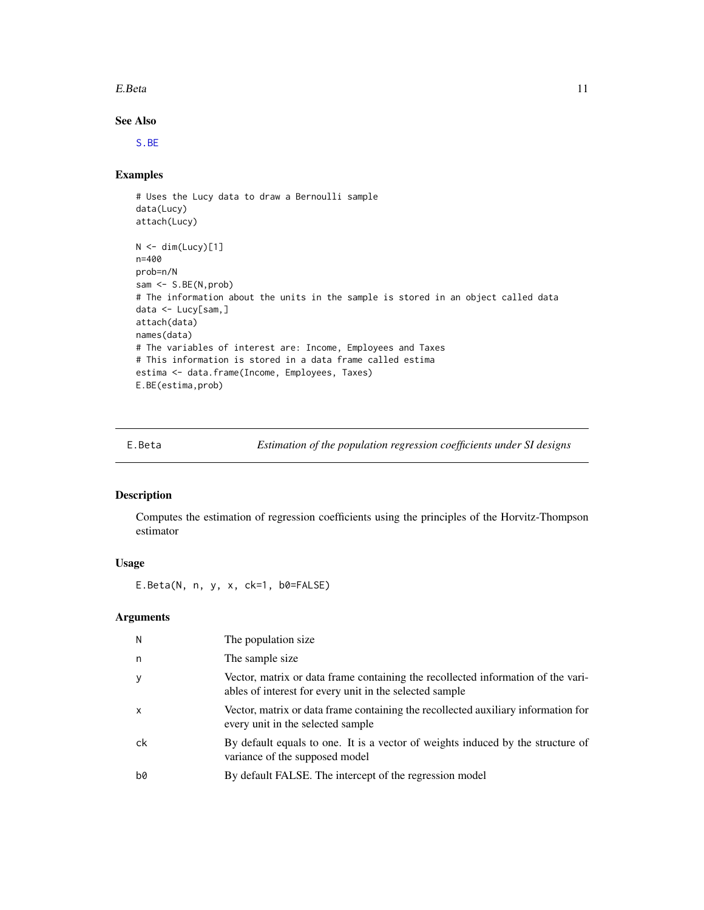#### <span id="page-10-0"></span>E.Beta 11

## See Also

[S.BE](#page-59-1)

## Examples

```
# Uses the Lucy data to draw a Bernoulli sample
data(Lucy)
attach(Lucy)
N < - dim(Lucy)[1]
n=400
prob=n/N
sam <- S.BE(N,prob)
# The information about the units in the sample is stored in an object called data
data <- Lucy[sam,]
attach(data)
names(data)
# The variables of interest are: Income, Employees and Taxes
# This information is stored in a data frame called estima
estima <- data.frame(Income, Employees, Taxes)
E.BE(estima,prob)
```
<span id="page-10-1"></span>

| E.Beta | Estimation of the population regression coefficients under SI designs |  |  |  |
|--------|-----------------------------------------------------------------------|--|--|--|
|        |                                                                       |  |  |  |

## Description

Computes the estimation of regression coefficients using the principles of the Horvitz-Thompson estimator

## Usage

E.Beta(N, n, y, x, ck=1, b0=FALSE)

## Arguments

| N            | The population size.                                                                                                                        |
|--------------|---------------------------------------------------------------------------------------------------------------------------------------------|
| n            | The sample size                                                                                                                             |
| y            | Vector, matrix or data frame containing the recollected information of the vari-<br>ables of interest for every unit in the selected sample |
| $\mathsf{x}$ | Vector, matrix or data frame containing the recollected auxiliary information for<br>every unit in the selected sample                      |
| ck           | By default equals to one. It is a vector of weights induced by the structure of<br>variance of the supposed model                           |
| b0           | By default FALSE. The intercept of the regression model                                                                                     |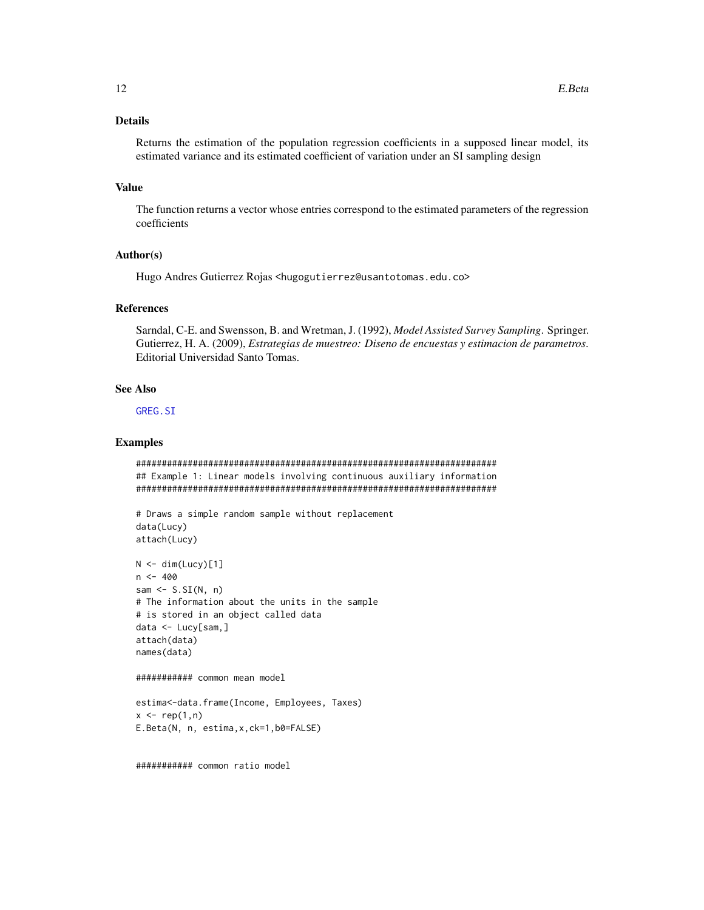## **Details**

Returns the estimation of the population regression coefficients in a supposed linear model, its estimated variance and its estimated coefficient of variation under an SI sampling design

#### **Value**

The function returns a vector whose entries correspond to the estimated parameters of the regression coefficients

#### Author(s)

Hugo Andres Gutierrez Rojas <hugogutierrez@usantotomas.edu.co>

#### **References**

Sarndal, C-E. and Swensson, B. and Wretman, J. (1992), Model Assisted Survey Sampling. Springer. Gutierrez, H. A. (2009), Estrategias de muestreo: Diseno de encuestas y estimacion de parametros. **Editorial Universidad Santo Tomas.** 

#### **See Also**

GREG.SI

## **Examples**

```
## Example 1: Linear models involving continuous auxiliary information
```

```
# Draws a simple random sample without replacement
data(Lucy)
attach(Lucy)
```

```
N \leq dim(Lucy)[1]n < -400sam \leq S.SI(N, n)
# The information about the units in the sample
# is stored in an object called data
data < - Lucy[sam,]
attach(data)
names(data)
```

```
########### common mean model
```

```
estima<-data.frame(Income, Employees, Taxes)
x \leq -rep(1, n)E.Beta(N, n, estima, x, ck=1, b0=FALSE)
```
############ common ratio model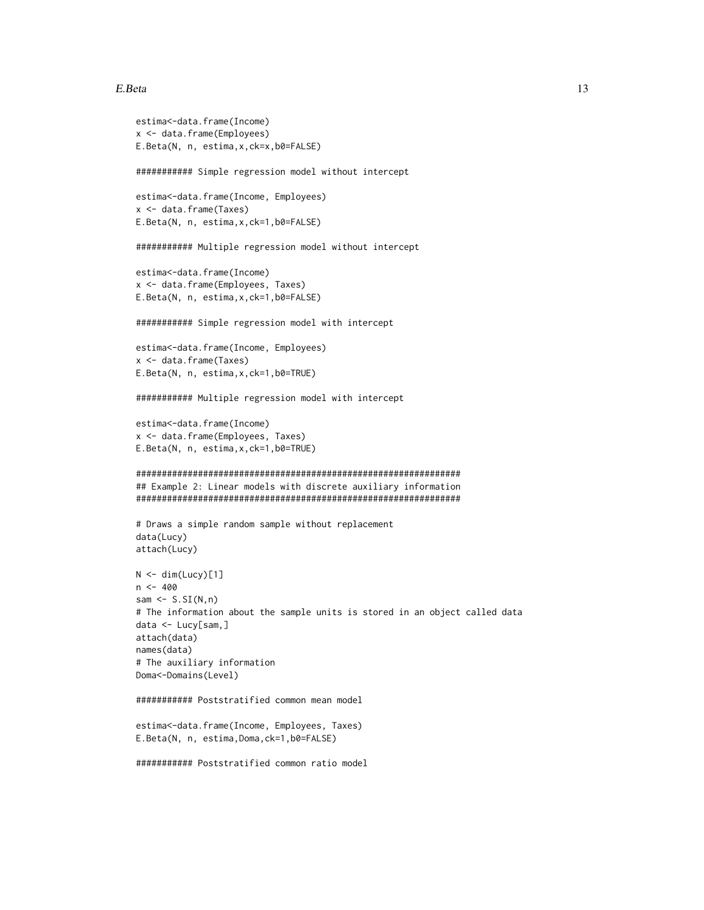## E.Beta

```
estima<-data.frame(Income)
x <- data.frame(Employees)
E.Beta(N, n, estima, x, ck=x, b0=FALSE)
########### Simple regression model without intercept
estima<-data.frame(Income, Employees)
x <- data.frame(Taxes)
E.Beta(N, n, estima, x, ck=1, b0=FALSE)
########### Multiple regression model without intercept
estima<-data.frame(Income)
x <- data.frame(Employees, Taxes)
E.Beta(N, n, estima, x, ck=1, b0=FALSE)
########### Simple regression model with intercept
estima<-data.frame(Income, Employees)
x <- data.frame(Taxes)
E.Beta(N, n, estima, x, ck=1, b0=TRUE)
########### Multiple regression model with intercept
estima<-data.frame(Income)
x <- data.frame(Employees, Taxes)
E.Beta(N, n, estima, x, ck=1, b0=TRUE)
## Example 2: Linear models with discrete auxiliary information
# Draws a simple random sample without replacement
data(Lucy)
attach(Lucy)
N \leq dim(Lucy)[1]n < -400sam \leq S.SI(N, n)# The information about the sample units is stored in an object called data
data < - Lucy[sam,]
attach(data)
names(data)
# The auxiliary information
Doma<-Domains(Level)
############ Poststratified common mean model
estima<-data.frame(Income, Employees, Taxes)
E.Beta(N, n, estima, Doma, ck=1, b0=FALSE)
########### Poststratified common ratio model
```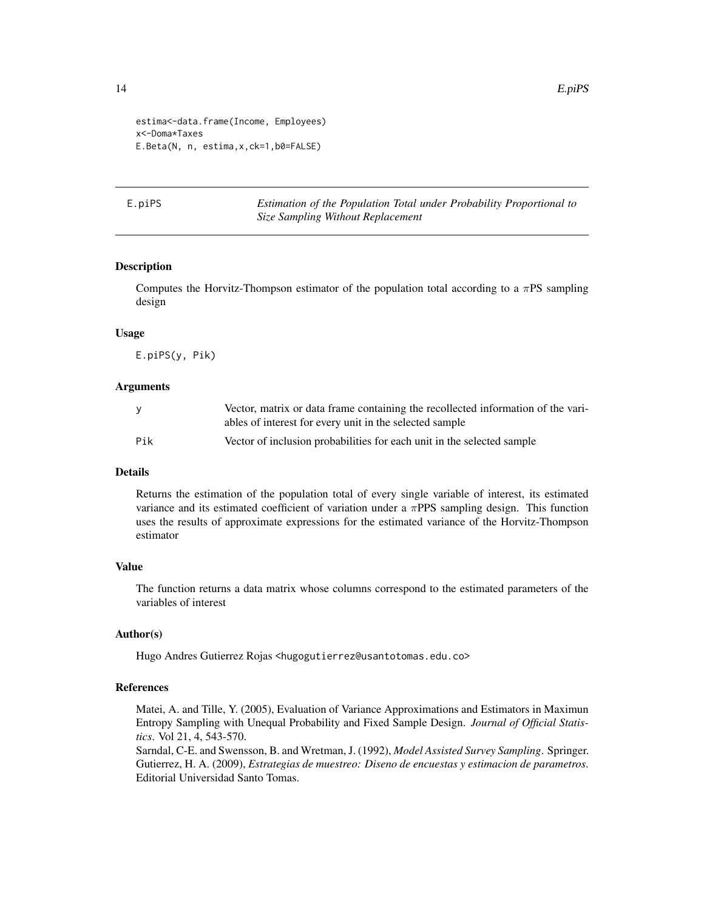```
estima<-data.frame(Income, Employees)
x<-Doma*Taxes
E.Beta(N, n, estima,x,ck=1,b0=FALSE)
```
E.piPS *Estimation of the Population Total under Probability Proportional to Size Sampling Without Replacement*

#### Description

Computes the Horvitz-Thompson estimator of the population total according to a  $\pi$ PS sampling design

## Usage

E.piPS(y, Pik)

#### Arguments

|     | Vector, matrix or data frame containing the recollected information of the vari-<br>ables of interest for every unit in the selected sample |
|-----|---------------------------------------------------------------------------------------------------------------------------------------------|
| Pik | Vector of inclusion probabilities for each unit in the selected sample                                                                      |

## Details

Returns the estimation of the population total of every single variable of interest, its estimated variance and its estimated coefficient of variation under a  $\pi$ PPS sampling design. This function uses the results of approximate expressions for the estimated variance of the Horvitz-Thompson estimator

### Value

The function returns a data matrix whose columns correspond to the estimated parameters of the variables of interest

#### Author(s)

Hugo Andres Gutierrez Rojas <hugogutierrez@usantotomas.edu.co>

#### References

Matei, A. and Tille, Y. (2005), Evaluation of Variance Approximations and Estimators in Maximun Entropy Sampling with Unequal Probability and Fixed Sample Design. *Journal of Official Statistics*. Vol 21, 4, 543-570.

Sarndal, C-E. and Swensson, B. and Wretman, J. (1992), *Model Assisted Survey Sampling*. Springer. Gutierrez, H. A. (2009), *Estrategias de muestreo: Diseno de encuestas y estimacion de parametros*. Editorial Universidad Santo Tomas.

<span id="page-13-0"></span>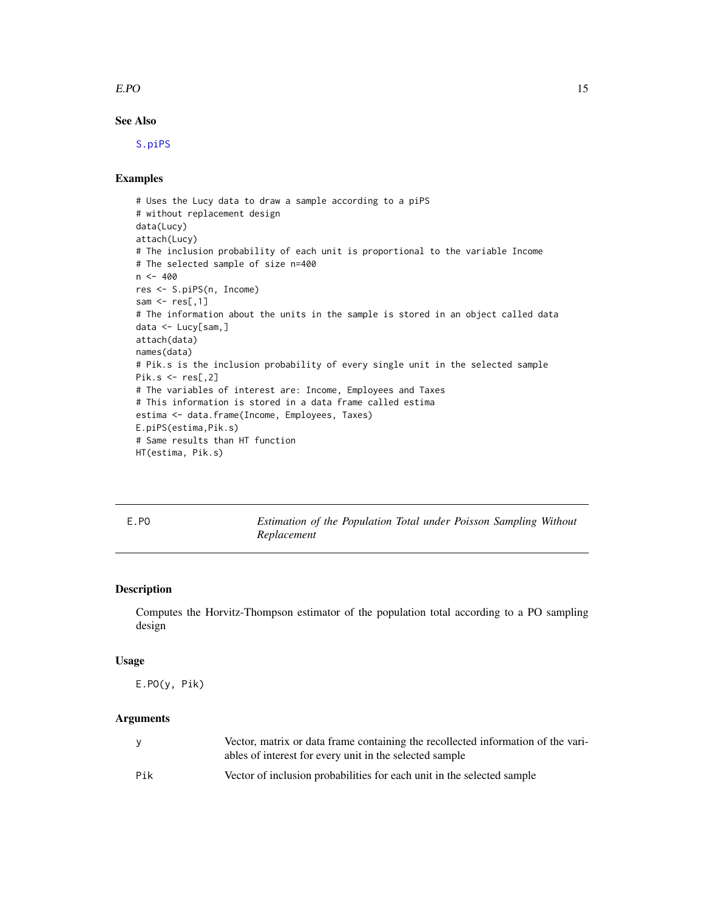#### <span id="page-14-0"></span> $E.PO$  15

## See Also

[S.piPS](#page-61-1)

## Examples

```
# Uses the Lucy data to draw a sample according to a piPS
# without replacement design
data(Lucy)
attach(Lucy)
# The inclusion probability of each unit is proportional to the variable Income
# The selected sample of size n=400
n < -400res <- S.piPS(n, Income)
sam \leq res[,1]
# The information about the units in the sample is stored in an object called data
data <- Lucy[sam,]
attach(data)
names(data)
# Pik.s is the inclusion probability of every single unit in the selected sample
Pik.s \leftarrow res[, 2]# The variables of interest are: Income, Employees and Taxes
# This information is stored in a data frame called estima
estima <- data.frame(Income, Employees, Taxes)
E.piPS(estima,Pik.s)
# Same results than HT function
HT(estima, Pik.s)
```
E.PO *Estimation of the Population Total under Poisson Sampling Without Replacement*

## Description

Computes the Horvitz-Thompson estimator of the population total according to a PO sampling design

#### Usage

E.PO(y, Pik)

#### Arguments

| <b>V</b> | Vector, matrix or data frame containing the recollected information of the vari-<br>ables of interest for every unit in the selected sample |
|----------|---------------------------------------------------------------------------------------------------------------------------------------------|
| Pik      | Vector of inclusion probabilities for each unit in the selected sample                                                                      |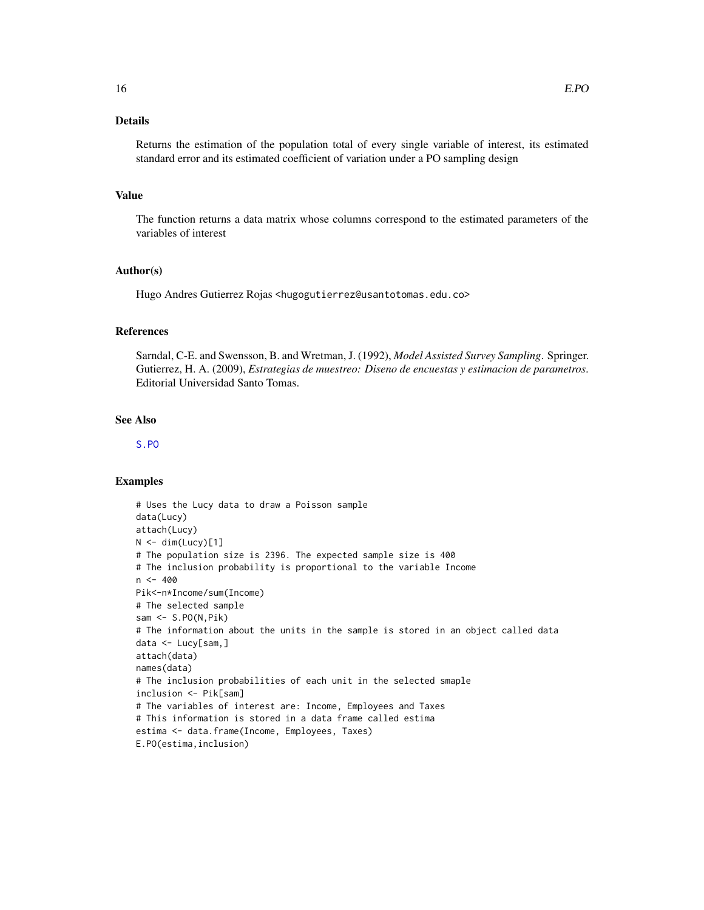## Details

Returns the estimation of the population total of every single variable of interest, its estimated standard error and its estimated coefficient of variation under a PO sampling design

## Value

The function returns a data matrix whose columns correspond to the estimated parameters of the variables of interest

## Author(s)

Hugo Andres Gutierrez Rojas <hugogutierrez@usantotomas.edu.co>

#### References

Sarndal, C-E. and Swensson, B. and Wretman, J. (1992), *Model Assisted Survey Sampling*. Springer. Gutierrez, H. A. (2009), *Estrategias de muestreo: Diseno de encuestas y estimacion de parametros*. Editorial Universidad Santo Tomas.

## See Also

#### [S.PO](#page-62-1)

#### Examples

```
# Uses the Lucy data to draw a Poisson sample
data(Lucy)
attach(Lucy)
N < - dim(Lucy)[1]
# The population size is 2396. The expected sample size is 400
# The inclusion probability is proportional to the variable Income
n < -400Pik<-n*Income/sum(Income)
# The selected sample
sam <- S.PO(N,Pik)
# The information about the units in the sample is stored in an object called data
data <- Lucy[sam,]
attach(data)
names(data)
# The inclusion probabilities of each unit in the selected smaple
inclusion <- Pik[sam]
# The variables of interest are: Income, Employees and Taxes
# This information is stored in a data frame called estima
estima <- data.frame(Income, Employees, Taxes)
E.PO(estima,inclusion)
```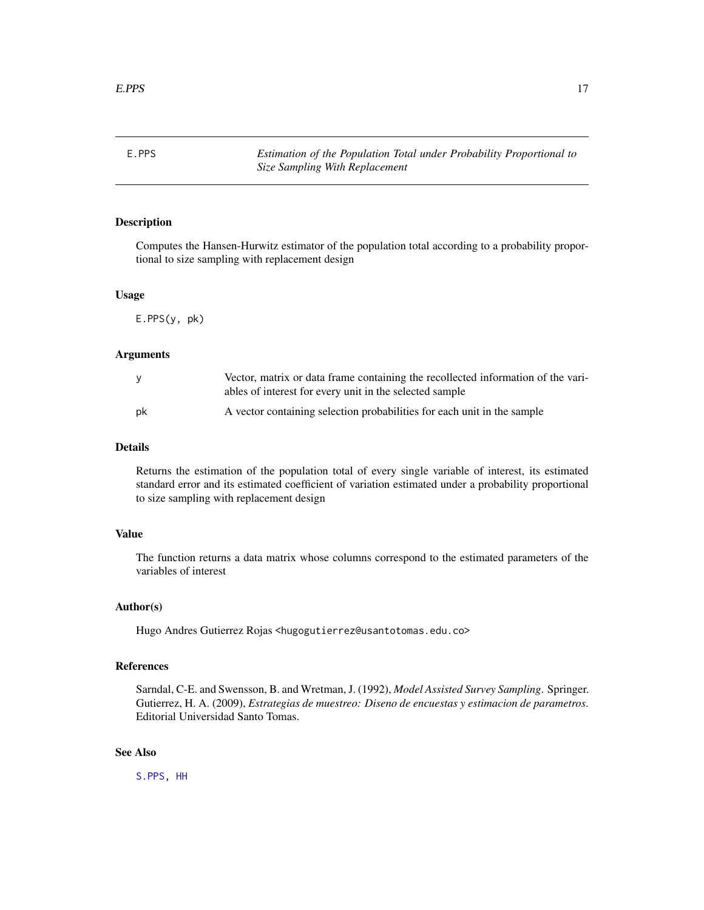<span id="page-16-0"></span>E.PPS *Estimation of the Population Total under Probability Proportional to Size Sampling With Replacement*

## Description

Computes the Hansen-Hurwitz estimator of the population total according to a probability proportional to size sampling with replacement design

#### Usage

E.PPS(y, pk)

#### Arguments

|    | Vector, matrix or data frame containing the recollected information of the vari-<br>ables of interest for every unit in the selected sample |
|----|---------------------------------------------------------------------------------------------------------------------------------------------|
| pk | A vector containing selection probabilities for each unit in the sample                                                                     |

## Details

Returns the estimation of the population total of every single variable of interest, its estimated standard error and its estimated coefficient of variation estimated under a probability proportional to size sampling with replacement design

#### Value

The function returns a data matrix whose columns correspond to the estimated parameters of the variables of interest

## Author(s)

Hugo Andres Gutierrez Rojas <hugogutierrez@usantotomas.edu.co>

## References

Sarndal, C-E. and Swensson, B. and Wretman, J. (1992), *Model Assisted Survey Sampling*. Springer. Gutierrez, H. A. (2009), *Estrategias de muestreo: Diseno de encuestas y estimacion de parametros*. Editorial Universidad Santo Tomas.

## See Also

[S.PPS,](#page-64-1) [HH](#page-33-1)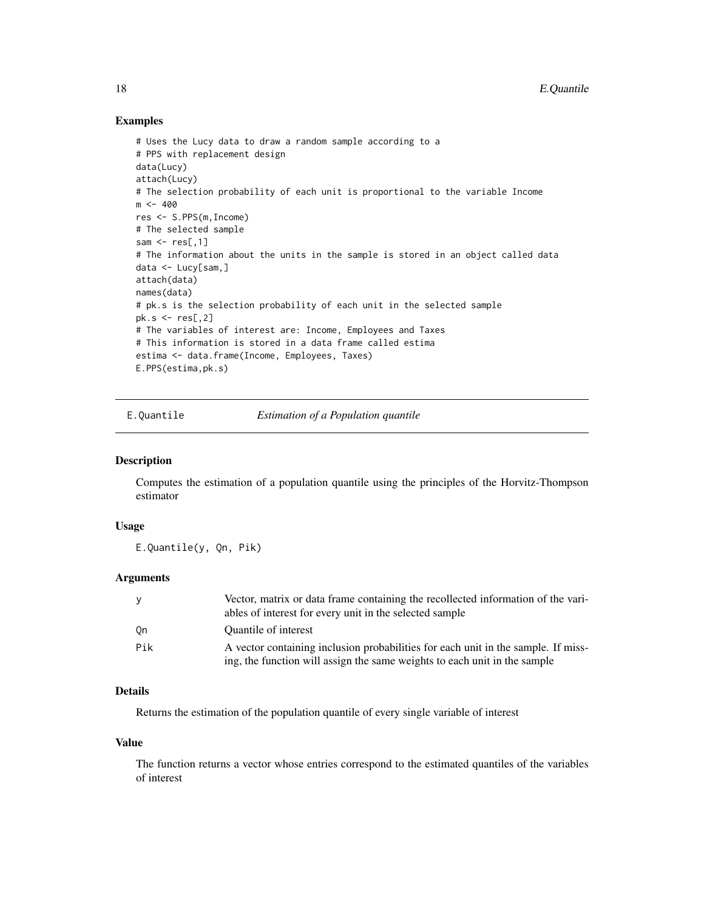## Examples

```
# Uses the Lucy data to draw a random sample according to a
# PPS with replacement design
data(Lucy)
attach(Lucy)
# The selection probability of each unit is proportional to the variable Income
m < -400res <- S.PPS(m,Income)
# The selected sample
sam \leq res[,1]
# The information about the units in the sample is stored in an object called data
data <- Lucy[sam,]
attach(data)
names(data)
# pk.s is the selection probability of each unit in the selected sample
pk.s < - res[, 2]# The variables of interest are: Income, Employees and Taxes
# This information is stored in a data frame called estima
estima <- data.frame(Income, Employees, Taxes)
E.PPS(estima,pk.s)
```
E.Quantile *Estimation of a Population quantile*

#### Description

Computes the estimation of a population quantile using the principles of the Horvitz-Thompson estimator

#### Usage

E.Quantile(y, Qn, Pik)

## **Arguments**

| <b>V</b> | Vector, matrix or data frame containing the recollected information of the vari-<br>ables of interest for every unit in the selected sample                    |
|----------|----------------------------------------------------------------------------------------------------------------------------------------------------------------|
| - On     | Quantile of interest                                                                                                                                           |
| Pik      | A vector containing inclusion probabilities for each unit in the sample. If miss-<br>ing, the function will assign the same weights to each unit in the sample |

## Details

Returns the estimation of the population quantile of every single variable of interest

#### Value

The function returns a vector whose entries correspond to the estimated quantiles of the variables of interest

<span id="page-17-0"></span>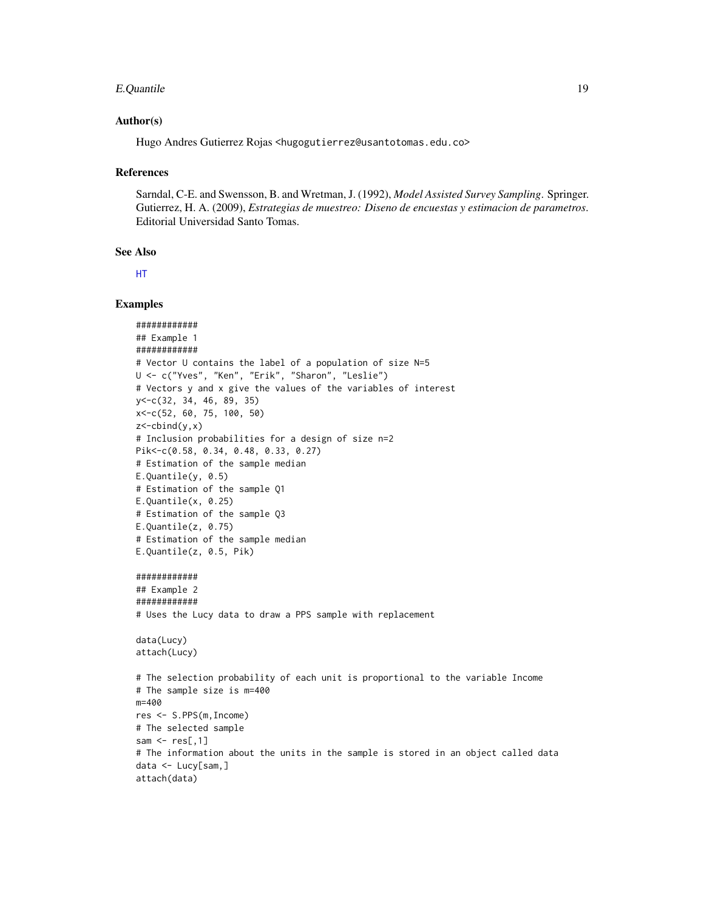#### E.Quantile 19

#### Author(s)

Hugo Andres Gutierrez Rojas <hugogutierrez@usantotomas.edu.co>

#### References

Sarndal, C-E. and Swensson, B. and Wretman, J. (1992), *Model Assisted Survey Sampling*. Springer. Gutierrez, H. A. (2009), *Estrategias de muestreo: Diseno de encuestas y estimacion de parametros*. Editorial Universidad Santo Tomas.

## See Also

[HT](#page-36-1)

## Examples

```
############
## Example 1
############
# Vector U contains the label of a population of size N=5
U <- c("Yves", "Ken", "Erik", "Sharon", "Leslie")
# Vectors y and x give the values of the variables of interest
y<-c(32, 34, 46, 89, 35)
x<-c(52, 60, 75, 100, 50)
z<-cbind(y,x)
# Inclusion probabilities for a design of size n=2
Pik<-c(0.58, 0.34, 0.48, 0.33, 0.27)
# Estimation of the sample median
E.Quantile(y, 0.5)
# Estimation of the sample Q1
E.Quantile(x, 0.25)
# Estimation of the sample Q3
E.Quantile(z, 0.75)
# Estimation of the sample median
E.Quantile(z, 0.5, Pik)
############
## Example 2
############
# Uses the Lucy data to draw a PPS sample with replacement
data(Lucy)
attach(Lucy)
# The selection probability of each unit is proportional to the variable Income
# The sample size is m=400
m=400
res <- S.PPS(m,Income)
# The selected sample
sam \leq res[,1]
# The information about the units in the sample is stored in an object called data
data <- Lucy[sam,]
attach(data)
```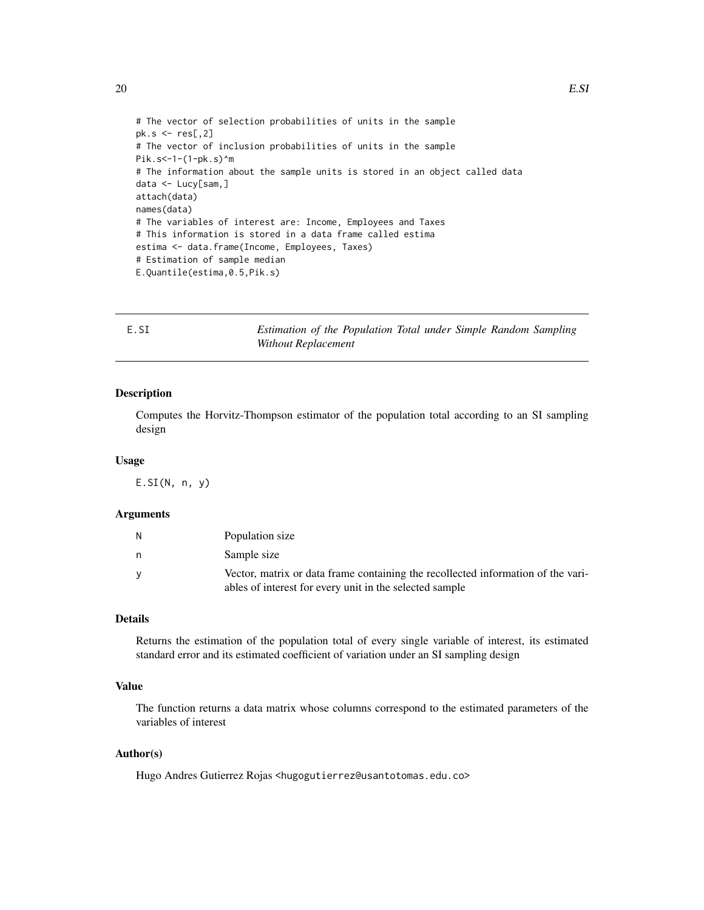```
# The vector of selection probabilities of units in the sample
pk.s < - res[, 2]# The vector of inclusion probabilities of units in the sample
Pik.s<-1-(1-pk.s)^m
# The information about the sample units is stored in an object called data
data <- Lucy[sam,]
attach(data)
names(data)
# The variables of interest are: Income, Employees and Taxes
# This information is stored in a data frame called estima
estima <- data.frame(Income, Employees, Taxes)
# Estimation of sample median
E.Quantile(estima,0.5,Pik.s)
```
<span id="page-19-1"></span>

| E.SI | Estimation of the Population Total under Simple Random Sampling |  |  |
|------|-----------------------------------------------------------------|--|--|
|      | Without Replacement                                             |  |  |

## Description

Computes the Horvitz-Thompson estimator of the population total according to an SI sampling design

#### Usage

 $E.SI(N, n, y)$ 

#### Arguments

|   | Population size                                                                                                                             |
|---|---------------------------------------------------------------------------------------------------------------------------------------------|
| n | Sample size                                                                                                                                 |
|   | Vector, matrix or data frame containing the recollected information of the vari-<br>ables of interest for every unit in the selected sample |

## Details

Returns the estimation of the population total of every single variable of interest, its estimated standard error and its estimated coefficient of variation under an SI sampling design

## Value

The function returns a data matrix whose columns correspond to the estimated parameters of the variables of interest

## Author(s)

Hugo Andres Gutierrez Rojas <hugogutierrez@usantotomas.edu.co>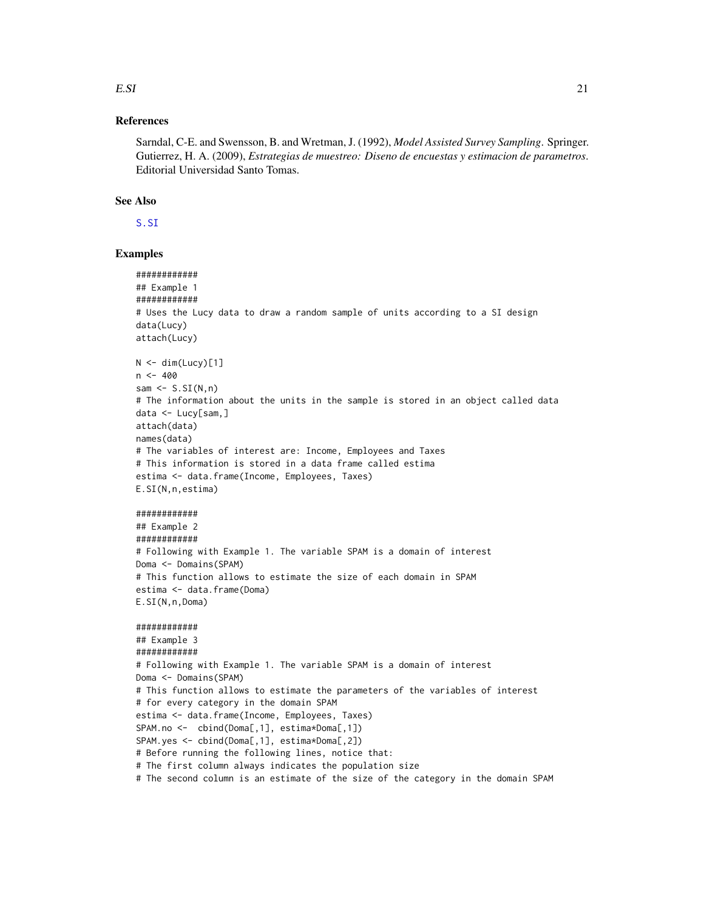## $E.SI$

## **References**

Sarndal, C-E. and Swensson, B. and Wretman, J. (1992), Model Assisted Survey Sampling. Springer. Gutierrez, H. A. (2009), Estrategias de muestreo: Diseno de encuestas y estimacion de parametros. Editorial Universidad Santo Tomas.

## **See Also**

S.SI

#### **Examples**

```
############
## Example 1
############
# Uses the Lucy data to draw a random sample of units according to a SI design
data(Lucy)
attach(Lucy)
N \leq -dim(Lucy)[1]n < -400sam \leq S.SI(N, n)# The information about the units in the sample is stored in an object called data
data < - Lucy[sam,]
attach(data)
names(data)
# The variables of interest are: Income, Employees and Taxes
# This information is stored in a data frame called estima
estima <- data.frame(Income, Employees, Taxes)
E.SI(N,n,estima)############
## Example 2
############
# Following with Example 1. The variable SPAM is a domain of interest
Doma <- Domains(SPAM)
# This function allows to estimate the size of each domain in SPAM
estima <- data.frame(Doma)
E.SI(N, n, Doma)
###########
## Example 3
############
# Following with Example 1. The variable SPAM is a domain of interest
Doma <- Domains(SPAM)
# This function allows to estimate the parameters of the variables of interest
# for every category in the domain SPAM
estima <- data.frame(Income, Employees, Taxes)
SPAM.no <- cbind(Doma[,1], estima*Doma[,1])
SPAM.yes <- cbind(Doma[,1], estima*Doma[,2])
# Before running the following lines, notice that:
# The first column always indicates the population size
# The second column is an estimate of the size of the category in the domain SPAM
```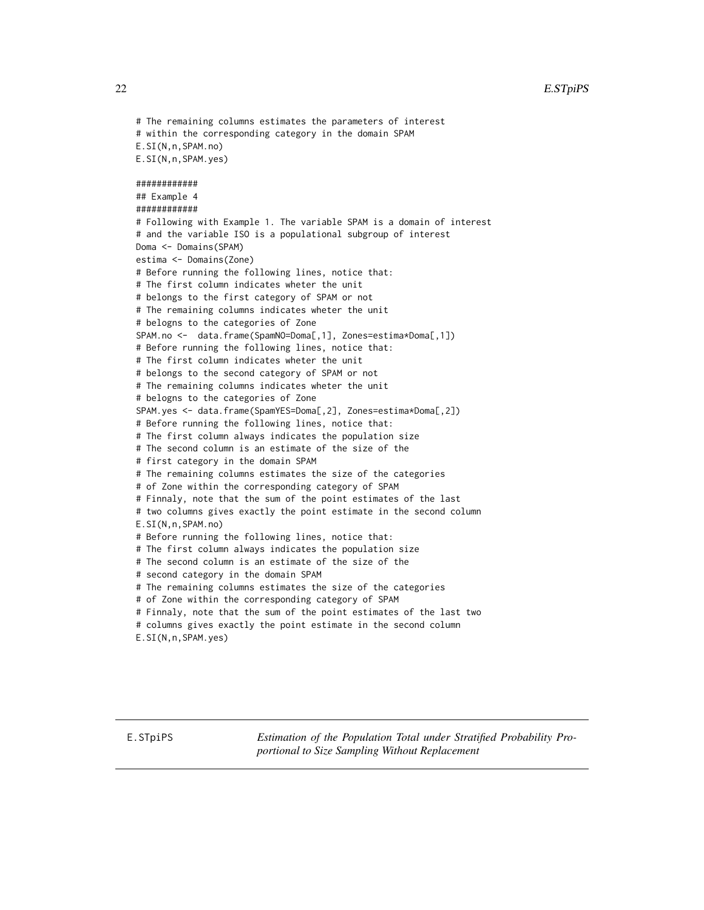<span id="page-21-0"></span>

```
# The remaining columns estimates the parameters of interest
# within the corresponding category in the domain SPAM
E.SI(N,n,SPAM.no)
E.SI(N,n,SPAM.yes)
############
## Example 4
############
# Following with Example 1. The variable SPAM is a domain of interest
# and the variable ISO is a populational subgroup of interest
Doma <- Domains(SPAM)
estima <- Domains(Zone)
# Before running the following lines, notice that:
# The first column indicates wheter the unit
# belongs to the first category of SPAM or not
# The remaining columns indicates wheter the unit
# belogns to the categories of Zone
SPAM.no <- data.frame(SpamNO=Doma[,1], Zones=estima*Doma[,1])
# Before running the following lines, notice that:
# The first column indicates wheter the unit
# belongs to the second category of SPAM or not
# The remaining columns indicates wheter the unit
# belogns to the categories of Zone
SPAM.yes <- data.frame(SpamYES=Doma[,2], Zones=estima*Doma[,2])
# Before running the following lines, notice that:
# The first column always indicates the population size
# The second column is an estimate of the size of the
# first category in the domain SPAM
# The remaining columns estimates the size of the categories
# of Zone within the corresponding category of SPAM
# Finnaly, note that the sum of the point estimates of the last
# two columns gives exactly the point estimate in the second column
E.SI(N,n,SPAM.no)
# Before running the following lines, notice that:
# The first column always indicates the population size
# The second column is an estimate of the size of the
# second category in the domain SPAM
# The remaining columns estimates the size of the categories
# of Zone within the corresponding category of SPAM
# Finnaly, note that the sum of the point estimates of the last two
# columns gives exactly the point estimate in the second column
E.SI(N,n,SPAM.yes)
```
E.STpiPS *Estimation of the Population Total under Stratified Probability Proportional to Size Sampling Without Replacement*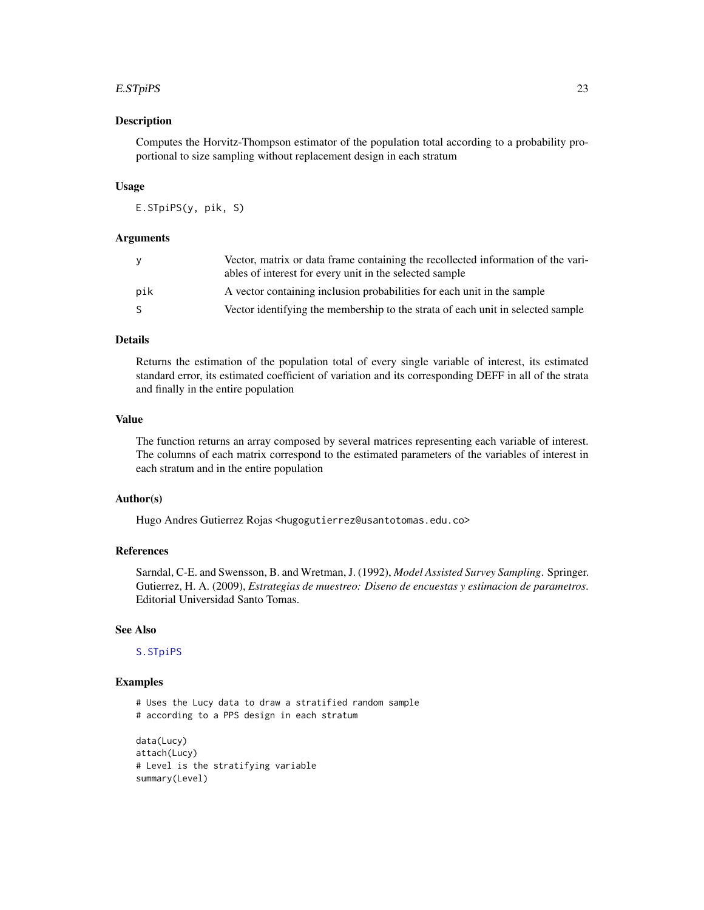#### E.STpiPS 23

#### Description

Computes the Horvitz-Thompson estimator of the population total according to a probability proportional to size sampling without replacement design in each stratum

#### Usage

E.STpiPS(y, pik, S)

#### Arguments

| y   | Vector, matrix or data frame containing the recollected information of the vari-<br>ables of interest for every unit in the selected sample |
|-----|---------------------------------------------------------------------------------------------------------------------------------------------|
| pik | A vector containing inclusion probabilities for each unit in the sample                                                                     |
| -S  | Vector identifying the membership to the strata of each unit in selected sample                                                             |

## Details

Returns the estimation of the population total of every single variable of interest, its estimated standard error, its estimated coefficient of variation and its corresponding DEFF in all of the strata and finally in the entire population

## Value

The function returns an array composed by several matrices representing each variable of interest. The columns of each matrix correspond to the estimated parameters of the variables of interest in each stratum and in the entire population

## Author(s)

Hugo Andres Gutierrez Rojas <hugogutierrez@usantotomas.edu.co>

#### References

Sarndal, C-E. and Swensson, B. and Wretman, J. (1992), *Model Assisted Survey Sampling*. Springer. Gutierrez, H. A. (2009), *Estrategias de muestreo: Diseno de encuestas y estimacion de parametros*. Editorial Universidad Santo Tomas.

#### See Also

### [S.STpiPS](#page-67-1)

#### Examples

# Uses the Lucy data to draw a stratified random sample # according to a PPS design in each stratum

```
data(Lucy)
attach(Lucy)
# Level is the stratifying variable
summary(Level)
```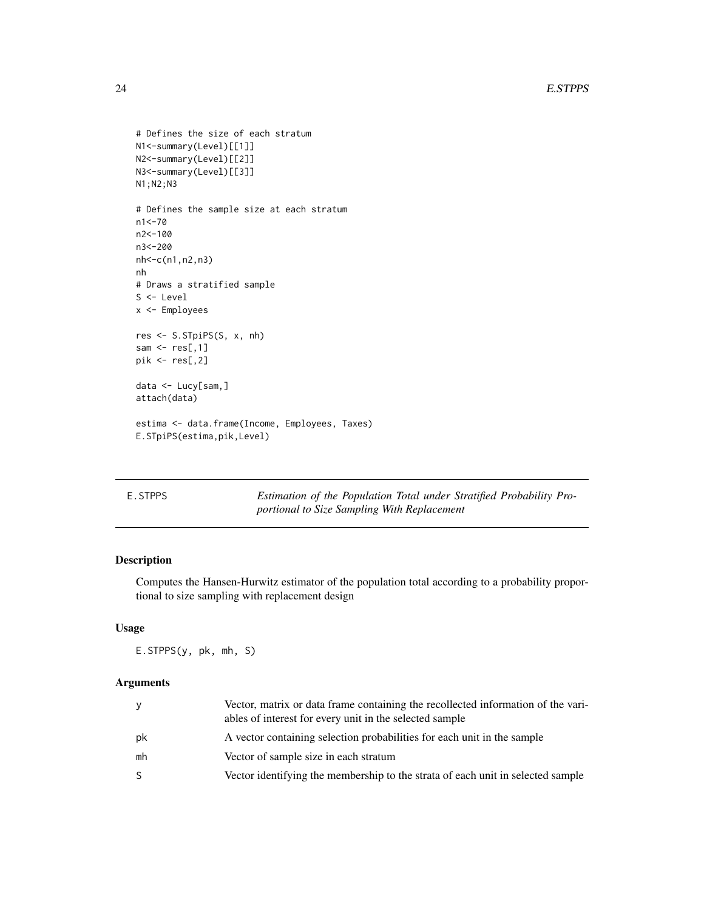```
# Defines the size of each stratum
N1<-summary(Level)[[1]]
N2<-summary(Level)[[2]]
N3<-summary(Level)[[3]]
N1;N2;N3
# Defines the sample size at each stratum
n1<-70
n2<-100
n3<-200
nh<-c(n1,n2,n3)
nh
# Draws a stratified sample
S <- Level
x <- Employees
res <- S.STpiPS(S, x, nh)
sam \leq res[,1]
pik <- res[,2]
data <- Lucy[sam,]
attach(data)
estima <- data.frame(Income, Employees, Taxes)
E.STpiPS(estima,pik,Level)
```

| E.STPPS | Estimation of the Population Total under Stratified Probability Pro- |
|---------|----------------------------------------------------------------------|
|         | portional to Size Sampling With Replacement                          |

## Description

Computes the Hansen-Hurwitz estimator of the population total according to a probability proportional to size sampling with replacement design

#### Usage

E.STPPS(y, pk, mh, S)

## Arguments

| ٧  | Vector, matrix or data frame containing the recollected information of the vari-<br>ables of interest for every unit in the selected sample |
|----|---------------------------------------------------------------------------------------------------------------------------------------------|
| pk | A vector containing selection probabilities for each unit in the sample                                                                     |
| mh | Vector of sample size in each stratum                                                                                                       |
| S. | Vector identifying the membership to the strata of each unit in selected sample                                                             |

<span id="page-23-0"></span>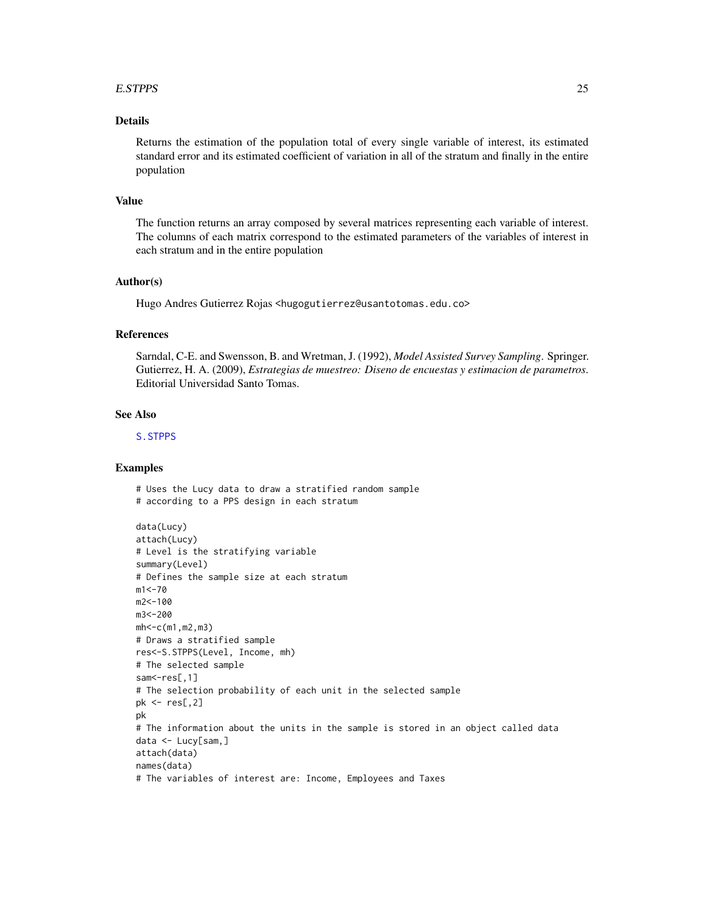#### E.STPPS 25

## Details

Returns the estimation of the population total of every single variable of interest, its estimated standard error and its estimated coefficient of variation in all of the stratum and finally in the entire population

## Value

The function returns an array composed by several matrices representing each variable of interest. The columns of each matrix correspond to the estimated parameters of the variables of interest in each stratum and in the entire population

#### Author(s)

Hugo Andres Gutierrez Rojas <hugogutierrez@usantotomas.edu.co>

## References

Sarndal, C-E. and Swensson, B. and Wretman, J. (1992), *Model Assisted Survey Sampling*. Springer. Gutierrez, H. A. (2009), *Estrategias de muestreo: Diseno de encuestas y estimacion de parametros*. Editorial Universidad Santo Tomas.

#### See Also

[S.STPPS](#page-69-1)

## Examples

# Uses the Lucy data to draw a stratified random sample # according to a PPS design in each stratum

```
data(Lucy)
attach(Lucy)
# Level is the stratifying variable
summary(Level)
# Defines the sample size at each stratum
m1 < -70m2<-100
m3<-200
mh < -c(m1, m2, m3)# Draws a stratified sample
res<-S.STPPS(Level, Income, mh)
# The selected sample
sam <- res[,1]
# The selection probability of each unit in the selected sample
pk < -res[, 2]pk
# The information about the units in the sample is stored in an object called data
data <- Lucy[sam,]
attach(data)
names(data)
# The variables of interest are: Income, Employees and Taxes
```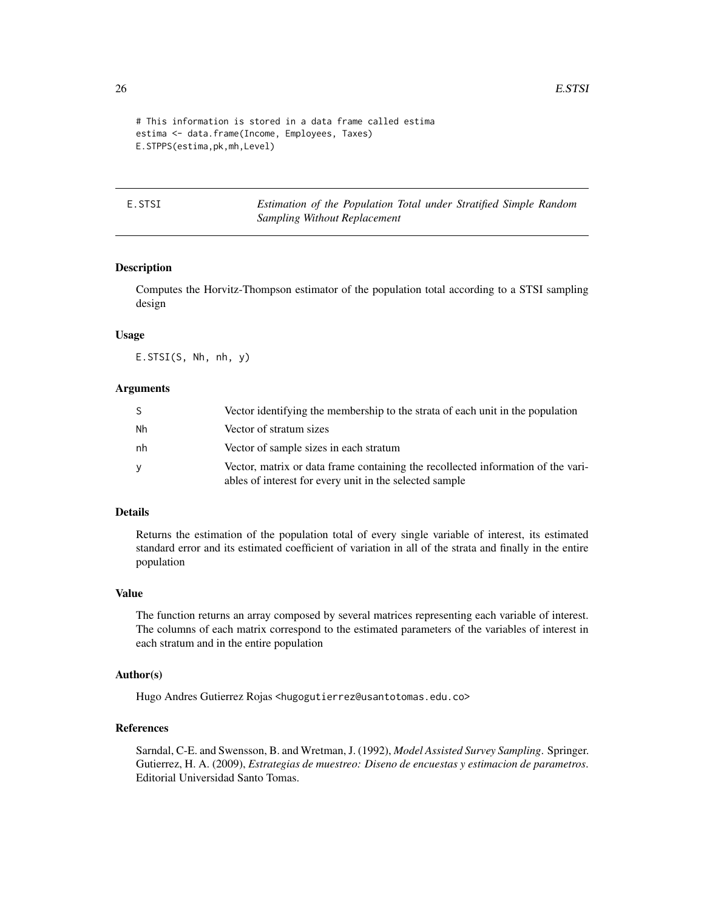```
# This information is stored in a data frame called estima
estima <- data.frame(Income, Employees, Taxes)
E.STPPS(estima,pk,mh,Level)
```
E.STSI *Estimation of the Population Total under Stratified Simple Random Sampling Without Replacement*

## Description

Computes the Horvitz-Thompson estimator of the population total according to a STSI sampling design

## Usage

E.STSI(S, Nh, nh, y)

#### **Arguments**

| <sub>S</sub> | Vector identifying the membership to the strata of each unit in the population                                                              |
|--------------|---------------------------------------------------------------------------------------------------------------------------------------------|
| Nh           | Vector of stratum sizes                                                                                                                     |
| nh           | Vector of sample sizes in each stratum                                                                                                      |
| y            | Vector, matrix or data frame containing the recollected information of the vari-<br>ables of interest for every unit in the selected sample |

#### Details

Returns the estimation of the population total of every single variable of interest, its estimated standard error and its estimated coefficient of variation in all of the strata and finally in the entire population

#### Value

The function returns an array composed by several matrices representing each variable of interest. The columns of each matrix correspond to the estimated parameters of the variables of interest in each stratum and in the entire population

#### Author(s)

Hugo Andres Gutierrez Rojas <hugogutierrez@usantotomas.edu.co>

#### References

Sarndal, C-E. and Swensson, B. and Wretman, J. (1992), *Model Assisted Survey Sampling*. Springer. Gutierrez, H. A. (2009), *Estrategias de muestreo: Diseno de encuestas y estimacion de parametros*. Editorial Universidad Santo Tomas.

<span id="page-25-0"></span>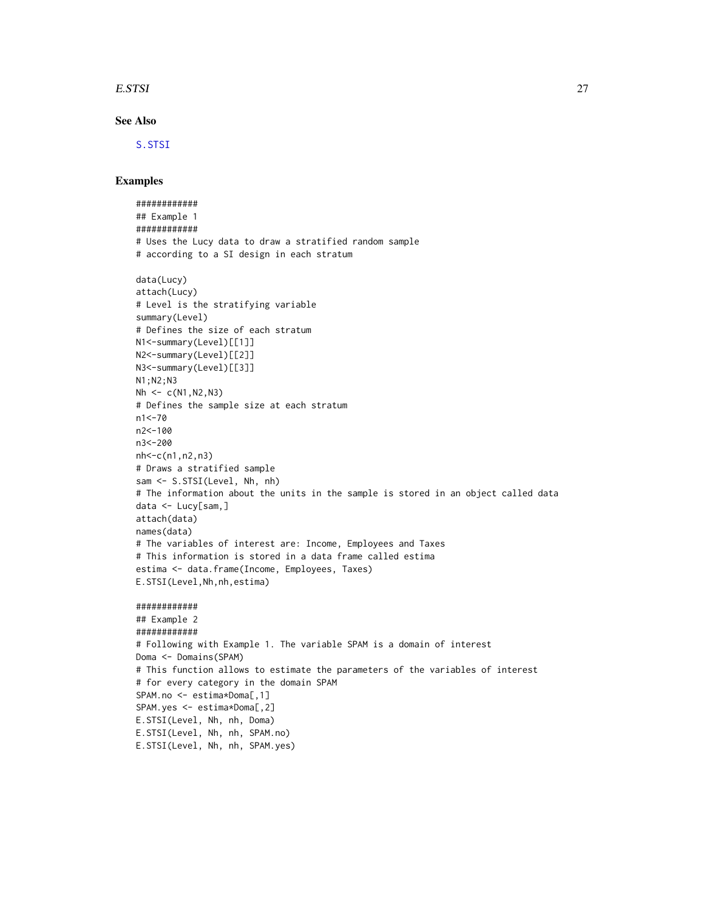#### E.STSI 27

## See Also

[S.STSI](#page-70-1)

#### Examples

############ ## Example 1 ############ # Uses the Lucy data to draw a stratified random sample # according to a SI design in each stratum data(Lucy) attach(Lucy) # Level is the stratifying variable summary(Level) # Defines the size of each stratum N1<-summary(Level)[[1]] N2<-summary(Level)[[2]] N3<-summary(Level)[[3]] N1;N2;N3  $Nh \leftarrow c(N1,N2,N3)$ # Defines the sample size at each stratum n1<-70 n2<-100 n3<-200 nh<-c(n1,n2,n3) # Draws a stratified sample sam <- S.STSI(Level, Nh, nh) # The information about the units in the sample is stored in an object called data data <- Lucy[sam,] attach(data) names(data) # The variables of interest are: Income, Employees and Taxes # This information is stored in a data frame called estima estima <- data.frame(Income, Employees, Taxes) E.STSI(Level,Nh,nh,estima) ############ ## Example 2 ############ # Following with Example 1. The variable SPAM is a domain of interest Doma <- Domains(SPAM) # This function allows to estimate the parameters of the variables of interest # for every category in the domain SPAM SPAM.no <- estima\*Doma[,1] SPAM.yes <- estima\*Doma[,2] E.STSI(Level, Nh, nh, Doma) E.STSI(Level, Nh, nh, SPAM.no) E.STSI(Level, Nh, nh, SPAM.yes)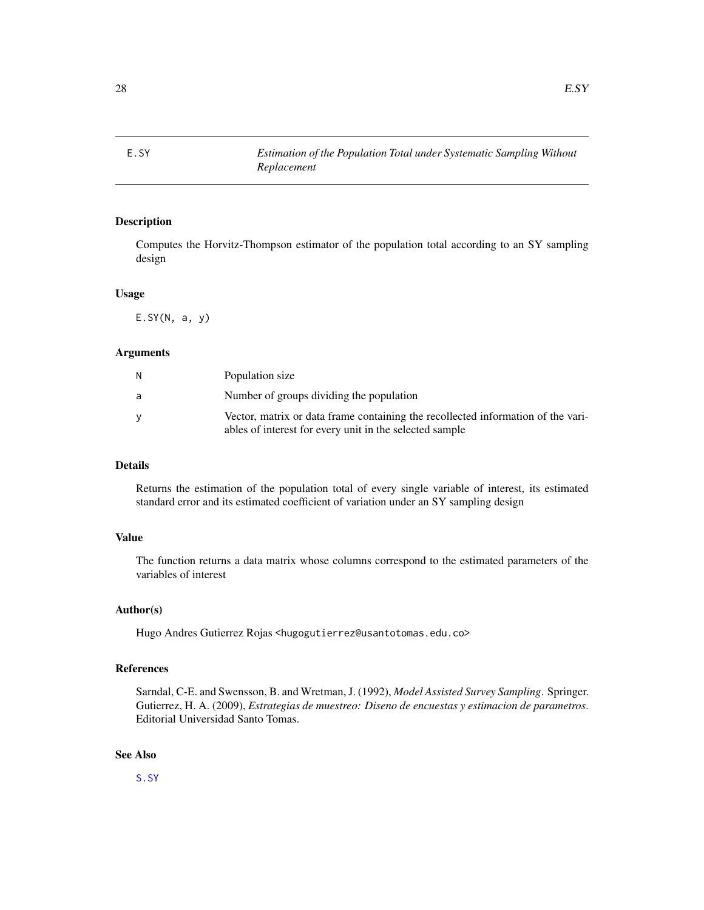<span id="page-27-0"></span>

## Description

Computes the Horvitz-Thompson estimator of the population total according to an SY sampling design

#### Usage

 $E.SY(N, a, y)$ 

## Arguments

| N. | Population size                                                                                                                             |
|----|---------------------------------------------------------------------------------------------------------------------------------------------|
| a  | Number of groups dividing the population                                                                                                    |
|    | Vector, matrix or data frame containing the recollected information of the vari-<br>ables of interest for every unit in the selected sample |

## Details

Returns the estimation of the population total of every single variable of interest, its estimated standard error and its estimated coefficient of variation under an SY sampling design

## Value

The function returns a data matrix whose columns correspond to the estimated parameters of the variables of interest

#### Author(s)

Hugo Andres Gutierrez Rojas <hugogutierrez@usantotomas.edu.co>

## References

Sarndal, C-E. and Swensson, B. and Wretman, J. (1992), *Model Assisted Survey Sampling*. Springer. Gutierrez, H. A. (2009), *Estrategias de muestreo: Diseno de encuestas y estimacion de parametros*. Editorial Universidad Santo Tomas.

## See Also

[S.SY](#page-72-1)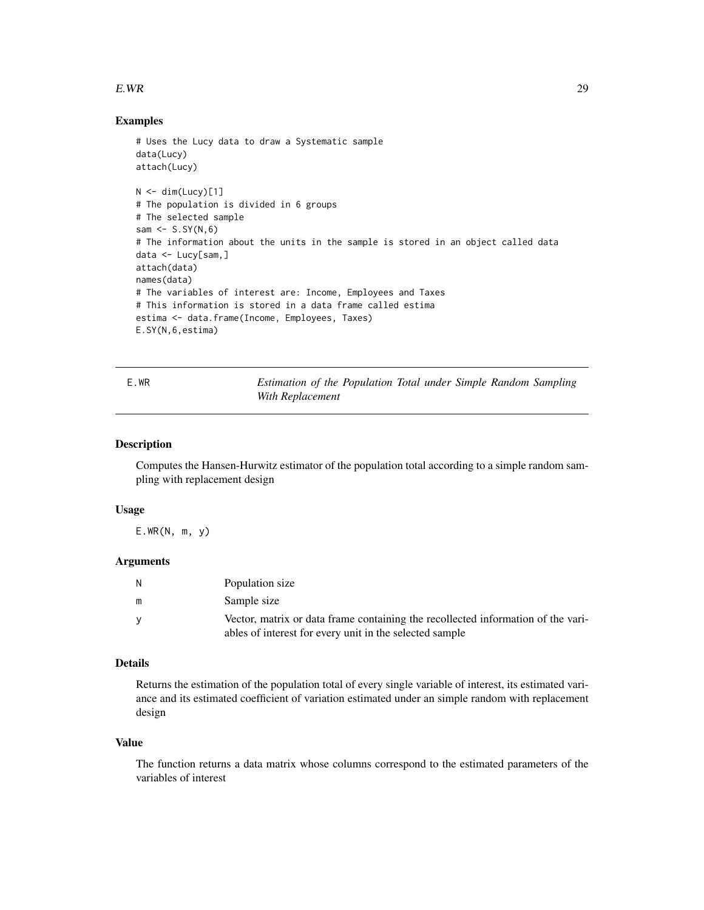#### <span id="page-28-0"></span> $E.WR$  29

#### Examples

```
# Uses the Lucy data to draw a Systematic sample
data(Lucy)
attach(Lucy)
N < - dim(Lucy)[1]
# The population is divided in 6 groups
# The selected sample
sam \leq S.SY(N,6)
# The information about the units in the sample is stored in an object called data
data <- Lucy[sam,]
attach(data)
names(data)
# The variables of interest are: Income, Employees and Taxes
# This information is stored in a data frame called estima
estima <- data.frame(Income, Employees, Taxes)
E.SY(N,6,estima)
```
E.WR *Estimation of the Population Total under Simple Random Sampling With Replacement*

## Description

Computes the Hansen-Hurwitz estimator of the population total according to a simple random sampling with replacement design

### Usage

E.WR(N, m, y)

## Arguments

| N        | Population size                                                                  |
|----------|----------------------------------------------------------------------------------|
| m        | Sample size                                                                      |
| <b>V</b> | Vector, matrix or data frame containing the recollected information of the vari- |
|          | ables of interest for every unit in the selected sample                          |

## Details

Returns the estimation of the population total of every single variable of interest, its estimated variance and its estimated coefficient of variation estimated under an simple random with replacement design

#### Value

The function returns a data matrix whose columns correspond to the estimated parameters of the variables of interest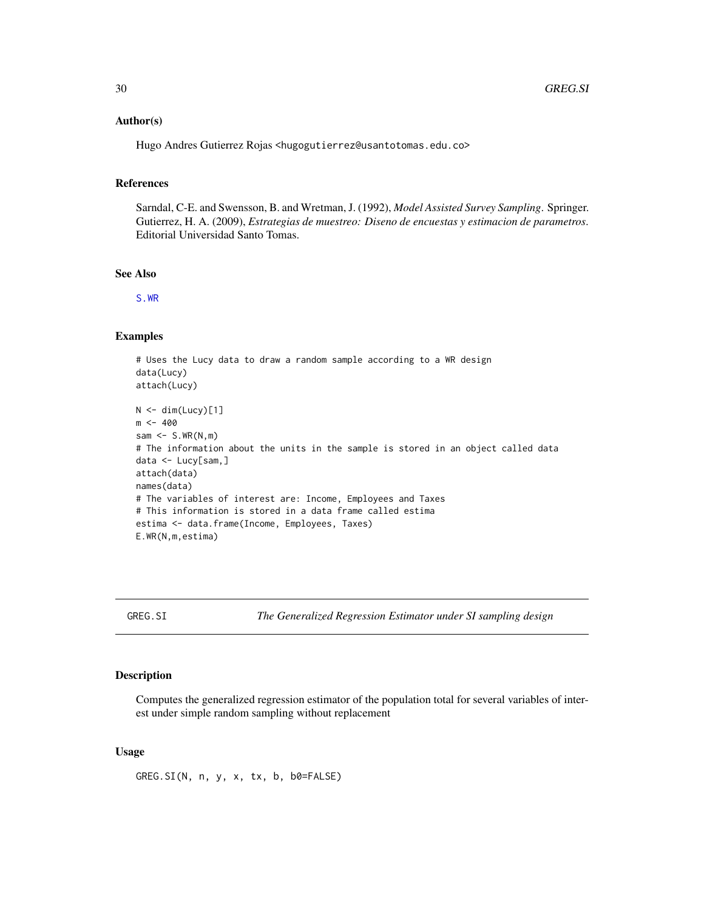#### <span id="page-29-0"></span>Author(s)

Hugo Andres Gutierrez Rojas <hugogutierrez@usantotomas.edu.co>

## References

Sarndal, C-E. and Swensson, B. and Wretman, J. (1992), *Model Assisted Survey Sampling*. Springer. Gutierrez, H. A. (2009), *Estrategias de muestreo: Diseno de encuestas y estimacion de parametros*. Editorial Universidad Santo Tomas.

## See Also

[S.WR](#page-74-1)

#### Examples

```
# Uses the Lucy data to draw a random sample according to a WR design
data(Lucy)
attach(Lucy)
N < - dim(Lucy)[1]
m < -400sam \leq S.WR(N,m)
# The information about the units in the sample is stored in an object called data
data <- Lucy[sam,]
attach(data)
names(data)
# The variables of interest are: Income, Employees and Taxes
# This information is stored in a data frame called estima
estima <- data.frame(Income, Employees, Taxes)
E.WR(N,m,estima)
```
<span id="page-29-1"></span>GREG.SI *The Generalized Regression Estimator under SI sampling design*

## Description

Computes the generalized regression estimator of the population total for several variables of interest under simple random sampling without replacement

#### Usage

GREG.SI(N, n, y, x, tx, b, b0=FALSE)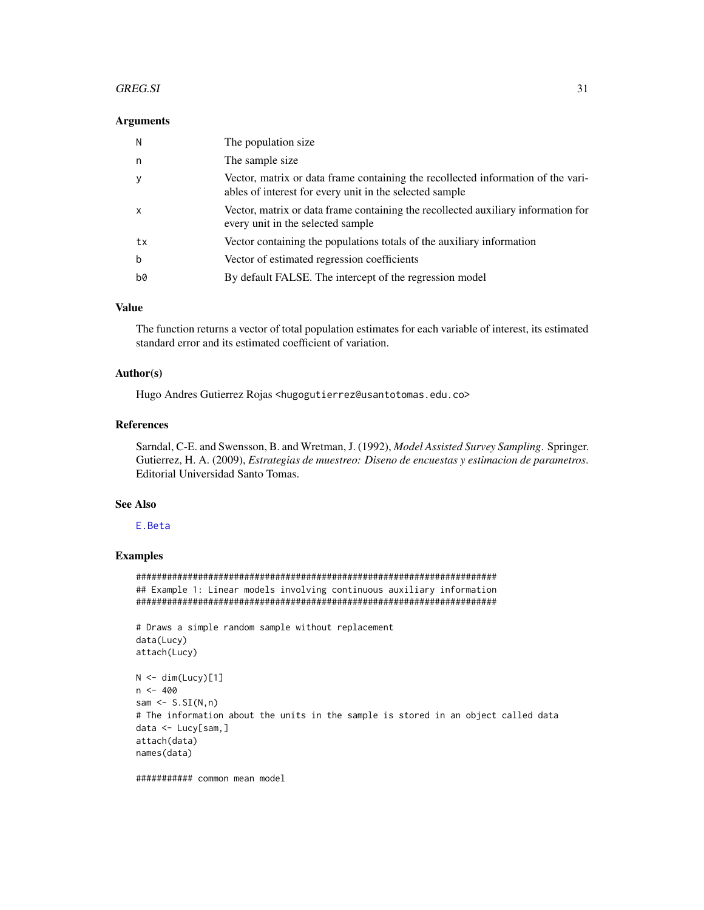#### GREG.SI 31

#### **Arguments**

| N            | The population size.                                                                                                                        |
|--------------|---------------------------------------------------------------------------------------------------------------------------------------------|
| n            | The sample size                                                                                                                             |
| <b>V</b>     | Vector, matrix or data frame containing the recollected information of the vari-<br>ables of interest for every unit in the selected sample |
| $\mathsf{x}$ | Vector, matrix or data frame containing the recollected auxiliary information for<br>every unit in the selected sample                      |
| tx           | Vector containing the populations totals of the auxiliary information                                                                       |
| b            | Vector of estimated regression coefficients                                                                                                 |
| b0           | By default FALSE. The intercept of the regression model                                                                                     |

## Value

The function returns a vector of total population estimates for each variable of interest, its estimated standard error and its estimated coefficient of variation.

## Author(s)

Hugo Andres Gutierrez Rojas <hugogutierrez@usantotomas.edu.co>

## References

Sarndal, C-E. and Swensson, B. and Wretman, J. (1992), *Model Assisted Survey Sampling*. Springer. Gutierrez, H. A. (2009), *Estrategias de muestreo: Diseno de encuestas y estimacion de parametros*. Editorial Universidad Santo Tomas.

## See Also

## [E.Beta](#page-10-1)

## Examples

###################################################################### ## Example 1: Linear models involving continuous auxiliary information ######################################################################

```
# Draws a simple random sample without replacement
data(Lucy)
attach(Lucy)
```

```
N < - dim(Lucy)[1]
n < -400sam \leq S.SI(N,n)# The information about the units in the sample is stored in an object called data
data <- Lucy[sam,]
attach(data)
names(data)
```
########### common mean model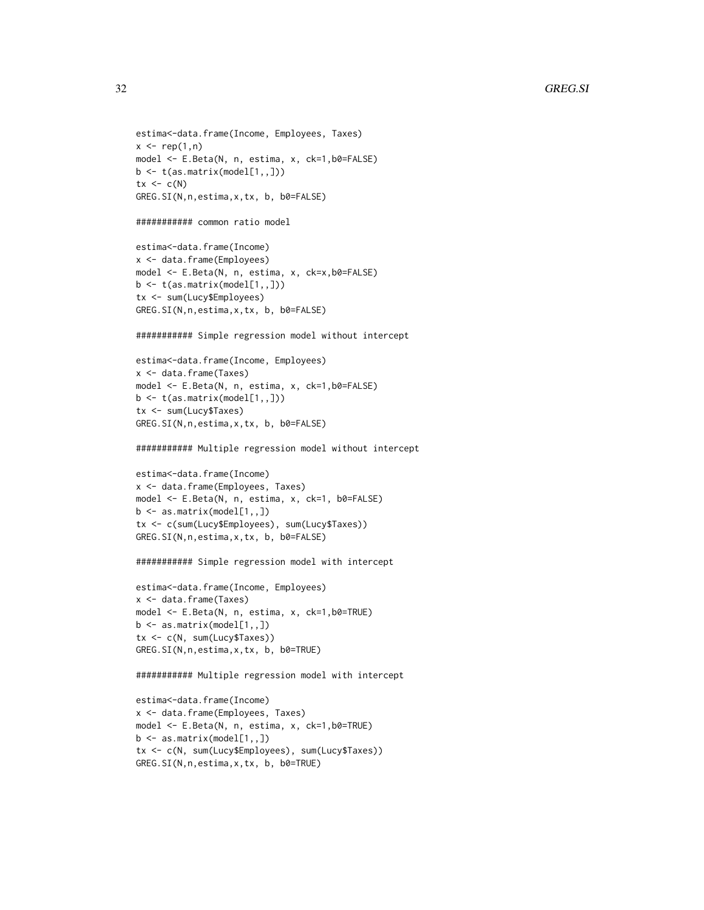```
estima<-data.frame(Income, Employees, Taxes)
x \leftarrow \text{rep}(1,n)model <- E.Beta(N, n, estima, x, ck=1,b0=FALSE)
b \leftarrow t(as.matrix(mod1[1,1]))tx < -c(N)GREG.SI(N,n,estima,x,tx, b, b0=FALSE)
########### common ratio model
estima<-data.frame(Income)
x <- data.frame(Employees)
model <- E.Beta(N, n, estima, x, ck=x,b0=FALSE)
b \leftarrow t(as.matrix(model[1, 1])tx <- sum(Lucy$Employees)
GREG.SI(N,n,estima,x,tx, b, b0=FALSE)
########### Simple regression model without intercept
estima<-data.frame(Income, Employees)
x <- data.frame(Taxes)
model <- E.Beta(N, n, estima, x, ck=1,b0=FALSE)
b <- t(as.matrix(model[1,,]))
tx <- sum(Lucy$Taxes)
GREG.SI(N,n,estima,x,tx, b, b0=FALSE)
########### Multiple regression model without intercept
estima<-data.frame(Income)
x <- data.frame(Employees, Taxes)
model <- E.Beta(N, n, estima, x, ck=1, b0=FALSE)
b \leq -as.matrix(mod[1,1])tx <- c(sum(Lucy$Employees), sum(Lucy$Taxes))
GREG.SI(N,n,estima,x,tx, b, b0=FALSE)
########### Simple regression model with intercept
estima<-data.frame(Income, Employees)
x <- data.frame(Taxes)
model <- E.Beta(N, n, estima, x, ck=1,b0=TRUE)
b \leq -a s.matrix(model[1, 1])tx <- c(N, sum(Lucy$Taxes))
GREG.SI(N,n,estima,x,tx, b, b0=TRUE)
########### Multiple regression model with intercept
estima<-data.frame(Income)
x <- data.frame(Employees, Taxes)
model <- E.Beta(N, n, estima, x, ck=1,b0=TRUE)
b \leftarrow as.matrix(model[1, 1])
```
tx <- c(N, sum(Lucy\$Employees), sum(Lucy\$Taxes))

GREG.SI(N,n,estima,x,tx, b, b0=TRUE)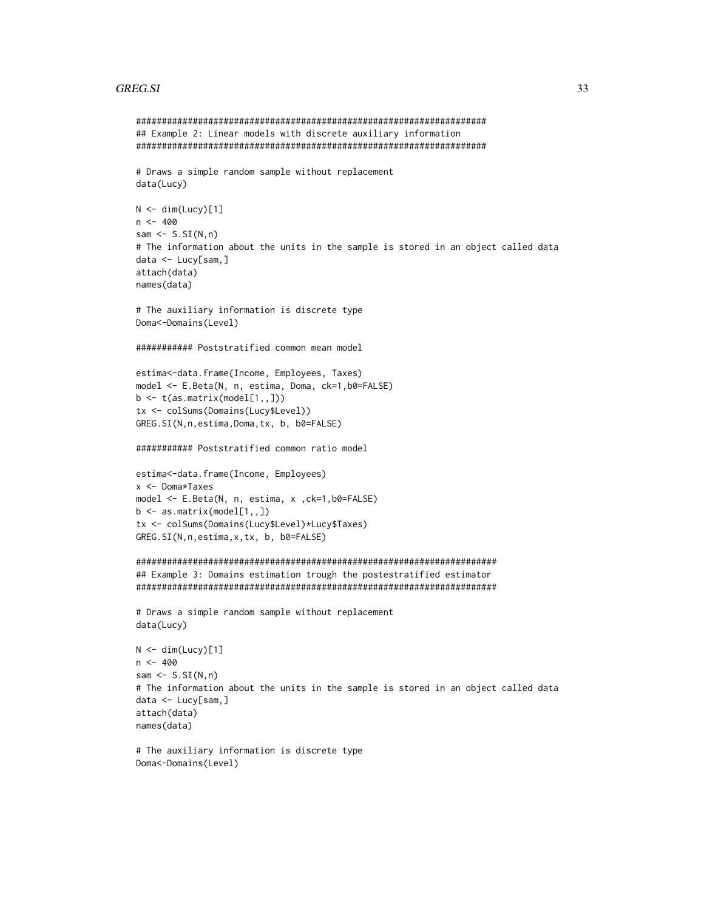## **GREG.SI**

```
## Example 2: Linear models with discrete auxiliary information
# Draws a simple random sample without replacement
data(Lucy)
N \leq -dim(Lucy)[1]n < -400sam \leftarrow S.SI(N,n)
# The information about the units in the sample is stored in an object called data
data <- Lucy[sam,]
attach(data)
names(data)
# The auxiliary information is discrete type
Doma<-Domains(Level)
########### Poststratified common mean model
estima<-data.frame(Income, Employees, Taxes)
model <- E.Beta(N, n, estima, Doma, ck=1,b0=FALSE)
b \leftarrow t(as.matrix(mod[1,1])tx <- colSums(Domains(Lucy$Level))
GREG. SI(N, n, estima, Doma, tx, b, b0=FALSE)
########### Poststratified common ratio model
estima<-data.frame(Income, Employees)
x <- Doma*Taxes
model <- E.Beta(N, n, estima, x, ck=1, b0=FALSE)
b \leq -as.matrix(mod[1,1])tx <- colSums(Domains(Lucy$Level)*Lucy$Taxes)
GREG. SI(N, n, estima, x, tx, b, b0=FALSE)
## Example 3: Domains estimation trough the postestratified estimator
# Draws a simple random sample without replacement
data(Lucy)
N \leq dim(Lucy)[1]n < -400sam \leq S.SI(N, n)# The information about the units in the sample is stored in an object called data
data <- Lucy[sam,]
attach(data)
names(data)
# The auxiliary information is discrete type
```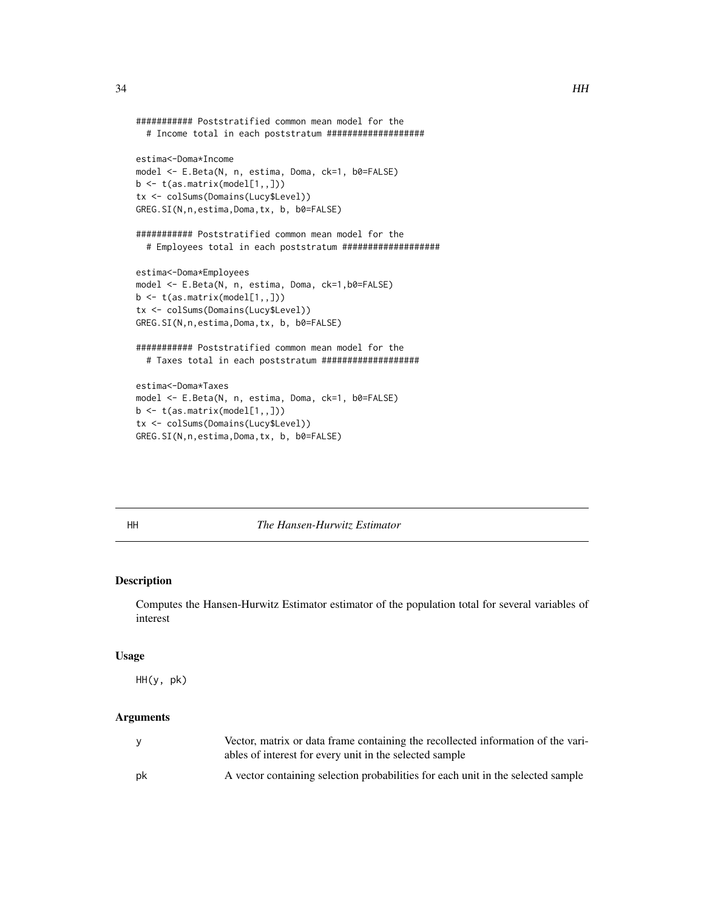```
########### Poststratified common mean model for the
  # Income total in each poststratum ###################
estima<-Doma*Income
model <- E.Beta(N, n, estima, Doma, ck=1, b0=FALSE)
b \leftarrow t(as.matrix(model[1, 1])tx <- colSums(Domains(Lucy$Level))
GREG.SI(N,n,estima,Doma,tx, b, b0=FALSE)
########### Poststratified common mean model for the
  # Employees total in each poststratum ###################
estima<-Doma*Employees
model <- E.Beta(N, n, estima, Doma, ck=1,b0=FALSE)
b \leftarrow t(as.matrix(model[1,1))tx <- colSums(Domains(Lucy$Level))
GREG.SI(N,n,estima,Doma,tx, b, b0=FALSE)
########### Poststratified common mean model for the
  # Taxes total in each poststratum ###################
estima<-Doma*Taxes
model <- E.Beta(N, n, estima, Doma, ck=1, b0=FALSE)
b \leftarrow t(as.matrix(model[1, 1])tx <- colSums(Domains(Lucy$Level))
```
GREG.SI(N,n,estima,Doma,tx, b, b0=FALSE)

<span id="page-33-1"></span>

#### HH *The Hansen-Hurwitz Estimator*

## Description

Computes the Hansen-Hurwitz Estimator estimator of the population total for several variables of interest

#### Usage

HH(y, pk)

## Arguments

|    | Vector, matrix or data frame containing the recollected information of the vari-<br>ables of interest for every unit in the selected sample |
|----|---------------------------------------------------------------------------------------------------------------------------------------------|
| pk | A vector containing selection probabilities for each unit in the selected sample                                                            |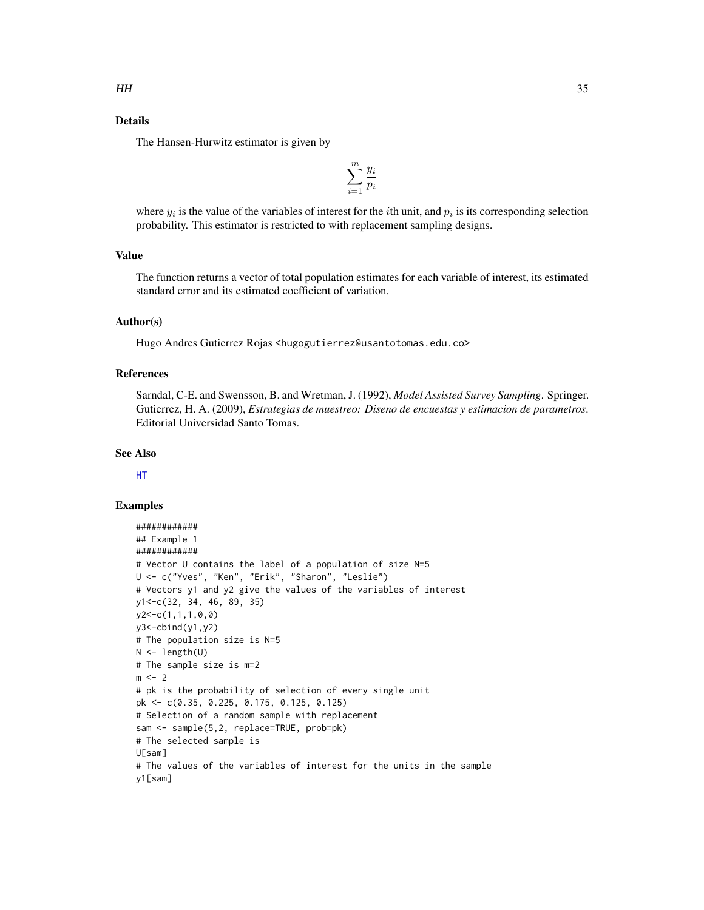## Details

The Hansen-Hurwitz estimator is given by

$$
\sum_{i=1}^m \frac{y_i}{p_i}
$$

where  $y_i$  is the value of the variables of interest for the *i*th unit, and  $p_i$  is its corresponding selection probability. This estimator is restricted to with replacement sampling designs.

## Value

The function returns a vector of total population estimates for each variable of interest, its estimated standard error and its estimated coefficient of variation.

## Author(s)

Hugo Andres Gutierrez Rojas <hugogutierrez@usantotomas.edu.co>

## References

Sarndal, C-E. and Swensson, B. and Wretman, J. (1992), *Model Assisted Survey Sampling*. Springer. Gutierrez, H. A. (2009), *Estrategias de muestreo: Diseno de encuestas y estimacion de parametros*. Editorial Universidad Santo Tomas.

## See Also

[HT](#page-36-1)

#### Examples

```
############
## Example 1
############
# Vector U contains the label of a population of size N=5
U <- c("Yves", "Ken", "Erik", "Sharon", "Leslie")
# Vectors y1 and y2 give the values of the variables of interest
y1<-c(32, 34, 46, 89, 35)
y2<-c(1,1,1,0,0)
y3 < -cbind(y1, y2)# The population size is N=5
N < - length(U)
# The sample size is m=2
m < -2# pk is the probability of selection of every single unit
pk <- c(0.35, 0.225, 0.175, 0.125, 0.125)
# Selection of a random sample with replacement
sam <- sample(5,2, replace=TRUE, prob=pk)
# The selected sample is
U[sam]
# The values of the variables of interest for the units in the sample
y1[sam]
```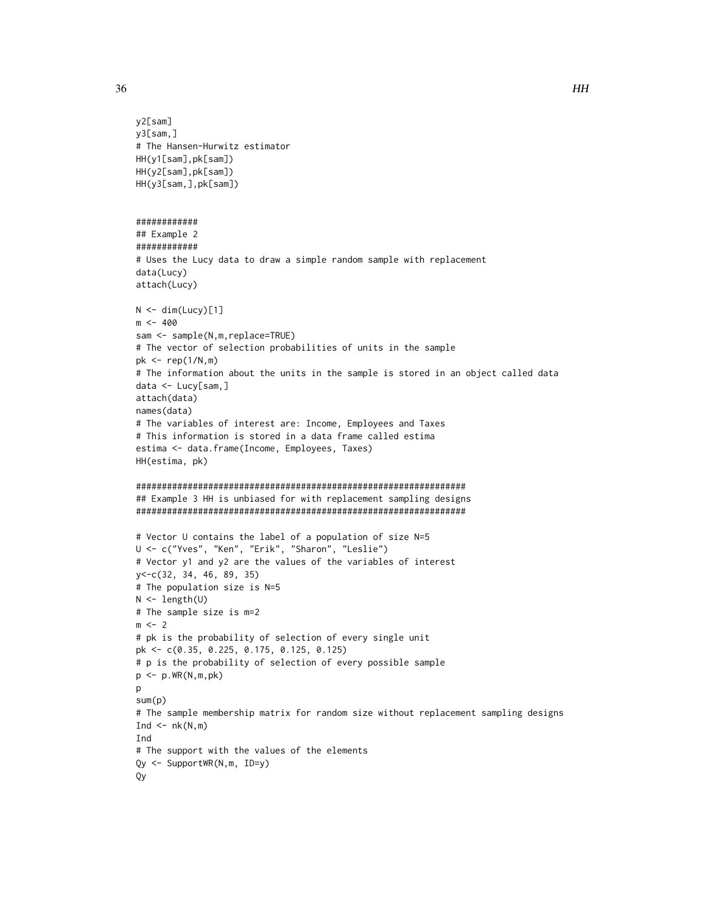```
y2[sam]
y3[sam,]
# The Hansen-Hurwitz estimator
HH(y1[sam],pk[sam])
HH(y2[sam],pk[sam])
HH(y3[sam,],pk[sam])
############
## Example 2
############
# Uses the Lucy data to draw a simple random sample with replacement
data(Lucy)
attach(Lucy)
N < - dim(Lucy)[1]
m <- 400
sam <- sample(N,m,replace=TRUE)
# The vector of selection probabilities of units in the sample
pk \leq rep(1/N,m)# The information about the units in the sample is stored in an object called data
data <- Lucy[sam,]
attach(data)
names(data)
# The variables of interest are: Income, Employees and Taxes
# This information is stored in a data frame called estima
estima <- data.frame(Income, Employees, Taxes)
HH(estima, pk)
################################################################
## Example 3 HH is unbiased for with replacement sampling designs
################################################################
# Vector U contains the label of a population of size N=5
U <- c("Yves", "Ken", "Erik", "Sharon", "Leslie")
# Vector y1 and y2 are the values of the variables of interest
y<-c(32, 34, 46, 89, 35)
# The population size is N=5
N <- length(U)
# The sample size is m=2
m < -2# pk is the probability of selection of every single unit
pk <- c(0.35, 0.225, 0.175, 0.125, 0.125)
# p is the probability of selection of every possible sample
p \leftarrow p.WR(N,m,pk)p
sum(p)
# The sample membership matrix for random size without replacement sampling designs
Ind \leq -nk(N,m)Ind
# The support with the values of the elements
Qy <- SupportWR(N,m, ID=y)
Qy
```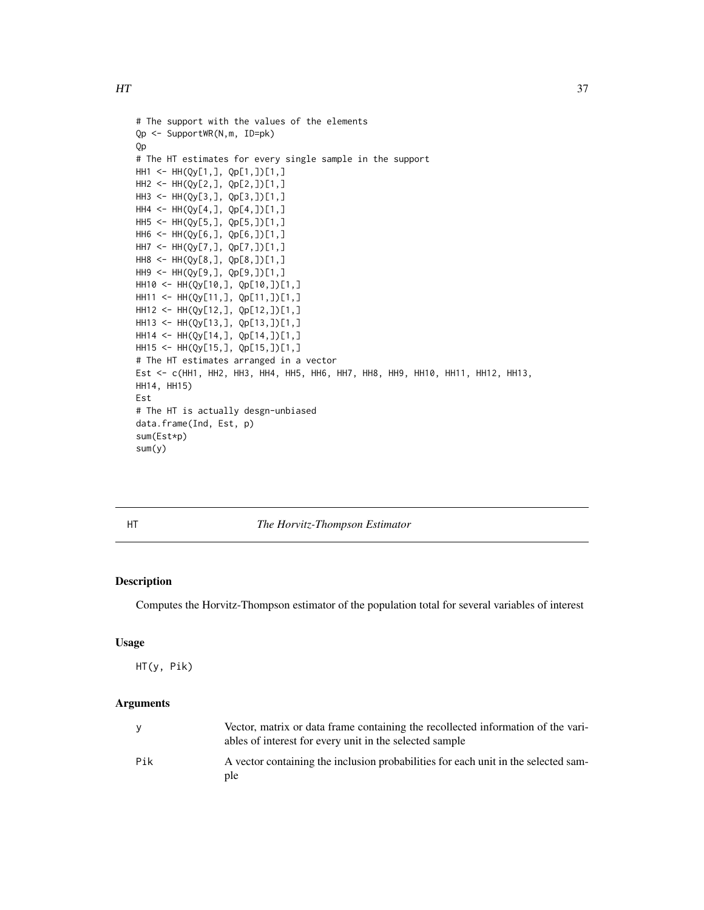```
# The support with the values of the elements
Qp <- SupportWR(N,m, ID=pk)
Qp
# The HT estimates for every single sample in the support
HH1 <- HH(Qy[1,], Qp[1,])[1,]
HH2 <- HH(Qy[2,], Qp[2,])[1,]
HH3 <- HH(Qy[3,], Qp[3,])[1,]
HH4 <- HH(Qy[4,], Qp[4,])[1,]
HH5 <- HH(Qy[5,], Qp[5,])[1,]
HH6 <- HH(Qy[6,], Qp[6,])[1,]
HH7 <- HH(Qy[7,], Qp[7,])[1,]
HH8 <- HH(Qy[8,], Qp[8,])[1,]
HH9 <- HH(Qy[9,], Qp[9,])[1,]
HH10 <- HH(Qy[10,], Qp[10,])[1,]
HH11 <- HH(Qy[11,], Qp[11,])[1,]
HH12 <- HH(Qy[12,], Qp[12,])[1,]
HH13 <- HH(Qy[13,], Qp[13,])[1,]
HH14 <- HH(Qy[14,], Qp[14,])[1,]
HH15 <- HH(Qy[15,], Qp[15,])[1,]
# The HT estimates arranged in a vector
Est <- c(HH1, HH2, HH3, HH4, HH5, HH6, HH7, HH8, HH9, HH10, HH11, HH12, HH13,
HH14, HH15)
Est
# The HT is actually desgn-unbiased
data.frame(Ind, Est, p)
sum(Est*p)
sum(y)
```
<span id="page-36-0"></span>

HT *The Horvitz-Thompson Estimator*

# Description

Computes the Horvitz-Thompson estimator of the population total for several variables of interest

#### Usage

HT(y, Pik)

|     | Vector, matrix or data frame containing the recollected information of the vari-<br>ables of interest for every unit in the selected sample |
|-----|---------------------------------------------------------------------------------------------------------------------------------------------|
| Pik | A vector containing the inclusion probabilities for each unit in the selected sam-<br>ple                                                   |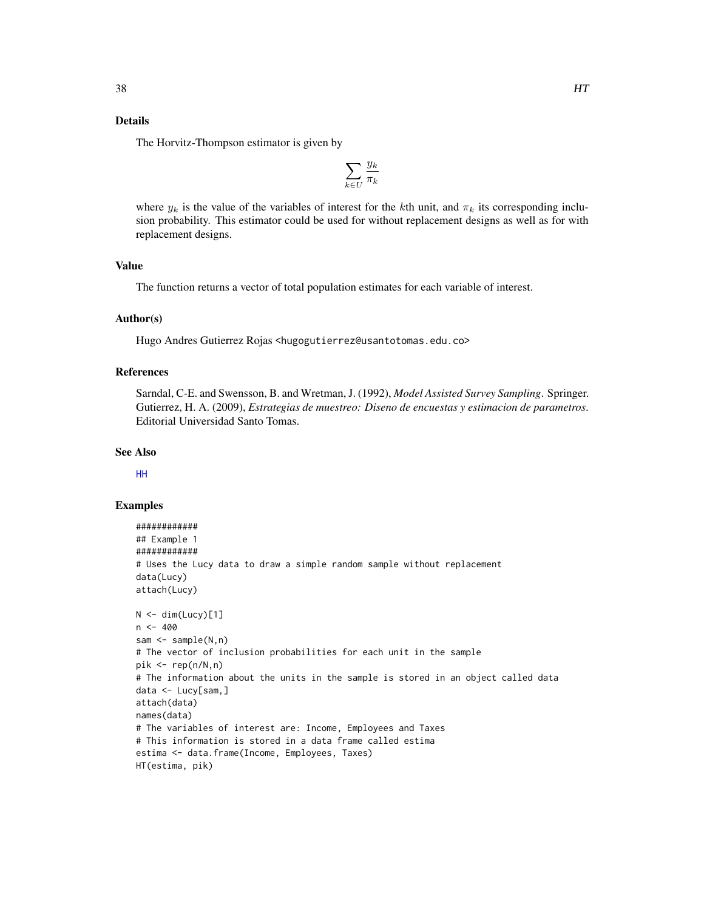# Details

The Horvitz-Thompson estimator is given by

$$
\sum_{k \in U} \frac{y_k}{\pi_k}
$$

where  $y_k$  is the value of the variables of interest for the kth unit, and  $\pi_k$  its corresponding inclusion probability. This estimator could be used for without replacement designs as well as for with replacement designs.

# Value

The function returns a vector of total population estimates for each variable of interest.

#### Author(s)

Hugo Andres Gutierrez Rojas <hugogutierrez@usantotomas.edu.co>

# References

Sarndal, C-E. and Swensson, B. and Wretman, J. (1992), *Model Assisted Survey Sampling*. Springer. Gutierrez, H. A. (2009), *Estrategias de muestreo: Diseno de encuestas y estimacion de parametros*. Editorial Universidad Santo Tomas.

#### See Also

[HH](#page-33-0)

```
############
## Example 1
############
# Uses the Lucy data to draw a simple random sample without replacement
data(Lucy)
attach(Lucy)
N < - dim(Lucy)[1]
n < -400sam <- sample(N,n)
# The vector of inclusion probabilities for each unit in the sample
pik \leq rep(n/N,n)# The information about the units in the sample is stored in an object called data
data <- Lucy[sam,]
attach(data)
names(data)
# The variables of interest are: Income, Employees and Taxes
# This information is stored in a data frame called estima
estima <- data.frame(Income, Employees, Taxes)
HT(estima, pik)
```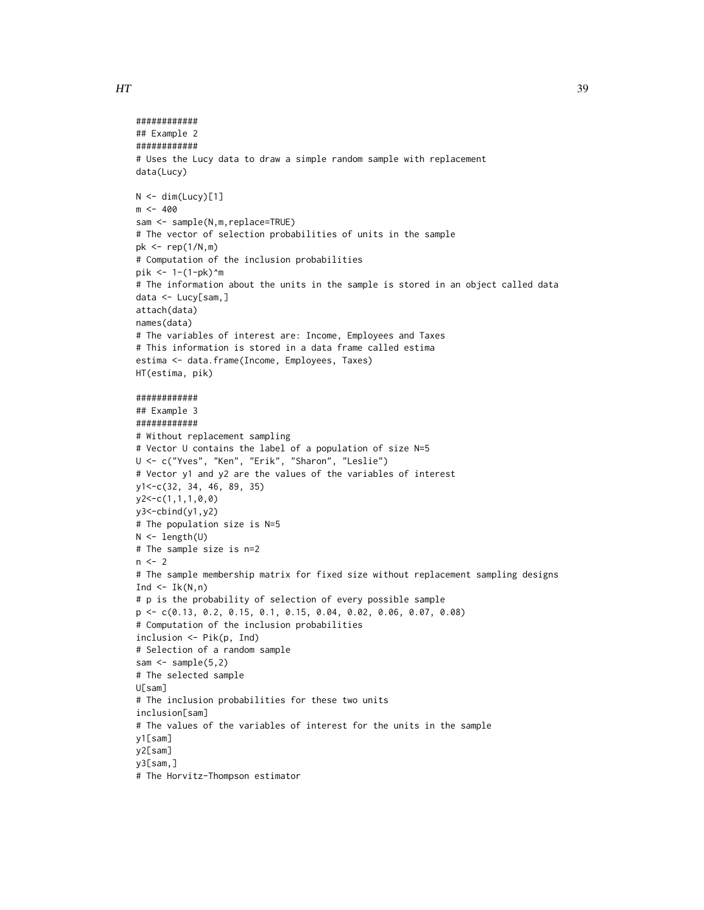```
############
## Example 2
############
# Uses the Lucy data to draw a simple random sample with replacement
data(Lucy)
N < - dim(Lucy)[1]
m < -400sam <- sample(N,m,replace=TRUE)
# The vector of selection probabilities of units in the sample
pk <- rep(1/N,m)
# Computation of the inclusion probabilities
pik <- 1-(1-pk)^m
# The information about the units in the sample is stored in an object called data
data <- Lucy[sam,]
attach(data)
names(data)
# The variables of interest are: Income, Employees and Taxes
# This information is stored in a data frame called estima
estima <- data.frame(Income, Employees, Taxes)
HT(estima, pik)
############
## Example 3
############
# Without replacement sampling
# Vector U contains the label of a population of size N=5
U <- c("Yves", "Ken", "Erik", "Sharon", "Leslie")
# Vector y1 and y2 are the values of the variables of interest
y1<-c(32, 34, 46, 89, 35)
y2<-c(1,1,1,0,0)
y3<-cbind(y1,y2)
# The population size is N=5
N <- length(U)
# The sample size is n=2
n < -2# The sample membership matrix for fixed size without replacement sampling designs
Ind \leftarrow Ik(N,n)
# p is the probability of selection of every possible sample
p <- c(0.13, 0.2, 0.15, 0.1, 0.15, 0.04, 0.02, 0.06, 0.07, 0.08)
# Computation of the inclusion probabilities
inclusion <- Pik(p, Ind)
# Selection of a random sample
sam \leq sample(5,2)
# The selected sample
U[sam]
# The inclusion probabilities for these two units
inclusion[sam]
# The values of the variables of interest for the units in the sample
y1[sam]
y2[sam]
y3[sam,]
```

```
# The Horvitz-Thompson estimator
```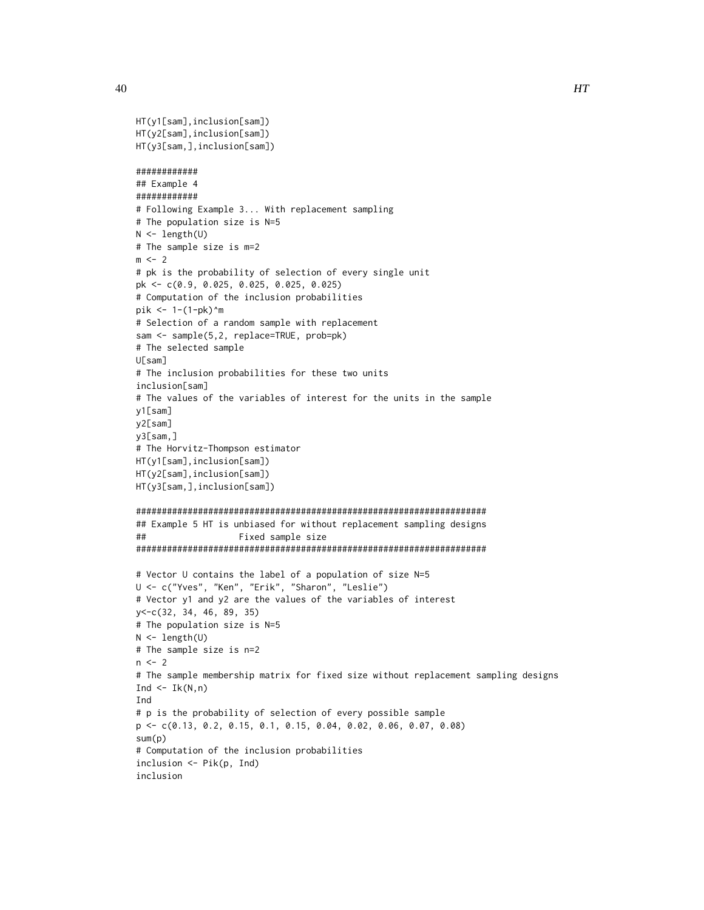```
HT(y1[sam],inclusion[sam])
HT(y2[sam],inclusion[sam])
HT(y3[sam,],inclusion[sam])
############
## Example 4
############
# Following Example 3... With replacement sampling
# The population size is N=5
N <- length(U)
# The sample size is m=2
m \leq -2# pk is the probability of selection of every single unit
pk <- c(0.9, 0.025, 0.025, 0.025, 0.025)
# Computation of the inclusion probabilities
pik <- 1-(1-pk)^m
# Selection of a random sample with replacement
sam <- sample(5,2, replace=TRUE, prob=pk)
# The selected sample
U[sam]
# The inclusion probabilities for these two units
inclusion[sam]
# The values of the variables of interest for the units in the sample
y1[sam]
y2[sam]
y3[sam,]
# The Horvitz-Thompson estimator
HT(y1[sam],inclusion[sam])
HT(y2[sam],inclusion[sam])
HT(y3[sam,],inclusion[sam])
####################################################################
## Example 5 HT is unbiased for without replacement sampling designs
## Fixed sample size
####################################################################
# Vector U contains the label of a population of size N=5
U <- c("Yves", "Ken", "Erik", "Sharon", "Leslie")
# Vector y1 and y2 are the values of the variables of interest
y<-c(32, 34, 46, 89, 35)
# The population size is N=5
N <- length(U)
# The sample size is n=2
n < -2# The sample membership matrix for fixed size without replacement sampling designs
Ind \leq Ik(N,n)
Ind
# p is the probability of selection of every possible sample
p <- c(0.13, 0.2, 0.15, 0.1, 0.15, 0.04, 0.02, 0.06, 0.07, 0.08)
sum(p)
# Computation of the inclusion probabilities
inclusion <- Pik(p, Ind)
inclusion
```
40 and the contract of the contract of the contract of the contract of the contract of the contract of the contract of the contract of the contract of the contract of the contract of the contract of the contract of the con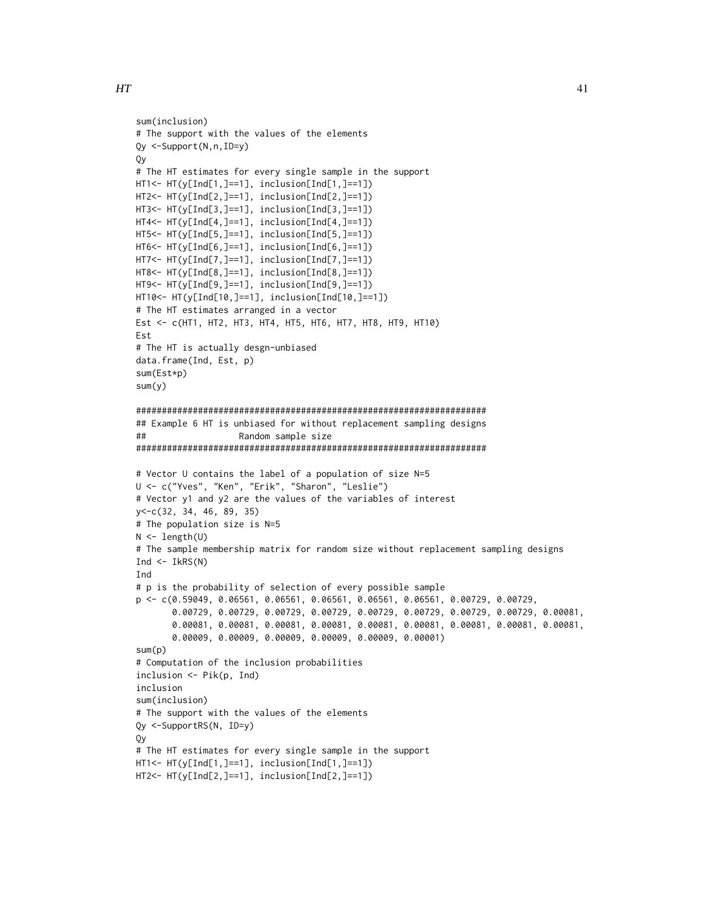```
sum(inclusion)
# The support with the values of the elements
Qy <-Support(N,n,ID=y)
Qy
# The HT estimates for every single sample in the support
HT1<- HT(y[Ind[1,]==1], inclusion[Ind[1,]==1])
HT2<- HT(y[Ind[2,]==1], inclusion[Ind[2,]==1])
HT3<- HT(y[Ind[3,]==1], inclusion[Ind[3,]==1])
HT4<- HT(y[Ind[4,]==1], inclusion[Ind[4,]==1])
HT5<- HT(y[Ind[5,]==1], inclusion[Ind[5,]==1])
HT6<- HT(y[Ind[6,]==1], inclusion[Ind[6,]==1])
HT7<- HT(y[Ind[7,]==1], inclusion[Ind[7,]==1])
HT8<- HT(y[Ind[8,]==1], inclusion[Ind[8,]==1])
HT9<- HT(y[Ind[9,]==1], inclusion[Ind[9,]==1])
HT10<- HT(y[Ind[10,]==1], inclusion[Ind[10,]==1])
# The HT estimates arranged in a vector
Est <- c(HT1, HT2, HT3, HT4, HT5, HT6, HT7, HT8, HT9, HT10)
Est
# The HT is actually desgn-unbiased
data.frame(Ind, Est, p)
sum(Est*p)
sum(y)
####################################################################
## Example 6 HT is unbiased for without replacement sampling designs
## Random sample size
####################################################################
# Vector U contains the label of a population of size N=5
U <- c("Yves", "Ken", "Erik", "Sharon", "Leslie")
# Vector y1 and y2 are the values of the variables of interest
y<-c(32, 34, 46, 89, 35)
# The population size is N=5
N < - length(U)
# The sample membership matrix for random size without replacement sampling designs
Ind \leftarrow IkRS(N)Ind
# p is the probability of selection of every possible sample
p <- c(0.59049, 0.06561, 0.06561, 0.06561, 0.06561, 0.06561, 0.00729, 0.00729,
       0.00729, 0.00729, 0.00729, 0.00729, 0.00729, 0.00729, 0.00729, 0.00729, 0.00081,
       0.00081, 0.00081, 0.00081, 0.00081, 0.00081, 0.00081, 0.00081, 0.00081, 0.00081,
       0.00009, 0.00009, 0.00009, 0.00009, 0.00009, 0.00001)
sum(p)
# Computation of the inclusion probabilities
inclusion <- Pik(p, Ind)
inclusion
sum(inclusion)
# The support with the values of the elements
Qy <-SupportRS(N, ID=y)
Qy
# The HT estimates for every single sample in the support
HT1<- HT(y[Ind[1,]==1], inclusion[Ind[1,]==1])
HT2<- HT(y[Ind[2,]==1], inclusion[Ind[2,]==1])
```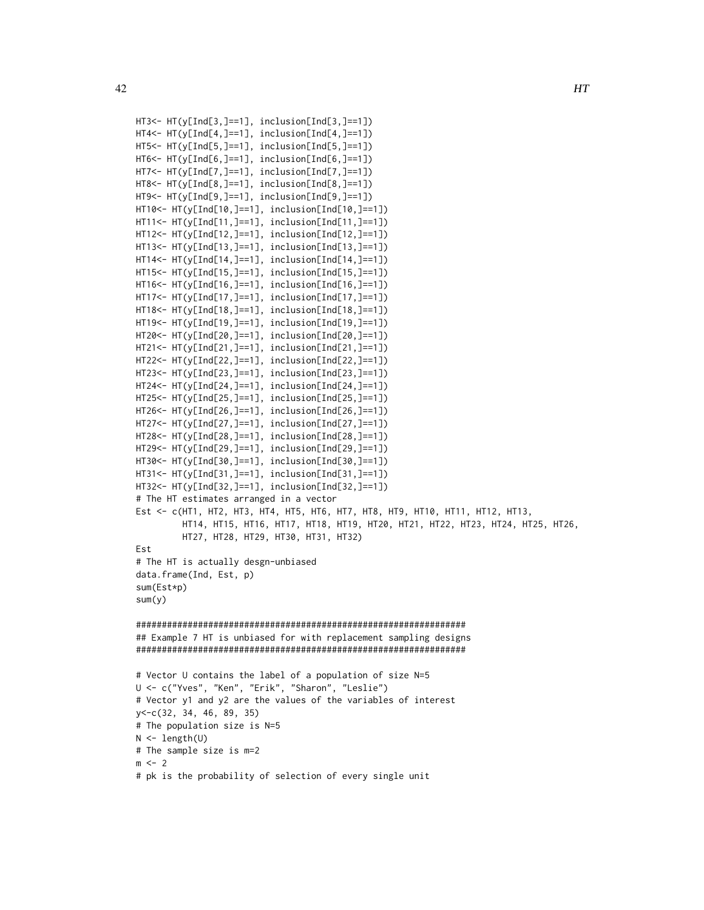```
HT3<- HT(y[Ind[3,]==1], inclusion[Ind[3,]==1])
HT4<- HT(y[Ind[4,]==1], inclusion[Ind[4,]==1])
HT5<- HT(y[Ind[5,]==1], inclusion[Ind[5,]==1])
HT6<- HT(y[Ind[6,]==1], inclusion[Ind[6,]==1])
HT7<- HT(y[Ind[7,]==1], inclusion[Ind[7,]==1])
HT8<- HT(y[Ind[8,]==1], inclusion[Ind[8,]==1])
HT9<- HT(y[Ind[9,]==1], inclusion[Ind[9,]==1])
HT10<- HT(y[Ind[10,]==1], inclusion[Ind[10,]==1])
HT11<- HT(y[Ind[11,]==1], inclusion[Ind[11,]==1])
HT12<- HT(y[Ind[12,]==1], inclusion[Ind[12,]==1])
HT13<- HT(y[Ind[13,]==1], inclusion[Ind[13,]==1])
HT14<- HT(y[Ind[14,]==1], inclusion[Ind[14,]==1])
HT15<- HT(y[Ind[15,]==1], inclusion[Ind[15,]==1])
HT16<- HT(y[Ind[16,]==1], inclusion[Ind[16,]==1])
HT17<- HT(y[Ind[17,]==1], inclusion[Ind[17,]==1])
HT18<- HT(y[Ind[18,]==1], inclusion[Ind[18,]==1])
HT19<- HT(y[Ind[19,]==1], inclusion[Ind[19,]==1])
HT20<- HT(y[Ind[20,]==1], inclusion[Ind[20,]==1])
HT21<- HT(y[Ind[21,]==1], inclusion[Ind[21,]==1])
HT22<- HT(y[Ind[22,]==1], inclusion[Ind[22,]==1])
HT23<- HT(y[Ind[23,]==1], inclusion[Ind[23,]==1])
HT24<- HT(y[Ind[24,]==1], inclusion[Ind[24,]==1])
HT25<- HT(y[Ind[25,]==1], inclusion[Ind[25,]==1])
HT26<- HT(y[Ind[26,]==1], inclusion[Ind[26,]==1])
HT27<- HT(y[Ind[27,]==1], inclusion[Ind[27,]==1])
HT28<- HT(y[Ind[28,]==1], inclusion[Ind[28,]==1])
HT29<- HT(y[Ind[29,]==1], inclusion[Ind[29,]==1])
HT30<- HT(y[Ind[30,]==1], inclusion[Ind[30,]==1])
HT31<- HT(y[Ind[31,]==1], inclusion[Ind[31,]==1])
HT32<- HT(y[Ind[32,]==1], inclusion[Ind[32,]==1])
# The HT estimates arranged in a vector
Est <- c(HT1, HT2, HT3, HT4, HT5, HT6, HT7, HT8, HT9, HT10, HT11, HT12, HT13,
         HT14, HT15, HT16, HT17, HT18, HT19, HT20, HT21, HT22, HT23, HT24, HT25, HT26,
         HT27, HT28, HT29, HT30, HT31, HT32)
Est
# The HT is actually desgn-unbiased
data.frame(Ind, Est, p)
sum(Est*p)
sum(y)
################################################################
## Example 7 HT is unbiased for with replacement sampling designs
################################################################
# Vector U contains the label of a population of size N=5
U <- c("Yves", "Ken", "Erik", "Sharon", "Leslie")
# Vector y1 and y2 are the values of the variables of interest
y<-c(32, 34, 46, 89, 35)
# The population size is N=5
N \leftarrow length(U)
```
# The sample size is m=2

 $m < -2$ 

# pk is the probability of selection of every single unit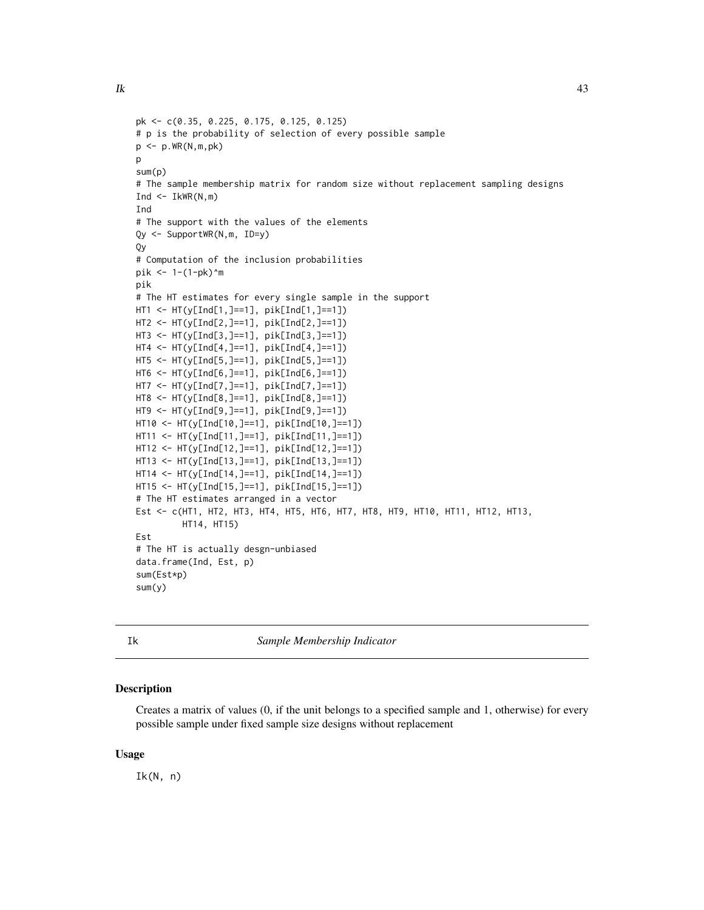```
pk <- c(0.35, 0.225, 0.175, 0.125, 0.125)
# p is the probability of selection of every possible sample
p <- p.WR(N,m,pk)
\mathbf{D}sum(p)
# The sample membership matrix for random size without replacement sampling designs
Ind \leq IkWR(N,m)
Ind
# The support with the values of the elements
Qy <- SupportWR(N,m, ID=y)
Qy
# Computation of the inclusion probabilities
pik <- 1-(1-pk)^m
pik
# The HT estimates for every single sample in the support
HT1 <- HT(y[Ind[1,]==1], pik[Ind[1,]==1])
HT2 <- HT(y[Ind[2,]==1], pik[Ind[2,]==1])
HT3 <- HT(y[Ind[3,]==1], pik[Ind[3,]==1])
HT4 <- HT(y[Ind[4,]==1], pik[Ind[4,]==1])
HT5 <- HT(y[Ind[5,]==1], pik[Ind[5,]==1])
HT6 <- HT(y[Ind[6,]==1], pik[Ind[6,]==1])
HT7 <- HT(y[Ind[7,]==1], pik[Ind[7,]==1])
HT8 <- HT(y[Ind[8,]==1], pik[Ind[8,]==1])
HT9 <- HT(y[Ind[9,]==1], pik[Ind[9,]==1])
HT10 <- HT(y[Ind[10,]==1], pik[Ind[10,]==1])
HT11 <- HT(y[Ind[11,]==1], pik[Ind[11,]==1])
HT12 <- HT(y[Ind[12,]==1], pik[Ind[12,]==1])
HT13 <- HT(y[Ind[13,]==1], pik[Ind[13,]==1])
HT14 <- HT(y[Ind[14,]==1], pik[Ind[14,]==1])
HT15 <- HT(y[Ind[15,]==1], pik[Ind[15,]==1])
# The HT estimates arranged in a vector
Est <- c(HT1, HT2, HT3, HT4, HT5, HT6, HT7, HT8, HT9, HT10, HT11, HT12, HT13,
         HT14, HT15)
Est
# The HT is actually desgn-unbiased
data.frame(Ind, Est, p)
sum(Est*p)
```
Ik *Sample Membership Indicator*

# Description

sum(y)

Creates a matrix of values (0, if the unit belongs to a specified sample and 1, otherwise) for every possible sample under fixed sample size designs without replacement

#### Usage

 $Ik(N, n)$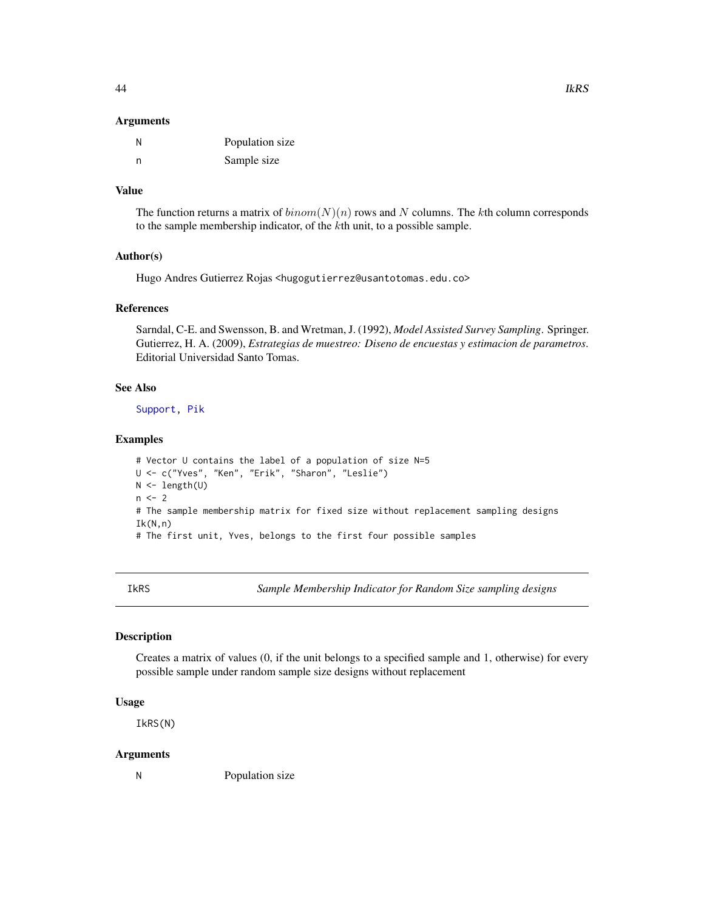#### Arguments

| Ν | Population size |
|---|-----------------|
| n | Sample size     |

# Value

The function returns a matrix of  $binom(N)(n)$  rows and N columns. The kth column corresponds to the sample membership indicator, of the kth unit, to a possible sample.

#### Author(s)

Hugo Andres Gutierrez Rojas <hugogutierrez@usantotomas.edu.co>

#### References

Sarndal, C-E. and Swensson, B. and Wretman, J. (1992), *Model Assisted Survey Sampling*. Springer. Gutierrez, H. A. (2009), *Estrategias de muestreo: Diseno de encuestas y estimacion de parametros*. Editorial Universidad Santo Tomas.

#### See Also

[Support,](#page-75-0) [Pik](#page-52-0)

#### Examples

```
# Vector U contains the label of a population of size N=5
U <- c("Yves", "Ken", "Erik", "Sharon", "Leslie")
N <- length(U)
n < -2# The sample membership matrix for fixed size without replacement sampling designs
Ik(N,n)# The first unit, Yves, belongs to the first four possible samples
```
IkRS *Sample Membership Indicator for Random Size sampling designs*

#### Description

Creates a matrix of values (0, if the unit belongs to a specified sample and 1, otherwise) for every possible sample under random sample size designs without replacement

#### Usage

IkRS(N)

# Arguments

N Population size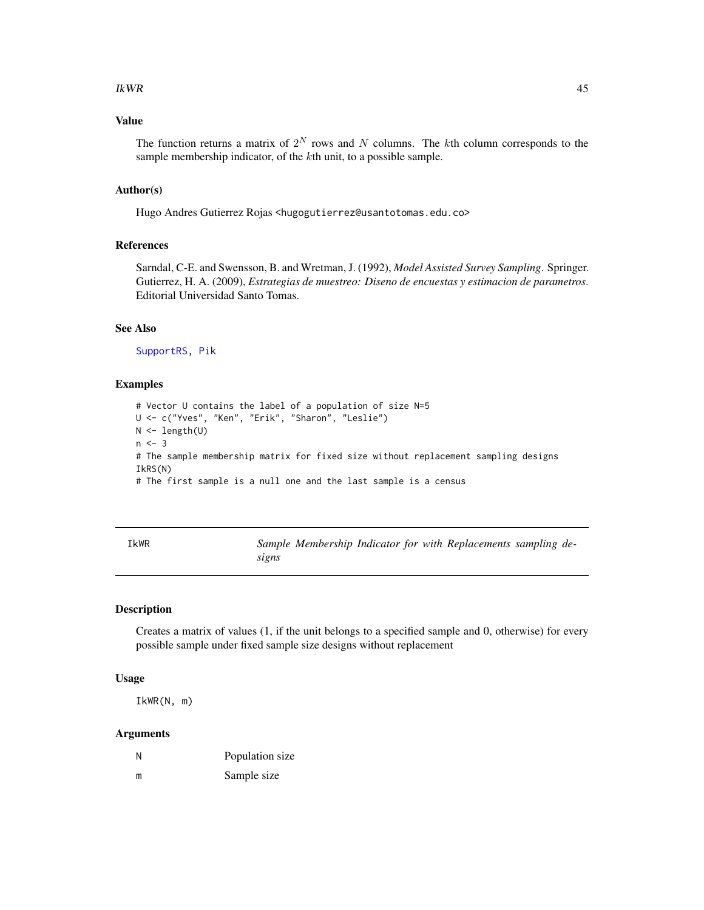#### $IkWR$  and the set of the set of the set of the set of the set of the set of the set of the set of the set of the set of the set of the set of the set of the set of the set of the set of the set of the set of the set of th

# Value

The function returns a matrix of  $2^N$  rows and N columns. The kth column corresponds to the sample membership indicator, of the kth unit, to a possible sample.

#### Author(s)

Hugo Andres Gutierrez Rojas <hugogutierrez@usantotomas.edu.co>

#### References

Sarndal, C-E. and Swensson, B. and Wretman, J. (1992), *Model Assisted Survey Sampling*. Springer. Gutierrez, H. A. (2009), *Estrategias de muestreo: Diseno de encuestas y estimacion de parametros*. Editorial Universidad Santo Tomas.

# See Also

[SupportRS,](#page-76-0) [Pik](#page-52-0)

#### Examples

```
# Vector U contains the label of a population of size N=5
U <- c("Yves", "Ken", "Erik", "Sharon", "Leslie")
N <- length(U)
n < -3# The sample membership matrix for fixed size without replacement sampling designs
IkRS(N)
# The first sample is a null one and the last sample is a census
```

| IkWR | Sample Membership Indicator for with Replacements sampling de- |  |  |
|------|----------------------------------------------------------------|--|--|
|      | signs                                                          |  |  |

#### Description

Creates a matrix of values (1, if the unit belongs to a specified sample and 0, otherwise) for every possible sample under fixed sample size designs without replacement

#### Usage

IkWR(N, m)

| N | Population size |
|---|-----------------|
| m | Sample size     |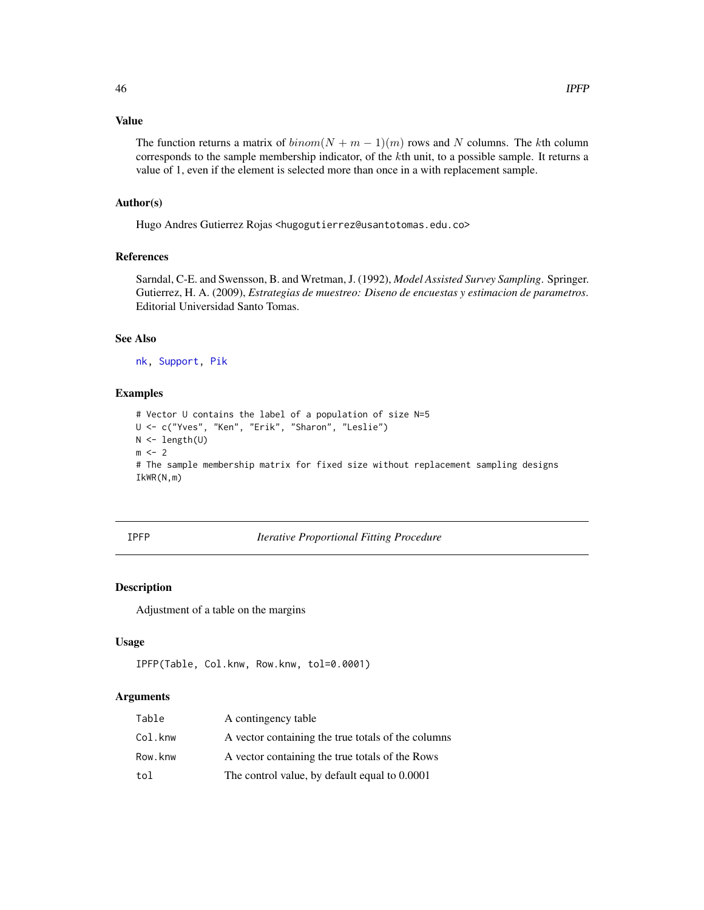# Value

The function returns a matrix of  $binom(N + m - 1)(m)$  rows and N columns. The kth column corresponds to the sample membership indicator, of the  $k$ th unit, to a possible sample. It returns a value of 1, even if the element is selected more than once in a with replacement sample.

#### Author(s)

Hugo Andres Gutierrez Rojas <hugogutierrez@usantotomas.edu.co>

#### References

Sarndal, C-E. and Swensson, B. and Wretman, J. (1992), *Model Assisted Survey Sampling*. Springer. Gutierrez, H. A. (2009), *Estrategias de muestreo: Diseno de encuestas y estimacion de parametros*. Editorial Universidad Santo Tomas.

#### See Also

[nk,](#page-48-0) [Support,](#page-75-0) [Pik](#page-52-0)

#### Examples

```
# Vector U contains the label of a population of size N=5
U <- c("Yves", "Ken", "Erik", "Sharon", "Leslie")
N <- length(U)
m < -2# The sample membership matrix for fixed size without replacement sampling designs
IkWR(N,m)
```
# IPFP *Iterative Proportional Fitting Procedure*

# Description

Adjustment of a table on the margins

#### Usage

```
IPFP(Table, Col.knw, Row.knw, tol=0.0001)
```

| Table   | A contingency table                                |
|---------|----------------------------------------------------|
| Col.knw | A vector containing the true totals of the columns |
| Row.knw | A vector containing the true totals of the Rows    |
| tol     | The control value, by default equal to 0.0001      |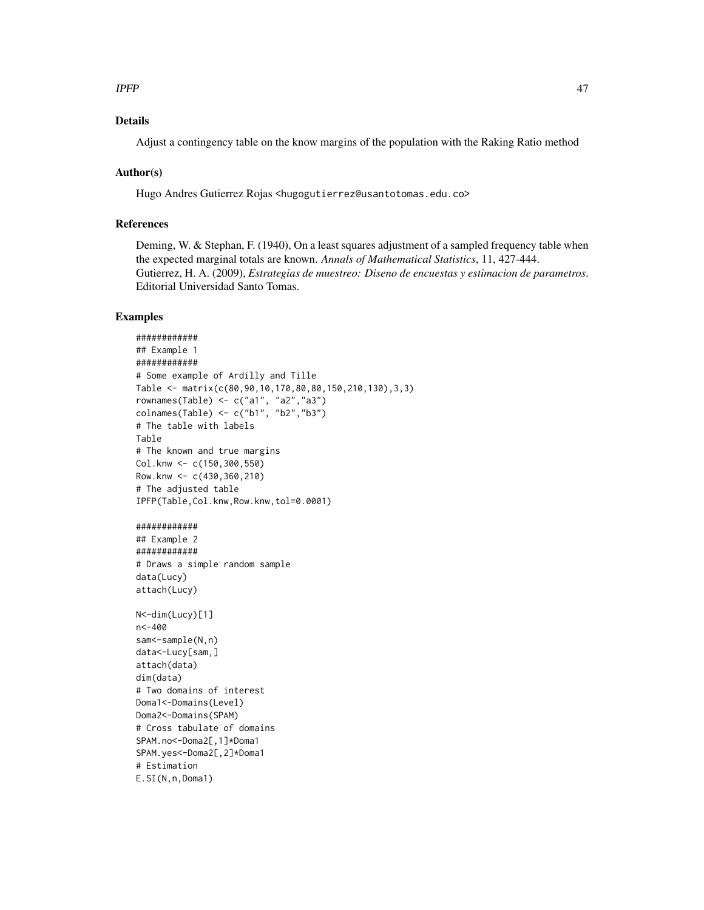#### $I$ PFP  $\sim$  47

# Details

Adjust a contingency table on the know margins of the population with the Raking Ratio method

### Author(s)

Hugo Andres Gutierrez Rojas <hugogutierrez@usantotomas.edu.co>

# References

Deming, W. & Stephan, F. (1940), On a least squares adjustment of a sampled frequency table when the expected marginal totals are known. *Annals of Mathematical Statistics*, 11, 427-444. Gutierrez, H. A. (2009), *Estrategias de muestreo: Diseno de encuestas y estimacion de parametros*. Editorial Universidad Santo Tomas.

```
############
## Example 1
############
# Some example of Ardilly and Tille
Table <- matrix(c(80,90,10,170,80,80,150,210,130),3,3)
rownames(Table) <- c("a1", "a2","a3")
colnames(Table) <- c("b1", "b2","b3")
# The table with labels
Table
# The known and true margins
Col.knw <- c(150,300,550)
Row.knw \leq -c(430, 360, 210)# The adjusted table
IPFP(Table,Col.knw,Row.knw,tol=0.0001)
############
## Example 2
############
# Draws a simple random sample
data(Lucy)
attach(Lucy)
N<-dim(Lucy)[1]
n<-400
sam<-sample(N,n)
data<-Lucy[sam,]
attach(data)
dim(data)
# Two domains of interest
Doma1<-Domains(Level)
Doma2<-Domains(SPAM)
# Cross tabulate of domains
SPAM.no<-Doma2[,1]*Doma1
SPAM.yes<-Doma2[,2]*Doma1
# Estimation
E.SI(N,n,Doma1)
```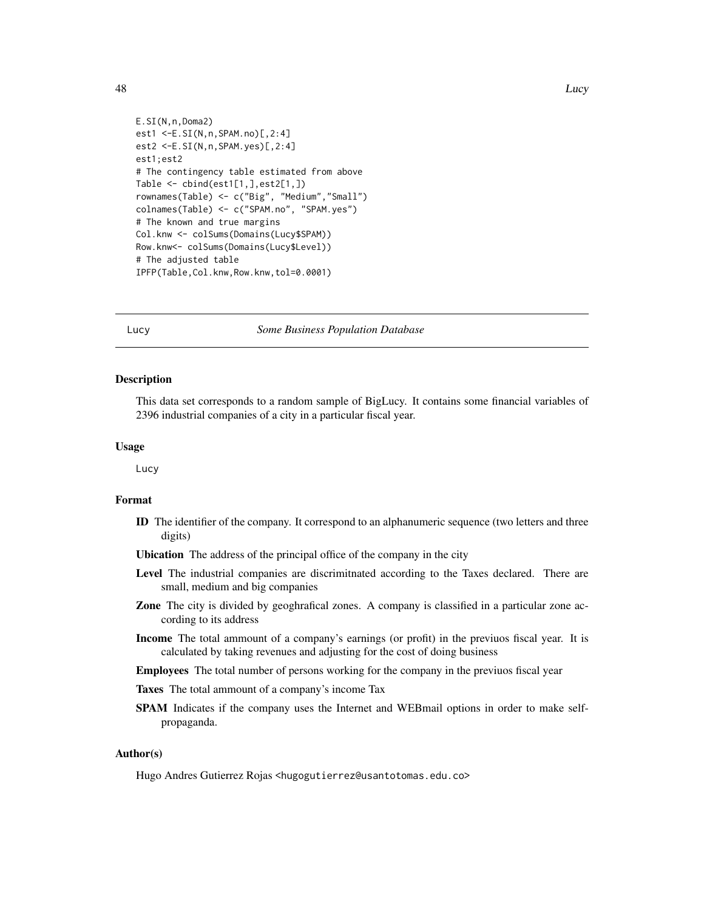```
E.SI(N,n,Doma2)
est1 <-E.SI(N,n,SPAM.no)[,2:4]
est2 <-E.SI(N,n,SPAM.yes)[,2:4]
est1;est2
# The contingency table estimated from above
Table <- cbind(est1[1,],est2[1,])
rownames(Table) <- c("Big", "Medium","Small")
colnames(Table) <- c("SPAM.no", "SPAM.yes")
# The known and true margins
Col.knw <- colSums(Domains(Lucy$SPAM))
Row.knw<- colSums(Domains(Lucy$Level))
# The adjusted table
IPFP(Table,Col.knw,Row.knw,tol=0.0001)
```
#### Lucy *Some Business Population Database*

#### Description

This data set corresponds to a random sample of BigLucy. It contains some financial variables of 2396 industrial companies of a city in a particular fiscal year.

#### Usage

Lucy

# Format

- ID The identifier of the company. It correspond to an alphanumeric sequence (two letters and three digits)
- Ubication The address of the principal office of the company in the city
- Level The industrial companies are discrimitnated according to the Taxes declared. There are small, medium and big companies
- Zone The city is divided by geoghrafical zones. A company is classified in a particular zone according to its address
- Income The total ammount of a company's earnings (or profit) in the previuos fiscal year. It is calculated by taking revenues and adjusting for the cost of doing business
- Employees The total number of persons working for the company in the previuos fiscal year
- Taxes The total ammount of a company's income Tax
- SPAM Indicates if the company uses the Internet and WEBmail options in order to make selfpropaganda.

#### Author(s)

Hugo Andres Gutierrez Rojas <hugogutierrez@usantotomas.edu.co>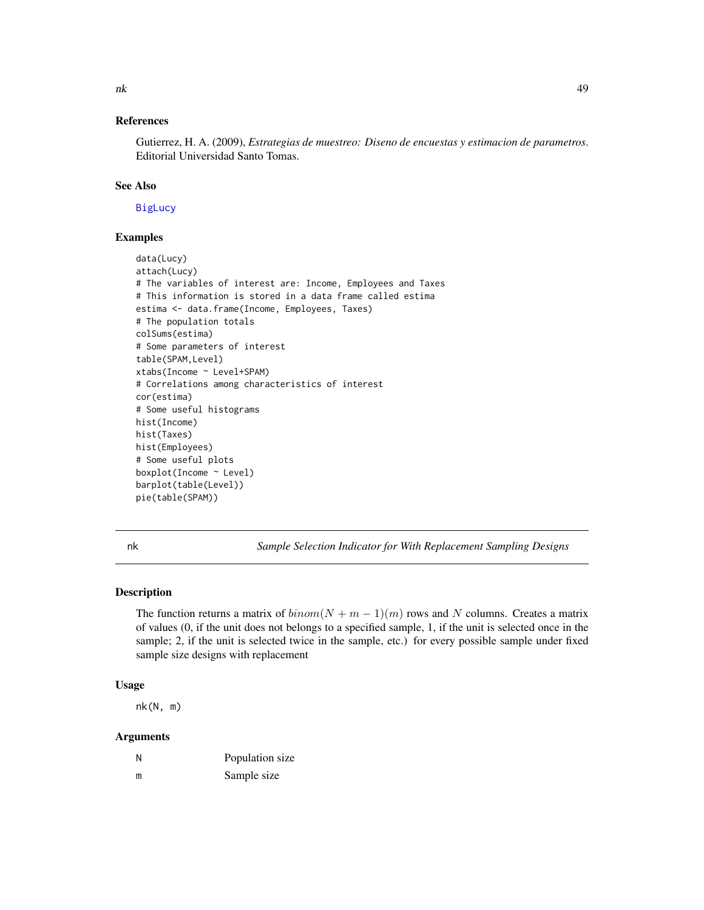# References

Gutierrez, H. A. (2009), *Estrategias de muestreo: Diseno de encuestas y estimacion de parametros*. Editorial Universidad Santo Tomas.

# See Also

[BigLucy](#page-1-0)

# Examples

```
data(Lucy)
attach(Lucy)
# The variables of interest are: Income, Employees and Taxes
# This information is stored in a data frame called estima
estima <- data.frame(Income, Employees, Taxes)
# The population totals
colSums(estima)
# Some parameters of interest
table(SPAM,Level)
xtabs(Income ~ Level+SPAM)
# Correlations among characteristics of interest
cor(estima)
# Some useful histograms
hist(Income)
hist(Taxes)
hist(Employees)
# Some useful plots
boxplot(Income ~ Level)
barplot(table(Level))
pie(table(SPAM))
```
<span id="page-48-0"></span>

nk *Sample Selection Indicator for With Replacement Sampling Designs*

#### Description

The function returns a matrix of  $binom(N + m - 1)(m)$  rows and N columns. Creates a matrix of values (0, if the unit does not belongs to a specified sample, 1, if the unit is selected once in the sample; 2, if the unit is selected twice in the sample, etc.) for every possible sample under fixed sample size designs with replacement

# Usage

nk(N, m)

| N | Population size |
|---|-----------------|
| m | Sample size     |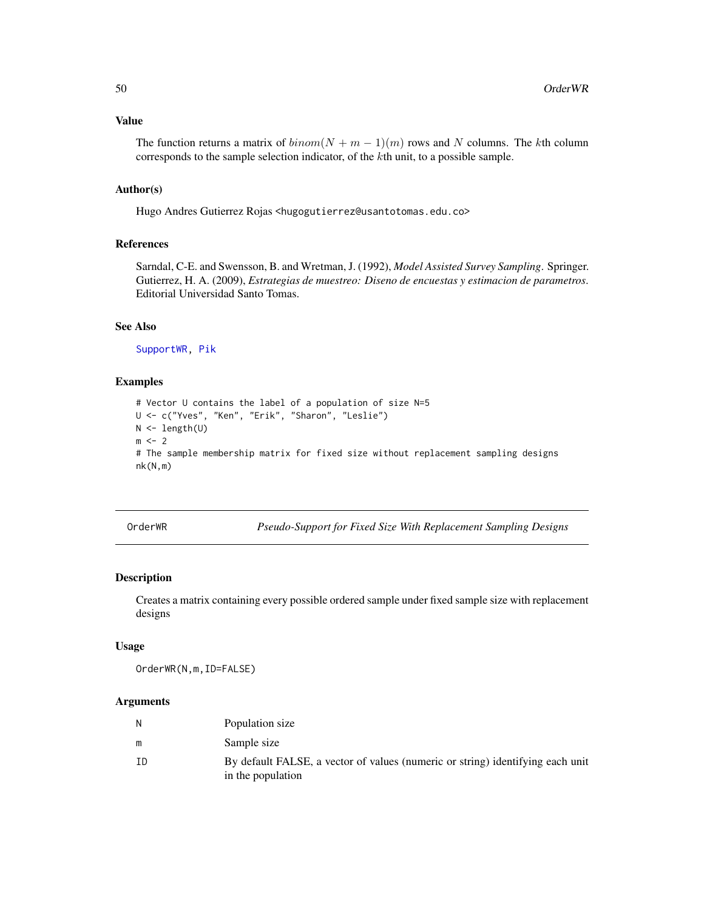#### Value

The function returns a matrix of  $binom(N + m - 1)(m)$  rows and N columns. The kth column corresponds to the sample selection indicator, of the kth unit, to a possible sample.

# Author(s)

Hugo Andres Gutierrez Rojas <hugogutierrez@usantotomas.edu.co>

#### References

Sarndal, C-E. and Swensson, B. and Wretman, J. (1992), *Model Assisted Survey Sampling*. Springer. Gutierrez, H. A. (2009), *Estrategias de muestreo: Diseno de encuestas y estimacion de parametros*. Editorial Universidad Santo Tomas.

# See Also

[SupportWR,](#page-78-0) [Pik](#page-52-0)

#### Examples

```
# Vector U contains the label of a population of size N=5
U <- c("Yves", "Ken", "Erik", "Sharon", "Leslie")
N <- length(U)
m \leq -2# The sample membership matrix for fixed size without replacement sampling designs
nk(N,m)
```
OrderWR *Pseudo-Support for Fixed Size With Replacement Sampling Designs*

# Description

Creates a matrix containing every possible ordered sample under fixed sample size with replacement designs

#### Usage

OrderWR(N,m,ID=FALSE)

| N  | Population size                                                                                     |
|----|-----------------------------------------------------------------------------------------------------|
| m  | Sample size                                                                                         |
| ΙD | By default FALSE, a vector of values (numeric or string) identifying each unit<br>in the population |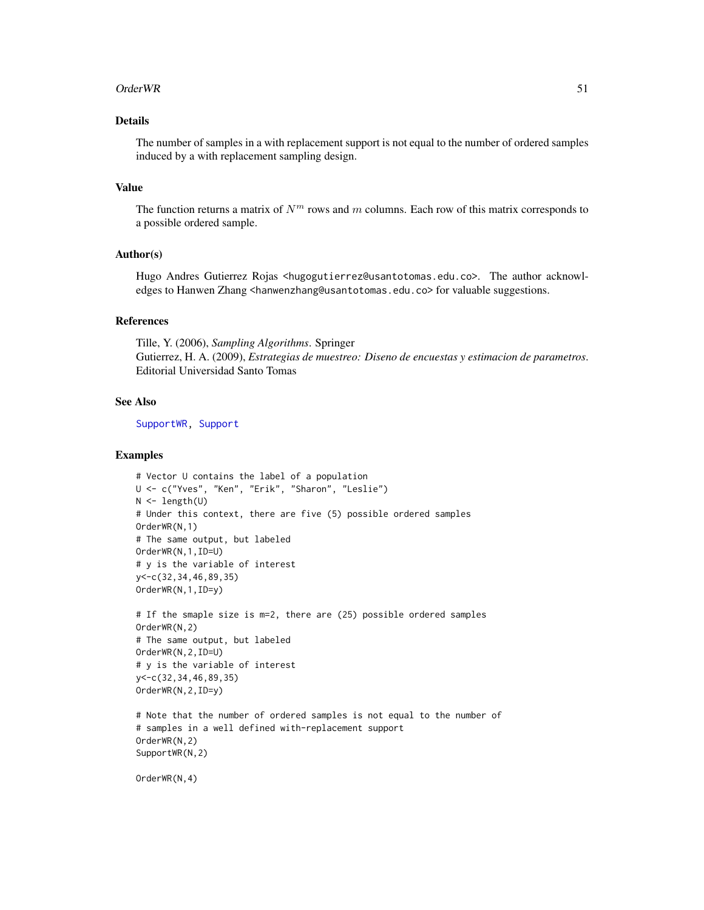#### Order WR 51

# Details

The number of samples in a with replacement support is not equal to the number of ordered samples induced by a with replacement sampling design.

#### Value

The function returns a matrix of  $N<sup>m</sup>$  rows and m columns. Each row of this matrix corresponds to a possible ordered sample.

# Author(s)

Hugo Andres Gutierrez Rojas <hugogutierrez@usantotomas.edu.co>. The author acknowledges to Hanwen Zhang <hanwenzhang@usantotomas.edu.co> for valuable suggestions.

#### References

Tille, Y. (2006), *Sampling Algorithms*. Springer Gutierrez, H. A. (2009), *Estrategias de muestreo: Diseno de encuestas y estimacion de parametros*. Editorial Universidad Santo Tomas

#### See Also

[SupportWR,](#page-78-0) [Support](#page-75-0)

#### Examples

```
# Vector U contains the label of a population
U <- c("Yves", "Ken", "Erik", "Sharon", "Leslie")
N < - length(U)
# Under this context, there are five (5) possible ordered samples
OrderWR(N,1)
# The same output, but labeled
OrderWR(N,1,ID=U)
# y is the variable of interest
y<-c(32,34,46,89,35)
OrderWR(N,1,ID=y)
# If the smaple size is m=2, there are (25) possible ordered samples
```

```
OrderWR(N,2)
# The same output, but labeled
OrderWR(N,2,ID=U)
# y is the variable of interest
y<-c(32,34,46,89,35)
OrderWR(N,2,ID=y)
```

```
# Note that the number of ordered samples is not equal to the number of
# samples in a well defined with-replacement support
OrderWR(N,2)
SupportWR(N,2)
```
OrderWR(N,4)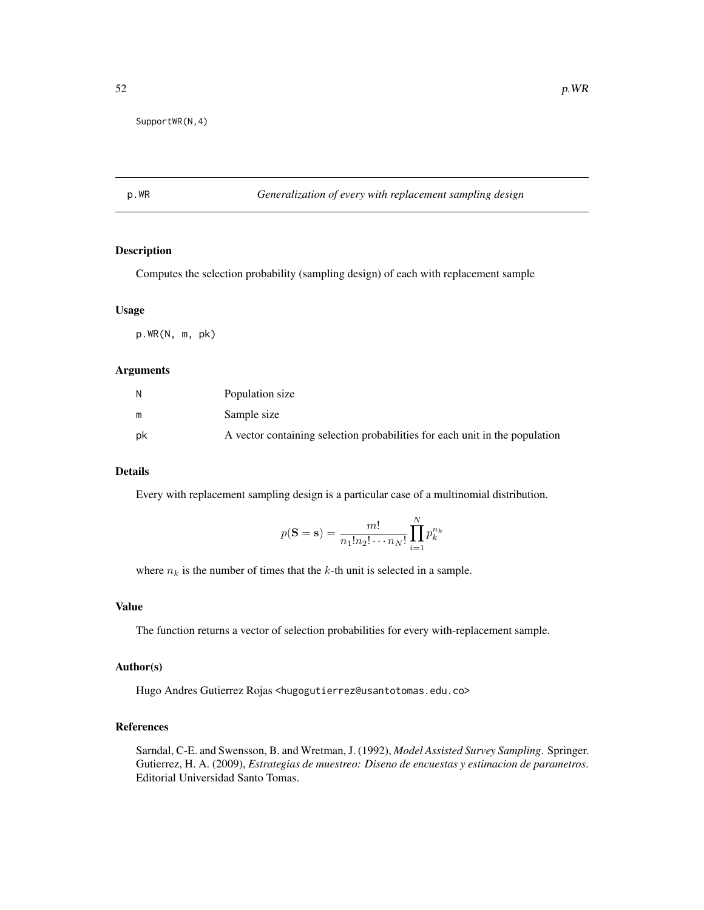SupportWR(N,4)

# p.WR *Generalization of every with replacement sampling design*

# Description

Computes the selection probability (sampling design) of each with replacement sample

# Usage

p.WR(N, m, pk)

#### Arguments

| N  | Population size                                                             |
|----|-----------------------------------------------------------------------------|
| m  | Sample size                                                                 |
| pk | A vector containing selection probabilities for each unit in the population |

# Details

Every with replacement sampling design is a particular case of a multinomial distribution.

$$
p(\mathbf{S} = \mathbf{s}) = \frac{m!}{n_1! n_2! \cdots n_N!} \prod_{i=1}^N p_k^{n_k}
$$

where  $n_k$  is the number of times that the k-th unit is selected in a sample.

# Value

The function returns a vector of selection probabilities for every with-replacement sample.

## Author(s)

Hugo Andres Gutierrez Rojas <hugogutierrez@usantotomas.edu.co>

# References

Sarndal, C-E. and Swensson, B. and Wretman, J. (1992), *Model Assisted Survey Sampling*. Springer. Gutierrez, H. A. (2009), *Estrategias de muestreo: Diseno de encuestas y estimacion de parametros*. Editorial Universidad Santo Tomas.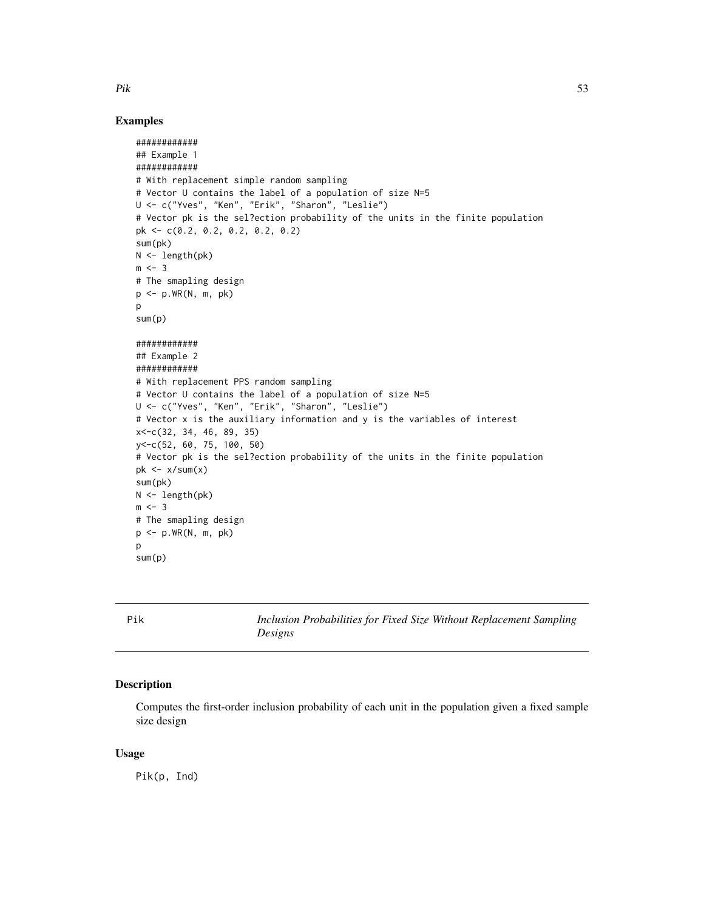# Examples

```
############
## Example 1
############
# With replacement simple random sampling
# Vector U contains the label of a population of size N=5
U <- c("Yves", "Ken", "Erik", "Sharon", "Leslie")
# Vector pk is the sel?ection probability of the units in the finite population
pk <- c(0.2, 0.2, 0.2, 0.2, 0.2)
sum(pk)
N <- length(pk)
m < -3# The smapling design
p \leq -p.WR(N, m, pk)p
sum(p)
############
## Example 2
############
# With replacement PPS random sampling
# Vector U contains the label of a population of size N=5
U <- c("Yves", "Ken", "Erik", "Sharon", "Leslie")
# Vector x is the auxiliary information and y is the variables of interest
x<-c(32, 34, 46, 89, 35)
y<-c(52, 60, 75, 100, 50)
# Vector pk is the sel?ection probability of the units in the finite population
pk \leq x/sum(x)sum(pk)
N < - length(pk)
m \le -3# The smapling design
p <- p.WR(N, m, pk)
p
sum(p)
```
<span id="page-52-0"></span>Pik *Inclusion Probabilities for Fixed Size Without Replacement Sampling Designs*

#### Description

Computes the first-order inclusion probability of each unit in the population given a fixed sample size design

#### Usage

Pik(p, Ind)

 $Pik$  53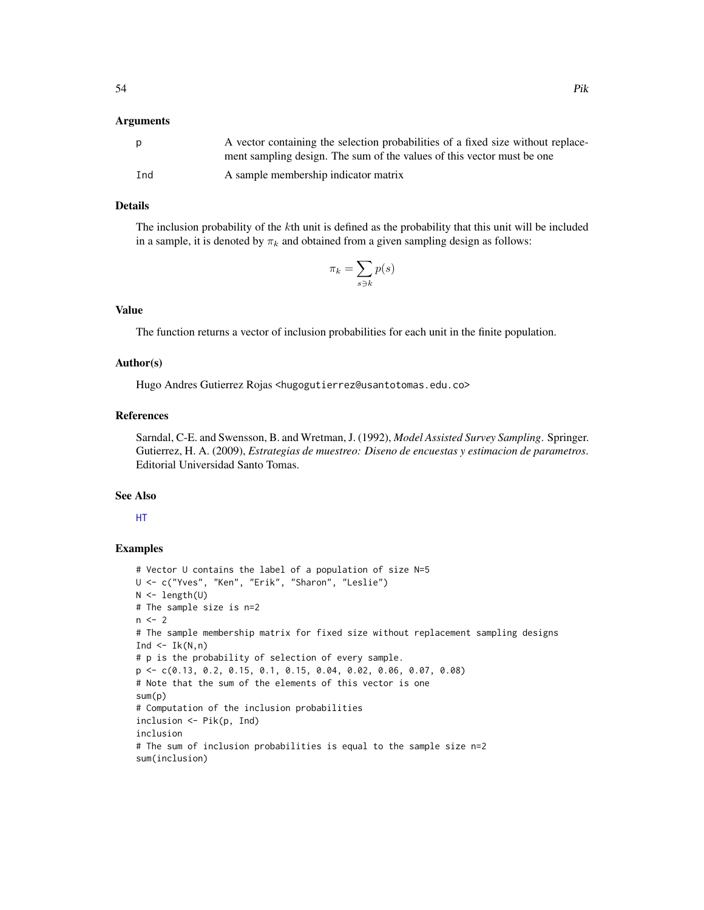# Arguments

| <sub>D</sub> | A vector containing the selection probabilities of a fixed size without replace-<br>ment sampling design. The sum of the values of this vector must be one |
|--------------|------------------------------------------------------------------------------------------------------------------------------------------------------------|
|              |                                                                                                                                                            |
| Ind          | A sample membership indicator matrix                                                                                                                       |

# Details

The inclusion probability of the kth unit is defined as the probability that this unit will be included in a sample, it is denoted by  $\pi_k$  and obtained from a given sampling design as follows:

$$
\pi_k = \sum_{s \ni k} p(s)
$$

# Value

The function returns a vector of inclusion probabilities for each unit in the finite population.

#### Author(s)

Hugo Andres Gutierrez Rojas <hugogutierrez@usantotomas.edu.co>

# References

Sarndal, C-E. and Swensson, B. and Wretman, J. (1992), *Model Assisted Survey Sampling*. Springer. Gutierrez, H. A. (2009), *Estrategias de muestreo: Diseno de encuestas y estimacion de parametros*. Editorial Universidad Santo Tomas.

#### See Also

[HT](#page-36-0)

```
# Vector U contains the label of a population of size N=5
U <- c("Yves", "Ken", "Erik", "Sharon", "Leslie")
N <- length(U)
# The sample size is n=2
n < -2# The sample membership matrix for fixed size without replacement sampling designs
Ind \leq Ik(N,n)
# p is the probability of selection of every sample.
p <- c(0.13, 0.2, 0.15, 0.1, 0.15, 0.04, 0.02, 0.06, 0.07, 0.08)
# Note that the sum of the elements of this vector is one
sum(p)
# Computation of the inclusion probabilities
inclusion <- Pik(p, Ind)
inclusion
# The sum of inclusion probabilities is equal to the sample size n=2
sum(inclusion)
```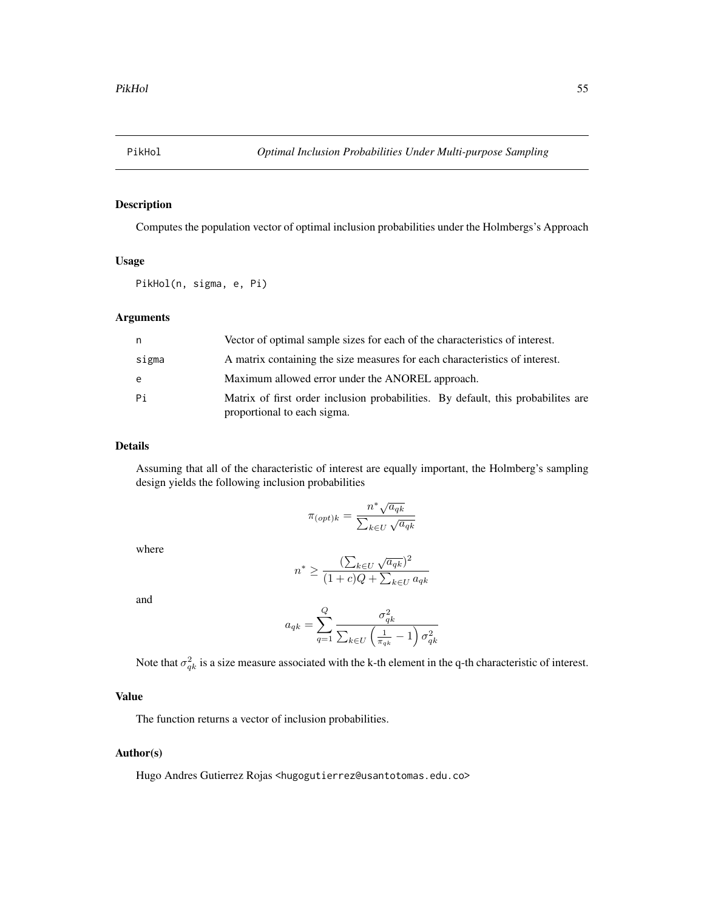<span id="page-54-0"></span>

# Description

Computes the population vector of optimal inclusion probabilities under the Holmbergs's Approach

#### Usage

PikHol(n, sigma, e, Pi)

# Arguments

| n     | Vector of optimal sample sizes for each of the characteristics of interest.                                      |
|-------|------------------------------------------------------------------------------------------------------------------|
| sigma | A matrix containing the size measures for each characteristics of interest.                                      |
| e     | Maximum allowed error under the ANOREL approach.                                                                 |
| Pi    | Matrix of first order inclusion probabilities. By default, this probabilities are<br>proportional to each sigma. |

# Details

Assuming that all of the characteristic of interest are equally important, the Holmberg's sampling design yields the following inclusion probabilities

$$
\pi_{(opt)k} = \frac{n^* \sqrt{a_{qk}}}{\sum_{k \in U} \sqrt{a_{qk}}}
$$

where

$$
n^* \ge \frac{(\sum_{k \in U} \sqrt{a_{qk}})^2}{(1+c)Q + \sum_{k \in U} a_{qk}}
$$

and

$$
a_{qk} = \sum_{q=1}^{Q} \frac{\sigma_{qk}^2}{\sum_{k \in U} \left(\frac{1}{\pi_{qk}} - 1\right) \sigma_{qk}^2}
$$

Note that  $\sigma_{qk}^2$  is a size measure associated with the k-th element in the q-th characteristic of interest.

# Value

The function returns a vector of inclusion probabilities.

# Author(s)

Hugo Andres Gutierrez Rojas <hugogutierrez@usantotomas.edu.co>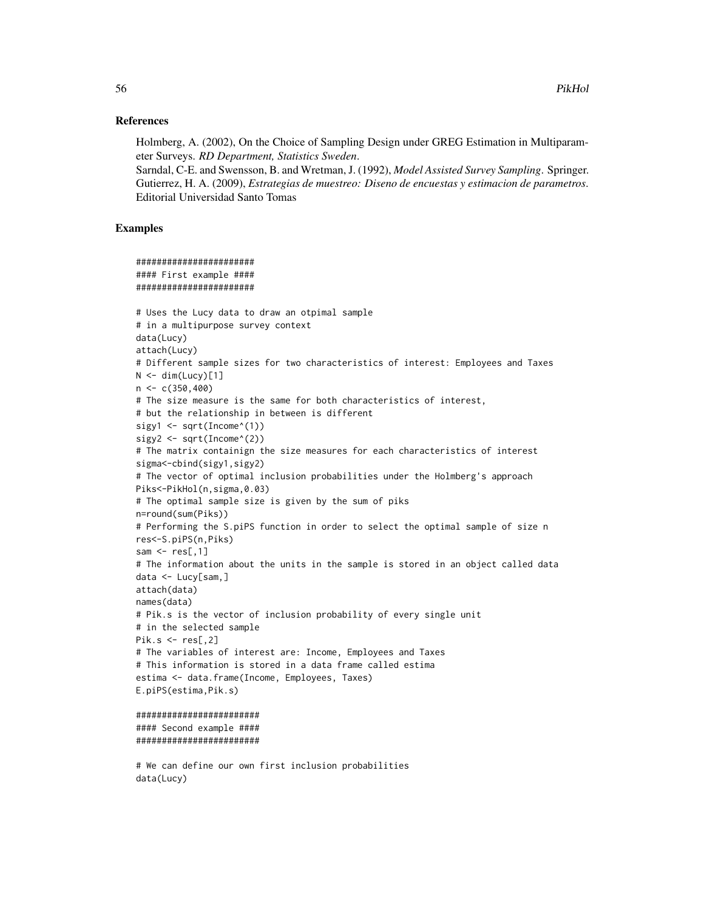#### References

Holmberg, A. (2002), On the Choice of Sampling Design under GREG Estimation in Multiparameter Surveys. *RD Department, Statistics Sweden*.

Sarndal, C-E. and Swensson, B. and Wretman, J. (1992), *Model Assisted Survey Sampling*. Springer. Gutierrez, H. A. (2009), *Estrategias de muestreo: Diseno de encuestas y estimacion de parametros*. Editorial Universidad Santo Tomas

# Examples

```
#######################
#### First example ####
#######################
# Uses the Lucy data to draw an otpimal sample
# in a multipurpose survey context
data(Lucy)
attach(Lucy)
# Different sample sizes for two characteristics of interest: Employees and Taxes
N < - dim(Lucy)[1]
n < -c(350, 400)# The size measure is the same for both characteristics of interest,
# but the relationship in between is different
sigy1 <- sqrt(Income^(1))
sigy2 \leq sqrt(Income^(2))
# The matrix containign the size measures for each characteristics of interest
sigma<-cbind(sigy1,sigy2)
# The vector of optimal inclusion probabilities under the Holmberg's approach
Piks<-PikHol(n,sigma,0.03)
# The optimal sample size is given by the sum of piks
n=round(sum(Piks))
# Performing the S.piPS function in order to select the optimal sample of size n
res<-S.piPS(n,Piks)
sam \leq res[,1]
# The information about the units in the sample is stored in an object called data
data <- Lucy[sam,]
attach(data)
names(data)
# Pik.s is the vector of inclusion probability of every single unit
# in the selected sample
Pik.s \leftarrow res[, 2]# The variables of interest are: Income, Employees and Taxes
# This information is stored in a data frame called estima
estima <- data.frame(Income, Employees, Taxes)
E.piPS(estima,Pik.s)
########################
```

```
#### Second example ####
########################
```
# We can define our own first inclusion probabilities data(Lucy)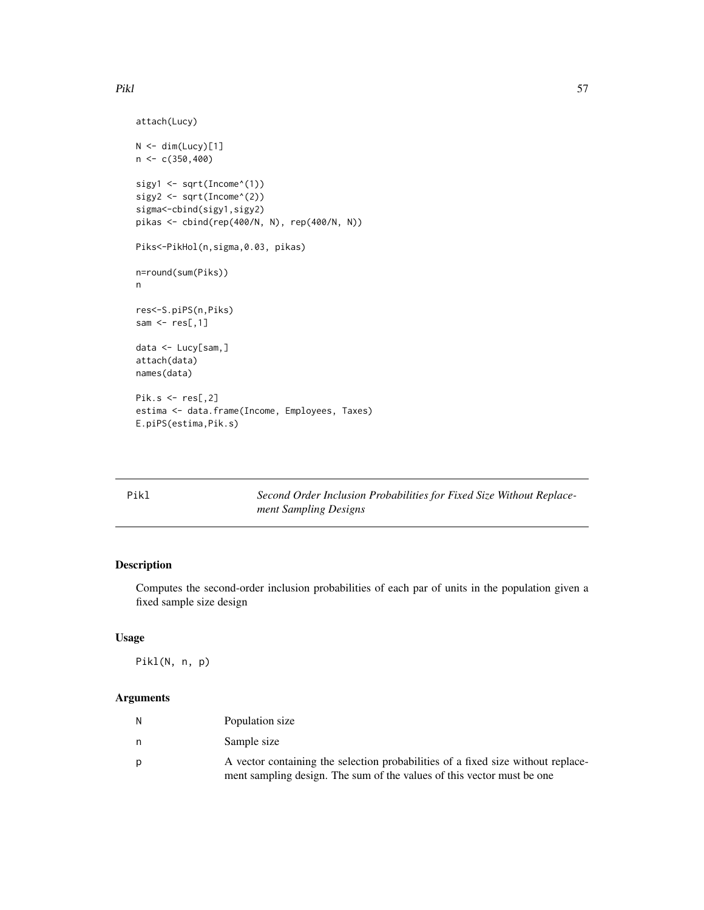```
attach(Lucy)
N < - dim(Lucy)[1]
n < c(350, 400)sigy1 <- sqrt(Income^(1))
sigy2 <- sqrt(Income^(2))
sigma<-cbind(sigy1,sigy2)
pikas <- cbind(rep(400/N, N), rep(400/N, N))
Piks<-PikHol(n,sigma,0.03, pikas)
n=round(sum(Piks))
n
res<-S.piPS(n,Piks)
sam \leq res[,1]
data <- Lucy[sam,]
attach(data)
names(data)
Pik.s <- res[,2]
estima <- data.frame(Income, Employees, Taxes)
E.piPS(estima,Pik.s)
```

| Pikl | Second Order Inclusion Probabilities for Fixed Size Without Replace- |
|------|----------------------------------------------------------------------|
|      | ment Sampling Designs                                                |

# Description

Computes the second-order inclusion probabilities of each par of units in the population given a fixed sample size design

# Usage

Pikl(N, n, p)

| N | Population size                                                                                                                                            |
|---|------------------------------------------------------------------------------------------------------------------------------------------------------------|
| n | Sample size                                                                                                                                                |
|   | A vector containing the selection probabilities of a fixed size without replace-<br>ment sampling design. The sum of the values of this vector must be one |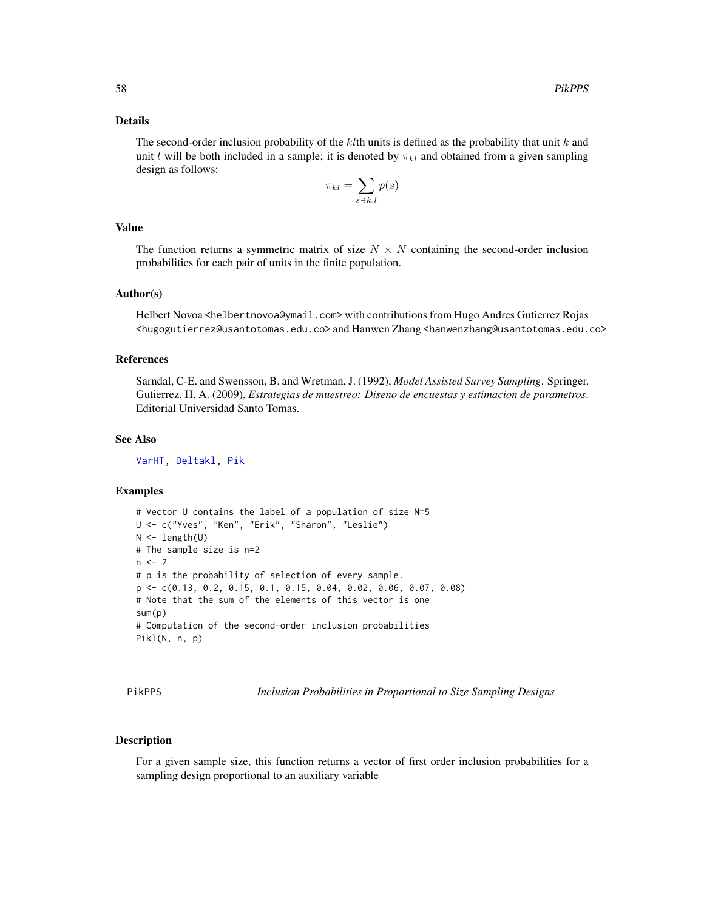#### Details

The second-order inclusion probability of the klth units is defined as the probability that unit k and unit l will be both included in a sample; it is denoted by  $\pi_{kl}$  and obtained from a given sampling design as follows:

$$
\pi_{kl} = \sum_{s \ni k,l} p(s)
$$

# Value

The function returns a symmetric matrix of size  $N \times N$  containing the second-order inclusion probabilities for each pair of units in the finite population.

#### Author(s)

Helbert Novoa <helbertnovoa@ymail.com> with contributions from Hugo Andres Gutierrez Rojas <hugogutierrez@usantotomas.edu.co> and Hanwen Zhang <hanwenzhang@usantotomas.edu.co>

#### References

Sarndal, C-E. and Swensson, B. and Wretman, J. (1992), *Model Assisted Survey Sampling*. Springer. Gutierrez, H. A. (2009), *Estrategias de muestreo: Diseno de encuestas y estimacion de parametros*. Editorial Universidad Santo Tomas.

#### See Also

[VarHT,](#page-81-0) [Deltakl,](#page-3-0) [Pik](#page-52-0)

#### Examples

```
# Vector U contains the label of a population of size N=5
U <- c("Yves", "Ken", "Erik", "Sharon", "Leslie")
N < - length(U)
# The sample size is n=2
n < -2# p is the probability of selection of every sample.
p <- c(0.13, 0.2, 0.15, 0.1, 0.15, 0.04, 0.02, 0.06, 0.07, 0.08)
# Note that the sum of the elements of this vector is one
sum(p)
# Computation of the second-order inclusion probabilities
Pikl(N, n, p)
```
PikPPS *Inclusion Probabilities in Proportional to Size Sampling Designs*

#### Description

For a given sample size, this function returns a vector of first order inclusion probabilities for a sampling design proportional to an auxiliary variable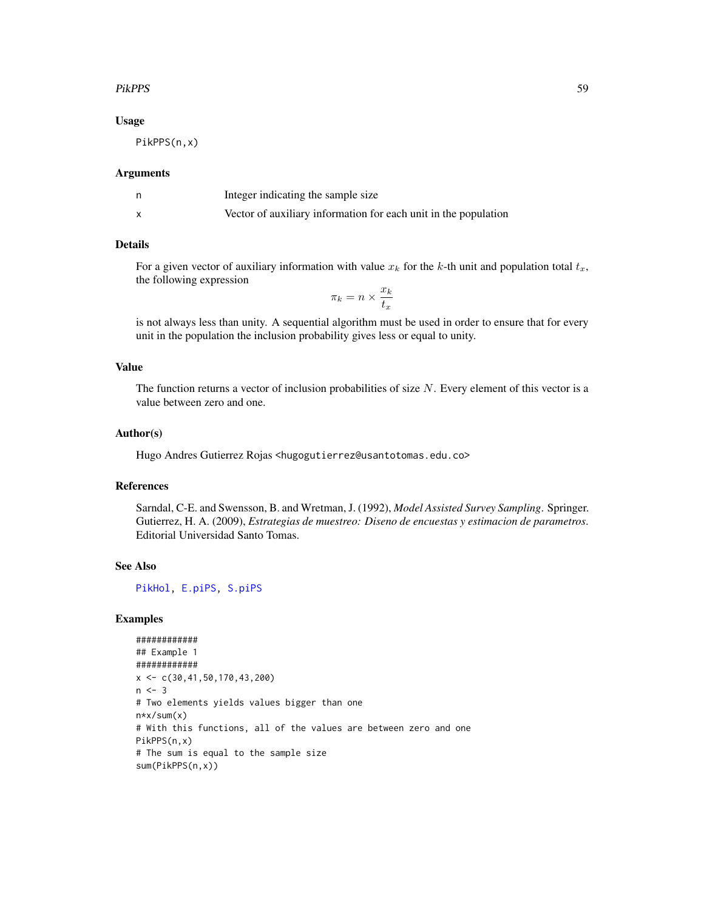# PikPPS 59

#### Usage

PikPPS(n,x)

#### Arguments

| Integer indicating the sample size                              |
|-----------------------------------------------------------------|
| Vector of auxiliary information for each unit in the population |

#### Details

For a given vector of auxiliary information with value  $x_k$  for the k-th unit and population total  $t_x$ , the following expression

 $\pi_k = n \times \frac{x_k}{t}$  $t_x$ 

is not always less than unity. A sequential algorithm must be used in order to ensure that for every unit in the population the inclusion probability gives less or equal to unity.

#### Value

The function returns a vector of inclusion probabilities of size  $N$ . Every element of this vector is a value between zero and one.

#### Author(s)

Hugo Andres Gutierrez Rojas <hugogutierrez@usantotomas.edu.co>

# References

Sarndal, C-E. and Swensson, B. and Wretman, J. (1992), *Model Assisted Survey Sampling*. Springer. Gutierrez, H. A. (2009), *Estrategias de muestreo: Diseno de encuestas y estimacion de parametros*. Editorial Universidad Santo Tomas.

# See Also

[PikHol,](#page-54-0) [E.piPS,](#page-13-0) [S.piPS](#page-61-0)

```
############
## Example 1
############
x \leftarrow c(30, 41, 50, 170, 43, 200)n < -3# Two elements yields values bigger than one
n*x/sum(x)
# With this functions, all of the values are between zero and one
PikPPS(n,x)
# The sum is equal to the sample size
sum(PikPPS(n,x))
```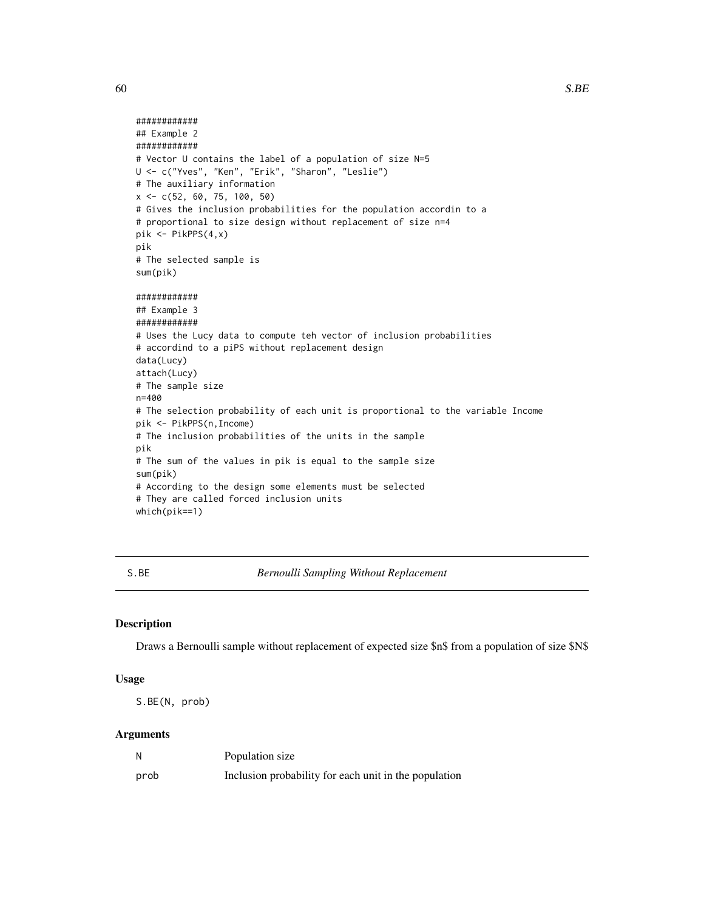```
############
## Example 2
############
# Vector U contains the label of a population of size N=5
U <- c("Yves", "Ken", "Erik", "Sharon", "Leslie")
# The auxiliary information
x \leq -c(52, 60, 75, 100, 50)# Gives the inclusion probabilities for the population accordin to a
# proportional to size design without replacement of size n=4
pik <- PikPPS(4,x)
pik
# The selected sample is
sum(pik)
############
## Example 3
############
# Uses the Lucy data to compute teh vector of inclusion probabilities
# accordind to a piPS without replacement design
data(Lucy)
attach(Lucy)
# The sample size
n=400
# The selection probability of each unit is proportional to the variable Income
pik <- PikPPS(n,Income)
# The inclusion probabilities of the units in the sample
pik
# The sum of the values in pik is equal to the sample size
sum(pik)
# According to the design some elements must be selected
# They are called forced inclusion units
which(pik==1)
```
S.BE *Bernoulli Sampling Without Replacement*

#### Description

Draws a Bernoulli sample without replacement of expected size \$n\$ from a population of size \$N\$

#### Usage

S.BE(N, prob)

| N    | Population size                                       |
|------|-------------------------------------------------------|
| prob | Inclusion probability for each unit in the population |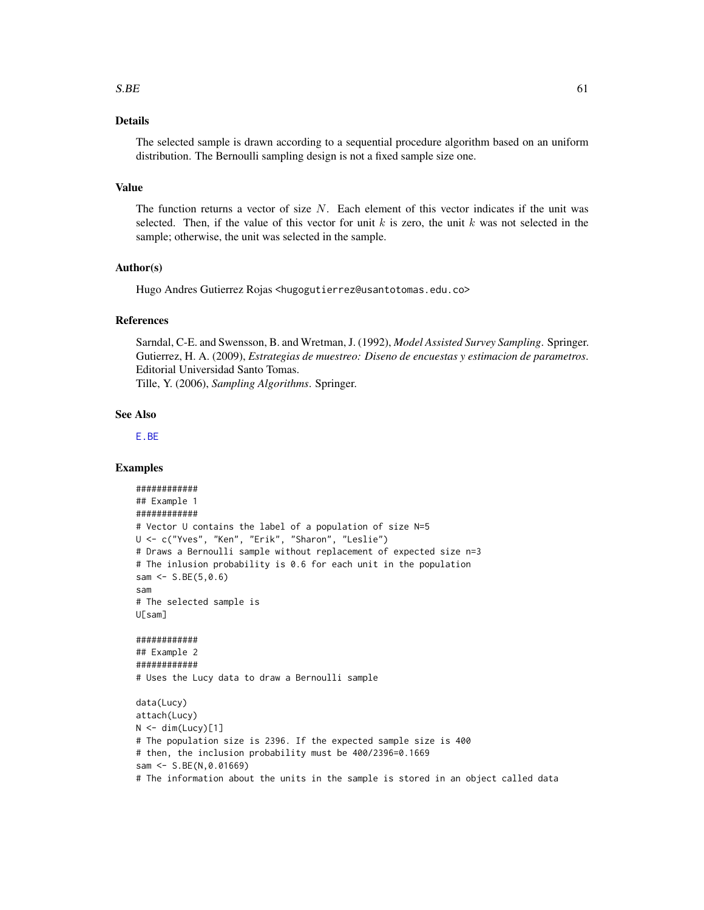#### $S.BE$  61

# Details

The selected sample is drawn according to a sequential procedure algorithm based on an uniform distribution. The Bernoulli sampling design is not a fixed sample size one.

#### Value

The function returns a vector of size  $N$ . Each element of this vector indicates if the unit was selected. Then, if the value of this vector for unit k is zero, the unit k was not selected in the sample; otherwise, the unit was selected in the sample.

#### Author(s)

Hugo Andres Gutierrez Rojas <hugogutierrez@usantotomas.edu.co>

#### References

Sarndal, C-E. and Swensson, B. and Wretman, J. (1992), *Model Assisted Survey Sampling*. Springer. Gutierrez, H. A. (2009), *Estrategias de muestreo: Diseno de encuestas y estimacion de parametros*. Editorial Universidad Santo Tomas. Tille, Y. (2006), *Sampling Algorithms*. Springer.

# See Also

[E.BE](#page-9-0)

```
############
## Example 1
############
# Vector U contains the label of a population of size N=5
U <- c("Yves", "Ken", "Erik", "Sharon", "Leslie")
# Draws a Bernoulli sample without replacement of expected size n=3
# The inlusion probability is 0.6 for each unit in the population
sam <- S.BE(5,0.6)
sam
# The selected sample is
U[sam]
############
## Example 2
############
# Uses the Lucy data to draw a Bernoulli sample
data(Lucy)
attach(Lucy)
N < - dim(Lucy)[1]
# The population size is 2396. If the expected sample size is 400
# then, the inclusion probability must be 400/2396=0.1669
sam <- S.BE(N,0.01669)
# The information about the units in the sample is stored in an object called data
```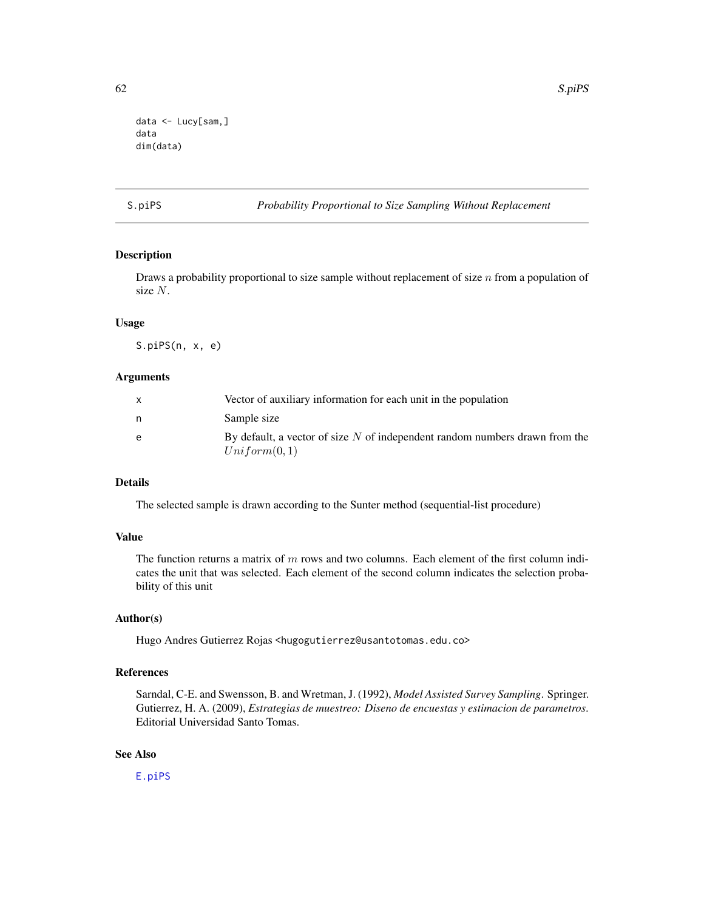```
data <- Lucy[sam,]
data
dim(data)
```
# <span id="page-61-0"></span>S.piPS *Probability Proportional to Size Sampling Without Replacement*

# Description

Draws a probability proportional to size sample without replacement of size  $n$  from a population of size N.

# Usage

S.piPS(n, x, e)

# Arguments

|   | Vector of auxiliary information for each unit in the population                               |
|---|-----------------------------------------------------------------------------------------------|
| n | Sample size                                                                                   |
| e | By default, a vector of size $N$ of independent random numbers drawn from the<br>Uniform(0,1) |

# Details

The selected sample is drawn according to the Sunter method (sequential-list procedure)

# Value

The function returns a matrix of  $m$  rows and two columns. Each element of the first column indicates the unit that was selected. Each element of the second column indicates the selection probability of this unit

# Author(s)

Hugo Andres Gutierrez Rojas <hugogutierrez@usantotomas.edu.co>

#### References

Sarndal, C-E. and Swensson, B. and Wretman, J. (1992), *Model Assisted Survey Sampling*. Springer. Gutierrez, H. A. (2009), *Estrategias de muestreo: Diseno de encuestas y estimacion de parametros*. Editorial Universidad Santo Tomas.

# See Also

[E.piPS](#page-13-0)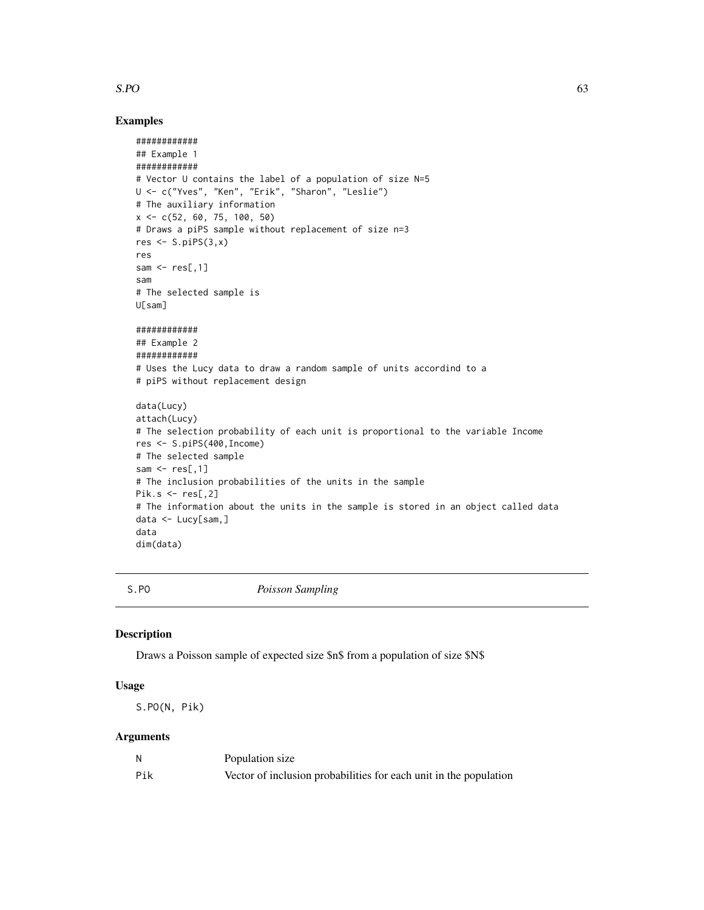## $S.PO$  63

# Examples

```
############
## Example 1
############
# Vector U contains the label of a population of size N=5
U <- c("Yves", "Ken", "Erik", "Sharon", "Leslie")
# The auxiliary information
x <- c(52, 60, 75, 100, 50)
# Draws a piPS sample without replacement of size n=3
res \leq S.piPS(3,x)res
sam \leq res[,1]
sam
# The selected sample is
U[sam]
############
## Example 2
############
# Uses the Lucy data to draw a random sample of units accordind to a
# piPS without replacement design
data(Lucy)
attach(Lucy)
# The selection probability of each unit is proportional to the variable Income
res <- S.piPS(400,Income)
# The selected sample
sam \leq res[,1]
# The inclusion probabilities of the units in the sample
Pik.s \le res[,2]
# The information about the units in the sample is stored in an object called data
data <- Lucy[sam,]
data
dim(data)
```
S.PO *Poisson Sampling*

#### Description

Draws a Poisson sample of expected size \$n\$ from a population of size \$N\$

#### Usage

S.PO(N, Pik)

|     | Population size                                                   |
|-----|-------------------------------------------------------------------|
| Pik | Vector of inclusion probabilities for each unit in the population |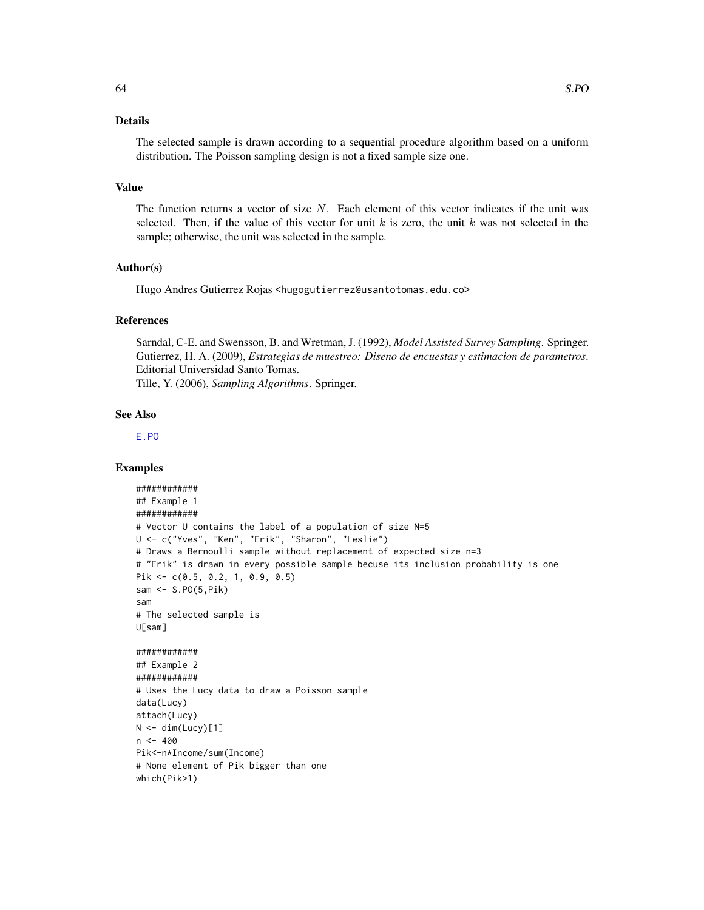# Details

The selected sample is drawn according to a sequential procedure algorithm based on a uniform distribution. The Poisson sampling design is not a fixed sample size one.

#### Value

The function returns a vector of size  $N$ . Each element of this vector indicates if the unit was selected. Then, if the value of this vector for unit k is zero, the unit k was not selected in the sample; otherwise, the unit was selected in the sample.

#### Author(s)

Hugo Andres Gutierrez Rojas <hugogutierrez@usantotomas.edu.co>

#### References

Sarndal, C-E. and Swensson, B. and Wretman, J. (1992), *Model Assisted Survey Sampling*. Springer. Gutierrez, H. A. (2009), *Estrategias de muestreo: Diseno de encuestas y estimacion de parametros*. Editorial Universidad Santo Tomas. Tille, Y. (2006), *Sampling Algorithms*. Springer.

#### See Also

[E.PO](#page-14-0)

```
############
## Example 1
############
# Vector U contains the label of a population of size N=5
U <- c("Yves", "Ken", "Erik", "Sharon", "Leslie")
# Draws a Bernoulli sample without replacement of expected size n=3
# "Erik" is drawn in every possible sample becuse its inclusion probability is one
Pik <- c(0.5, 0.2, 1, 0.9, 0.5)
sam <- S.PO(5,Pik)
sam
# The selected sample is
U[sam]
############
## Example 2
############
# Uses the Lucy data to draw a Poisson sample
data(Lucy)
attach(Lucy)
N < - dim(Lucy)[1]
n < -400Pik<-n*Income/sum(Income)
# None element of Pik bigger than one
which(Pik>1)
```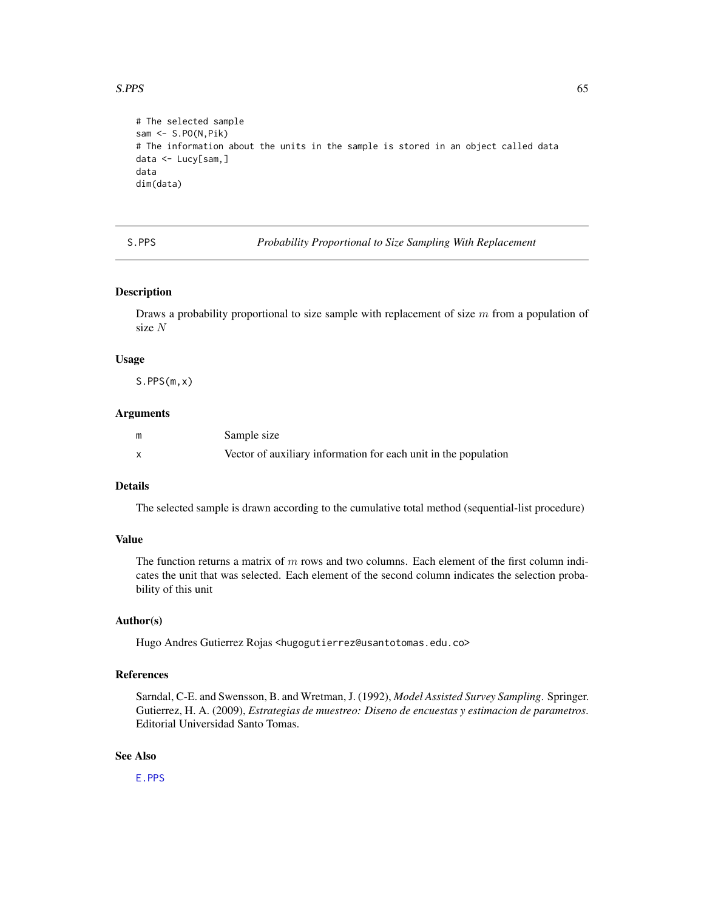#### $S.PPS$  65

```
# The selected sample
sam <- S.PO(N,Pik)
# The information about the units in the sample is stored in an object called data
data <- Lucy[sam,]
data
dim(data)
```
S.PPS *Probability Proportional to Size Sampling With Replacement*

# Description

Draws a probability proportional to size sample with replacement of size  $m$  from a population of size N

#### Usage

S.PPS(m,x)

#### Arguments

| Sample size                                                     |
|-----------------------------------------------------------------|
| Vector of auxiliary information for each unit in the population |

# Details

The selected sample is drawn according to the cumulative total method (sequential-list procedure)

# Value

The function returns a matrix of  $m$  rows and two columns. Each element of the first column indicates the unit that was selected. Each element of the second column indicates the selection probability of this unit

#### Author(s)

Hugo Andres Gutierrez Rojas <hugogutierrez@usantotomas.edu.co>

#### References

Sarndal, C-E. and Swensson, B. and Wretman, J. (1992), *Model Assisted Survey Sampling*. Springer. Gutierrez, H. A. (2009), *Estrategias de muestreo: Diseno de encuestas y estimacion de parametros*. Editorial Universidad Santo Tomas.

# See Also

[E.PPS](#page-16-0)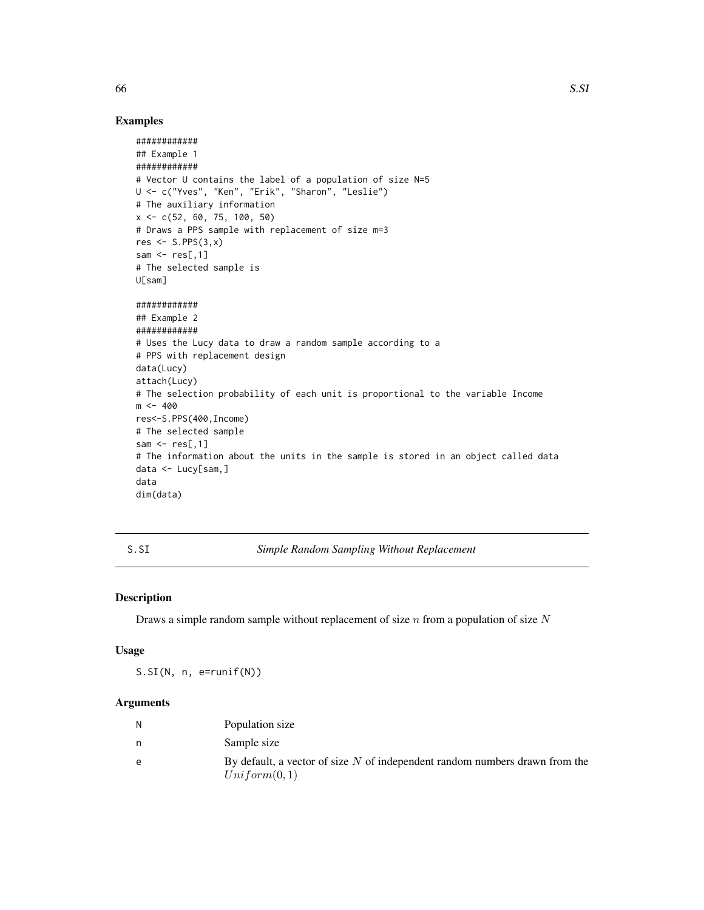# Examples

```
############
## Example 1
############
# Vector U contains the label of a population of size N=5
U <- c("Yves", "Ken", "Erik", "Sharon", "Leslie")
# The auxiliary information
x \leq -c(52, 60, 75, 100, 50)# Draws a PPS sample with replacement of size m=3
res \leq S.PPS(3,x)sam \leq res[,1]
# The selected sample is
U[sam]
############
## Example 2
############
# Uses the Lucy data to draw a random sample according to a
# PPS with replacement design
data(Lucy)
attach(Lucy)
# The selection probability of each unit is proportional to the variable Income
m <- 400
res<-S.PPS(400,Income)
# The selected sample
sam \leq res[,1]
# The information about the units in the sample is stored in an object called data
data <- Lucy[sam,]
data
dim(data)
```
S.SI *Simple Random Sampling Without Replacement*

#### Description

Draws a simple random sample without replacement of size  $n$  from a population of size  $N$ 

# Usage

 $S.SI(N, n, e=runif(N))$ 

| N | Population size                                                               |
|---|-------------------------------------------------------------------------------|
|   | Sample size                                                                   |
| e | By default, a vector of size $N$ of independent random numbers drawn from the |
|   | Uniform(0,1)                                                                  |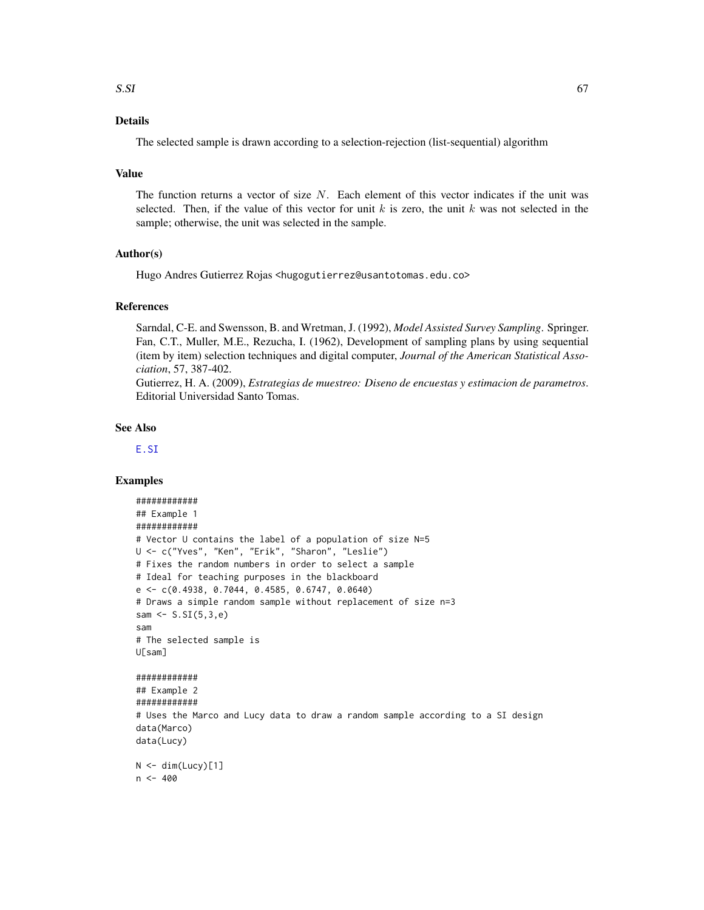# Details

The selected sample is drawn according to a selection-rejection (list-sequential) algorithm

#### Value

The function returns a vector of size  $N$ . Each element of this vector indicates if the unit was selected. Then, if the value of this vector for unit k is zero, the unit k was not selected in the sample; otherwise, the unit was selected in the sample.

### Author(s)

Hugo Andres Gutierrez Rojas <hugogutierrez@usantotomas.edu.co>

#### References

Sarndal, C-E. and Swensson, B. and Wretman, J. (1992), *Model Assisted Survey Sampling*. Springer. Fan, C.T., Muller, M.E., Rezucha, I. (1962), Development of sampling plans by using sequential (item by item) selection techniques and digital computer, *Journal of the American Statistical Association*, 57, 387-402.

Gutierrez, H. A. (2009), *Estrategias de muestreo: Diseno de encuestas y estimacion de parametros*. Editorial Universidad Santo Tomas.

#### See Also

[E.SI](#page-19-0)

```
############
## Example 1
############
# Vector U contains the label of a population of size N=5
U <- c("Yves", "Ken", "Erik", "Sharon", "Leslie")
# Fixes the random numbers in order to select a sample
# Ideal for teaching purposes in the blackboard
e <- c(0.4938, 0.7044, 0.4585, 0.6747, 0.0640)
# Draws a simple random sample without replacement of size n=3
sam <- S.SI(5,3,e)
sam
# The selected sample is
U[sam]
############
## Example 2
############
# Uses the Marco and Lucy data to draw a random sample according to a SI design
data(Marco)
data(Lucy)
N < - dim(Lucy)[1]
n < -400
```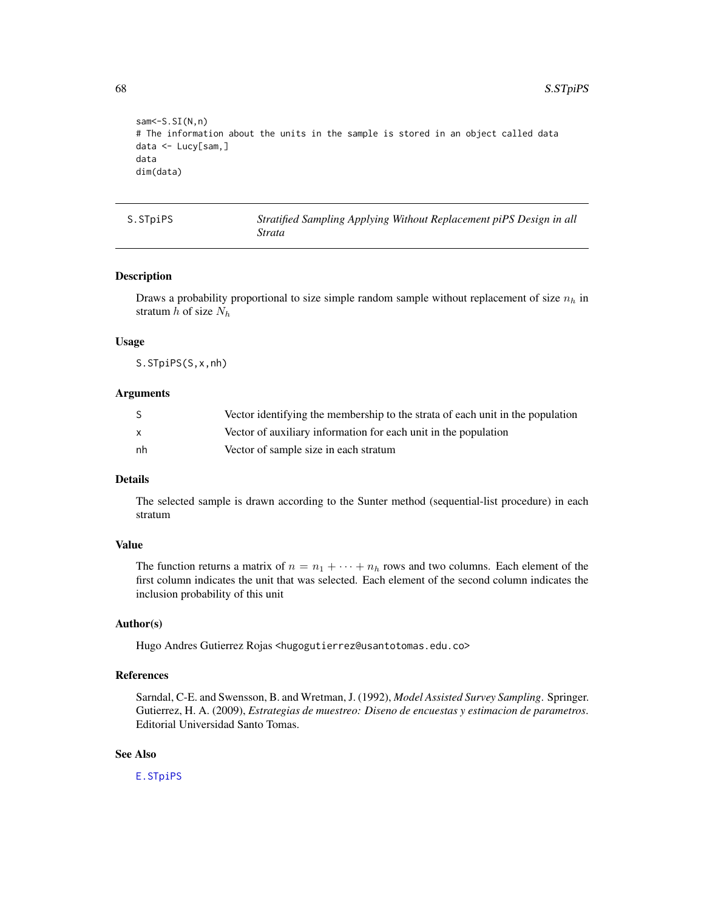68 S.S.TpiPS

```
sam <- S.SI(N,n)
# The information about the units in the sample is stored in an object called data
data <- Lucy[sam,]
data
dim(data)
```
S.STpiPS *Stratified Sampling Applying Without Replacement piPS Design in all Strata*

#### Description

Draws a probability proportional to size simple random sample without replacement of size  $n_h$  in stratum  $h$  of size  $N_h$ 

#### Usage

S.STpiPS(S,x,nh)

#### Arguments

|    | Vector identifying the membership to the strata of each unit in the population |
|----|--------------------------------------------------------------------------------|
|    | Vector of auxiliary information for each unit in the population                |
| nh | Vector of sample size in each stratum                                          |

# Details

The selected sample is drawn according to the Sunter method (sequential-list procedure) in each stratum

#### Value

The function returns a matrix of  $n = n_1 + \cdots + n_h$  rows and two columns. Each element of the first column indicates the unit that was selected. Each element of the second column indicates the inclusion probability of this unit

### Author(s)

Hugo Andres Gutierrez Rojas <hugogutierrez@usantotomas.edu.co>

#### References

Sarndal, C-E. and Swensson, B. and Wretman, J. (1992), *Model Assisted Survey Sampling*. Springer. Gutierrez, H. A. (2009), *Estrategias de muestreo: Diseno de encuestas y estimacion de parametros*. Editorial Universidad Santo Tomas.

# See Also

[E.STpiPS](#page-21-0)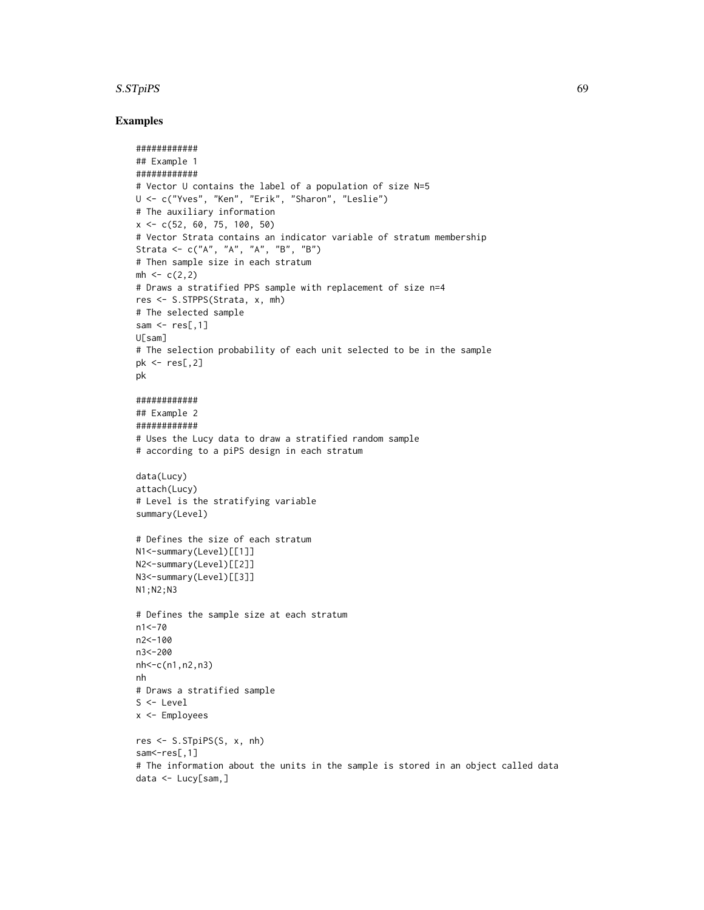#### S.STpiPS 69

```
############
## Example 1
############
# Vector U contains the label of a population of size N=5
U <- c("Yves", "Ken", "Erik", "Sharon", "Leslie")
# The auxiliary information
x \leq -c(52, 60, 75, 100, 50)# Vector Strata contains an indicator variable of stratum membership
Strata <- c("A", "A", "A", "B", "B")
# Then sample size in each stratum
mh < -c(2,2)# Draws a stratified PPS sample with replacement of size n=4
res <- S.STPPS(Strata, x, mh)
# The selected sample
sam \leq res[,1]
U[sam]
# The selection probability of each unit selected to be in the sample
pk \le res[,2]
pk
############
## Example 2
############
# Uses the Lucy data to draw a stratified random sample
# according to a piPS design in each stratum
data(Lucy)
attach(Lucy)
# Level is the stratifying variable
summary(Level)
# Defines the size of each stratum
N1<-summary(Level)[[1]]
N2<-summary(Level)[[2]]
N3<-summary(Level)[[3]]
N1;N2;N3
# Defines the sample size at each stratum
n1<-70
n2<-100
n3<-200
nh<-c(n1,n2,n3)
nh
# Draws a stratified sample
S <- Level
x <- Employees
res <- S.STpiPS(S, x, nh)
sam <- res[,1]
# The information about the units in the sample is stored in an object called data
data <- Lucy[sam,]
```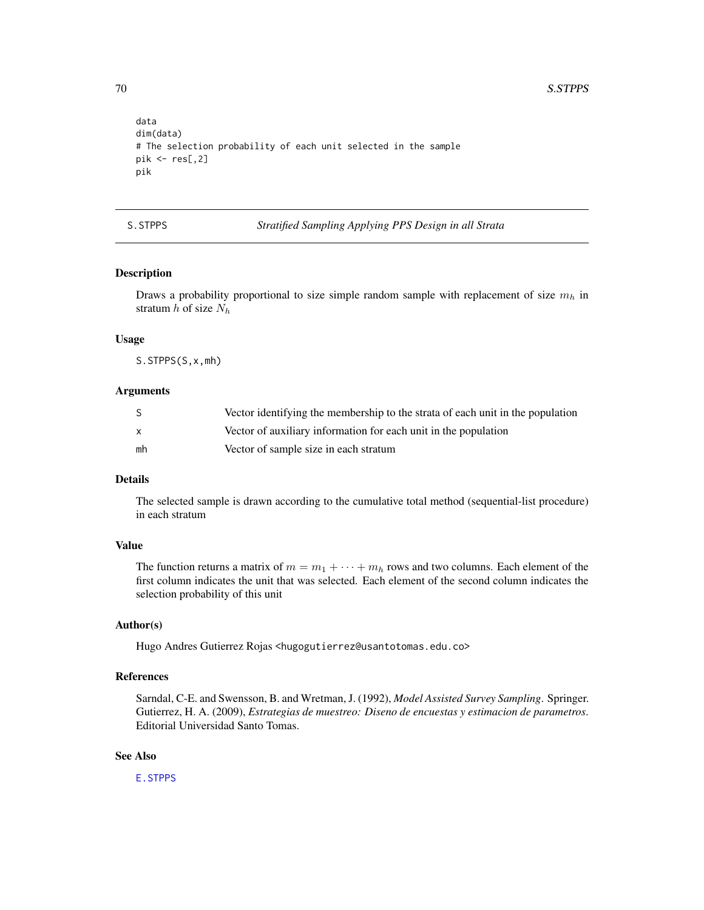```
data
dim(data)
# The selection probability of each unit selected in the sample
pik \leftarrow res[, 2]pik
```
S.STPPS *Stratified Sampling Applying PPS Design in all Strata*

# Description

Draws a probability proportional to size simple random sample with replacement of size  $m_h$  in stratum  $h$  of size  $N_h$ 

#### Usage

S.STPPS(S,x,mh)

#### Arguments

|              | Vector identifying the membership to the strata of each unit in the population |
|--------------|--------------------------------------------------------------------------------|
| $\mathsf{x}$ | Vector of auxiliary information for each unit in the population                |
| mh           | Vector of sample size in each stratum                                          |

# Details

The selected sample is drawn according to the cumulative total method (sequential-list procedure) in each stratum

#### Value

The function returns a matrix of  $m = m_1 + \cdots + m_h$  rows and two columns. Each element of the first column indicates the unit that was selected. Each element of the second column indicates the selection probability of this unit

# Author(s)

Hugo Andres Gutierrez Rojas <hugogutierrez@usantotomas.edu.co>

# References

Sarndal, C-E. and Swensson, B. and Wretman, J. (1992), *Model Assisted Survey Sampling*. Springer. Gutierrez, H. A. (2009), *Estrategias de muestreo: Diseno de encuestas y estimacion de parametros*. Editorial Universidad Santo Tomas.

# See Also

[E.STPPS](#page-23-0)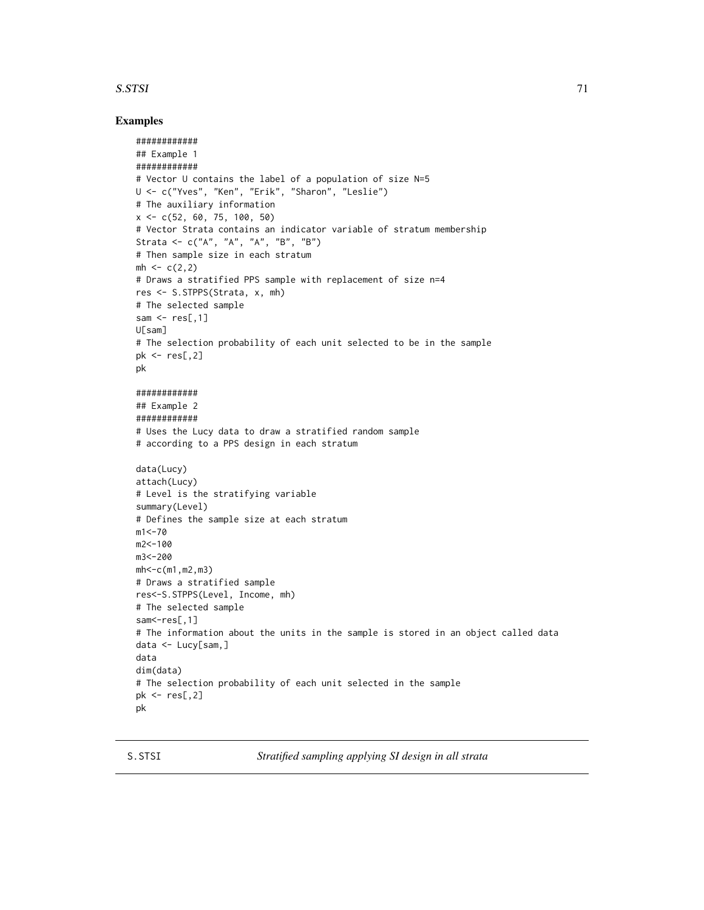#### S.STSI 71

#### Examples

```
############
## Example 1
############
# Vector U contains the label of a population of size N=5
U <- c("Yves", "Ken", "Erik", "Sharon", "Leslie")
# The auxiliary information
x \leq -c(52, 60, 75, 100, 50)# Vector Strata contains an indicator variable of stratum membership
Strata <- c("A", "A", "A", "B", "B")
# Then sample size in each stratum
mh < -c(2, 2)# Draws a stratified PPS sample with replacement of size n=4
res <- S.STPPS(Strata, x, mh)
# The selected sample
sam \leq res[,1]
U[sam]
# The selection probability of each unit selected to be in the sample
pk <- res[,2]
pk
############
## Example 2
############
# Uses the Lucy data to draw a stratified random sample
# according to a PPS design in each stratum
data(Lucy)
attach(Lucy)
# Level is the stratifying variable
summary(Level)
# Defines the sample size at each stratum
m1 < -70m2<-100
m3<-200
mh<-c(m1,m2,m3)
# Draws a stratified sample
res<-S.STPPS(Level, Income, mh)
# The selected sample
sam <- res[,1]
# The information about the units in the sample is stored in an object called data
data <- Lucy[sam,]
data
dim(data)
# The selection probability of each unit selected in the sample
pk <- res[,2]
pk
```
S.STSI *Stratified sampling applying SI design in all strata*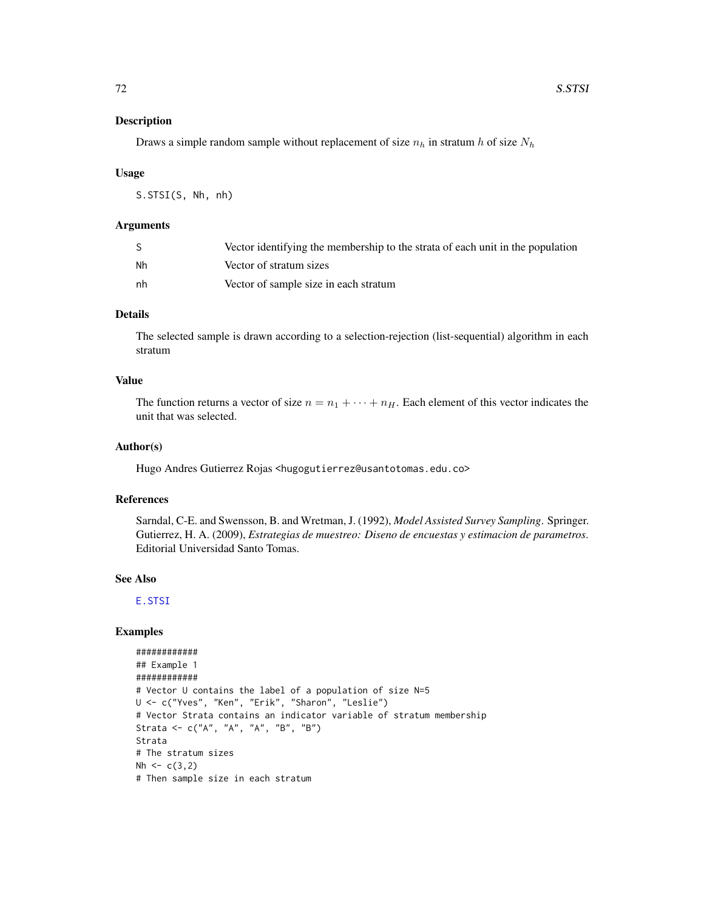#### Description

Draws a simple random sample without replacement of size  $n_h$  in stratum h of size  $N_h$ 

#### Usage

S.STSI(S, Nh, nh)

### Arguments

|    | Vector identifying the membership to the strata of each unit in the population |
|----|--------------------------------------------------------------------------------|
| Nh | Vector of stratum sizes                                                        |
| nh | Vector of sample size in each stratum                                          |

# Details

The selected sample is drawn according to a selection-rejection (list-sequential) algorithm in each stratum

# Value

The function returns a vector of size  $n = n_1 + \cdots + n_H$ . Each element of this vector indicates the unit that was selected.

#### Author(s)

Hugo Andres Gutierrez Rojas <hugogutierrez@usantotomas.edu.co>

# References

Sarndal, C-E. and Swensson, B. and Wretman, J. (1992), *Model Assisted Survey Sampling*. Springer. Gutierrez, H. A. (2009), *Estrategias de muestreo: Diseno de encuestas y estimacion de parametros*. Editorial Universidad Santo Tomas.

#### See Also

[E.STSI](#page-25-0)

```
############
## Example 1
############
# Vector U contains the label of a population of size N=5
U <- c("Yves", "Ken", "Erik", "Sharon", "Leslie")
# Vector Strata contains an indicator variable of stratum membership
Strata <- c("A", "A", "A", "B", "B")
Strata
# The stratum sizes
Nh \leftarrow c(3, 2)# Then sample size in each stratum
```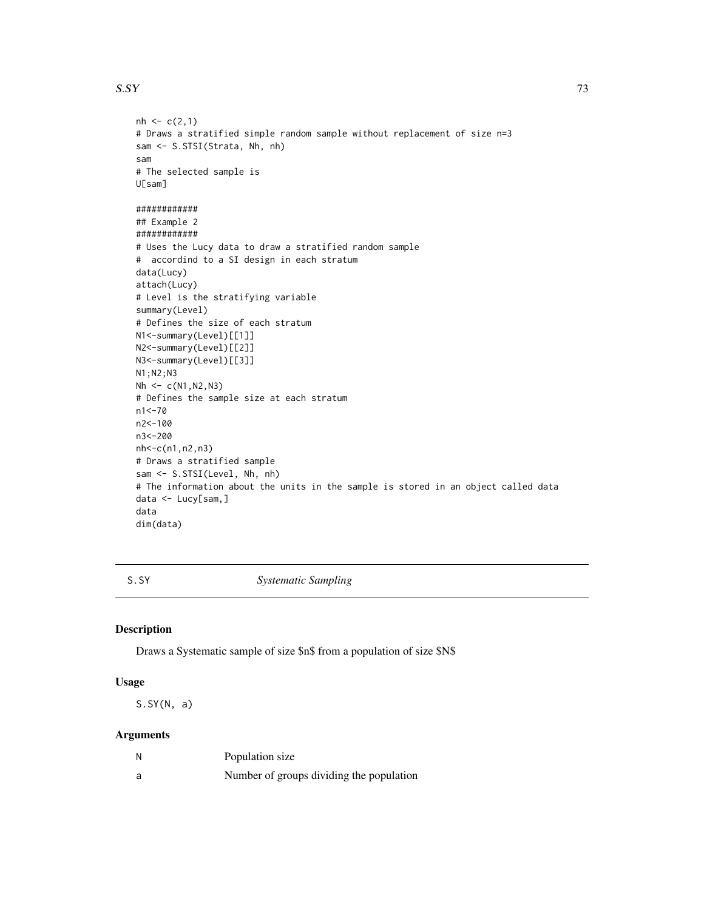#### <span id="page-72-0"></span> $S.$  SSY 33

```
nh < -c(2,1)# Draws a stratified simple random sample without replacement of size n=3
sam <- S.STSI(Strata, Nh, nh)
sam
# The selected sample is
U[sam]
############
## Example 2
############
# Uses the Lucy data to draw a stratified random sample
# accordind to a SI design in each stratum
data(Lucy)
attach(Lucy)
# Level is the stratifying variable
summary(Level)
# Defines the size of each stratum
N1<-summary(Level)[[1]]
N2<-summary(Level)[[2]]
N3<-summary(Level)[[3]]
N1;N2;N3
Nh < -c(N1,N2,N3)# Defines the sample size at each stratum
n1<-70
n2<-100
n3<-200
nh<-c(n1,n2,n3)
# Draws a stratified sample
sam <- S.STSI(Level, Nh, nh)
# The information about the units in the sample is stored in an object called data
data <- Lucy[sam,]
data
dim(data)
```
S.SY *Systematic Sampling*

#### Description

Draws a Systematic sample of size \$n\$ from a population of size \$N\$

#### Usage

 $S.SY(N, a)$ 

# Arguments

| N | Population size                          |
|---|------------------------------------------|
| a | Number of groups dividing the population |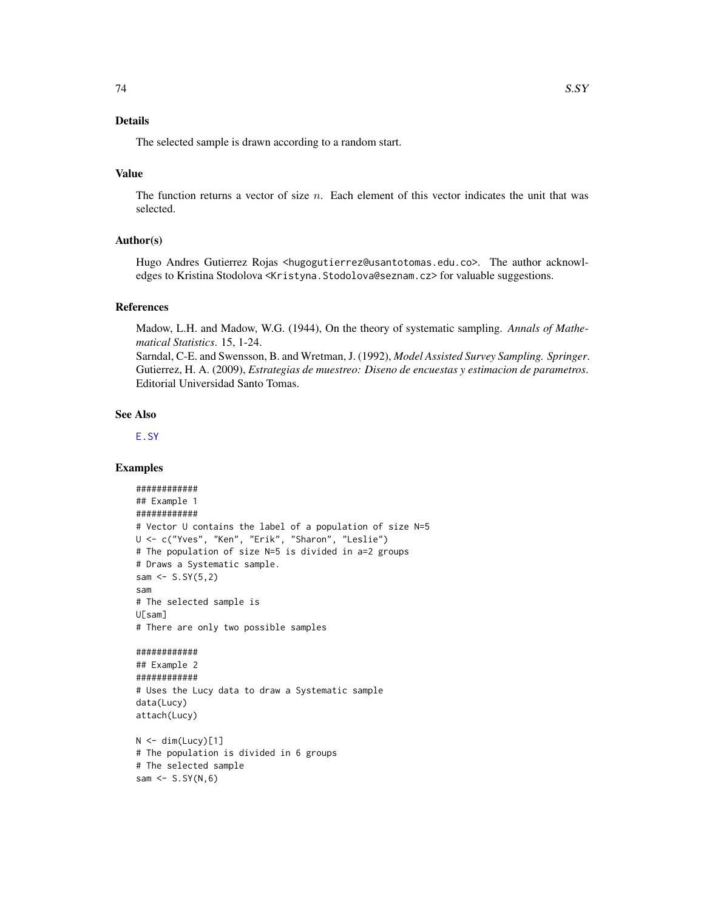# <span id="page-73-0"></span>Details

The selected sample is drawn according to a random start.

# Value

The function returns a vector of size  $n$ . Each element of this vector indicates the unit that was selected.

# Author(s)

Hugo Andres Gutierrez Rojas <hugogutierrez@usantotomas.edu.co>. The author acknowledges to Kristina Stodolova <Kristyna. Stodolova@seznam.cz> for valuable suggestions.

#### References

Madow, L.H. and Madow, W.G. (1944), On the theory of systematic sampling. *Annals of Mathematical Statistics*. 15, 1-24.

Sarndal, C-E. and Swensson, B. and Wretman, J. (1992), *Model Assisted Survey Sampling. Springer*. Gutierrez, H. A. (2009), *Estrategias de muestreo: Diseno de encuestas y estimacion de parametros*. Editorial Universidad Santo Tomas.

#### See Also

[E.SY](#page-27-0)

# Examples

```
############
## Example 1
############
# Vector U contains the label of a population of size N=5
U <- c("Yves", "Ken", "Erik", "Sharon", "Leslie")
# The population of size N=5 is divided in a=2 groups
# Draws a Systematic sample.
sam \leq -5.5Y(5,2)sam
# The selected sample is
U[sam]
# There are only two possible samples
############
## Example 2
############
# Uses the Lucy data to draw a Systematic sample
data(Lucy)
attach(Lucy)
N < - dim(Lucy)[1]
```

```
# The population is divided in 6 groups
# The selected sample
sam \leq S.SY(N,6)
```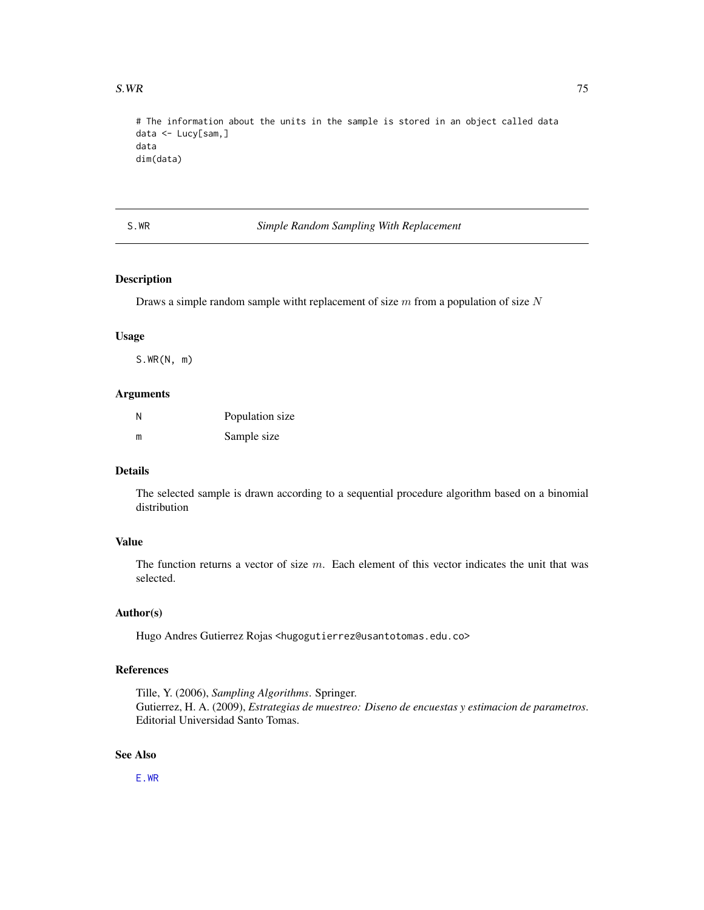<span id="page-74-0"></span># The information about the units in the sample is stored in an object called data data <- Lucy[sam,] data dim(data)

S.WR *Simple Random Sampling With Replacement*

# Description

Draws a simple random sample witht replacement of size  $m$  from a population of size  $N$ 

#### Usage

S.WR(N, m)

#### Arguments

| Ν | Population size |
|---|-----------------|
| m | Sample size     |

# Details

The selected sample is drawn according to a sequential procedure algorithm based on a binomial distribution

# Value

The function returns a vector of size  $m$ . Each element of this vector indicates the unit that was selected.

# Author(s)

Hugo Andres Gutierrez Rojas <hugogutierrez@usantotomas.edu.co>

# References

Tille, Y. (2006), *Sampling Algorithms*. Springer. Gutierrez, H. A. (2009), *Estrategias de muestreo: Diseno de encuestas y estimacion de parametros*. Editorial Universidad Santo Tomas.

# See Also

[E.WR](#page-28-0)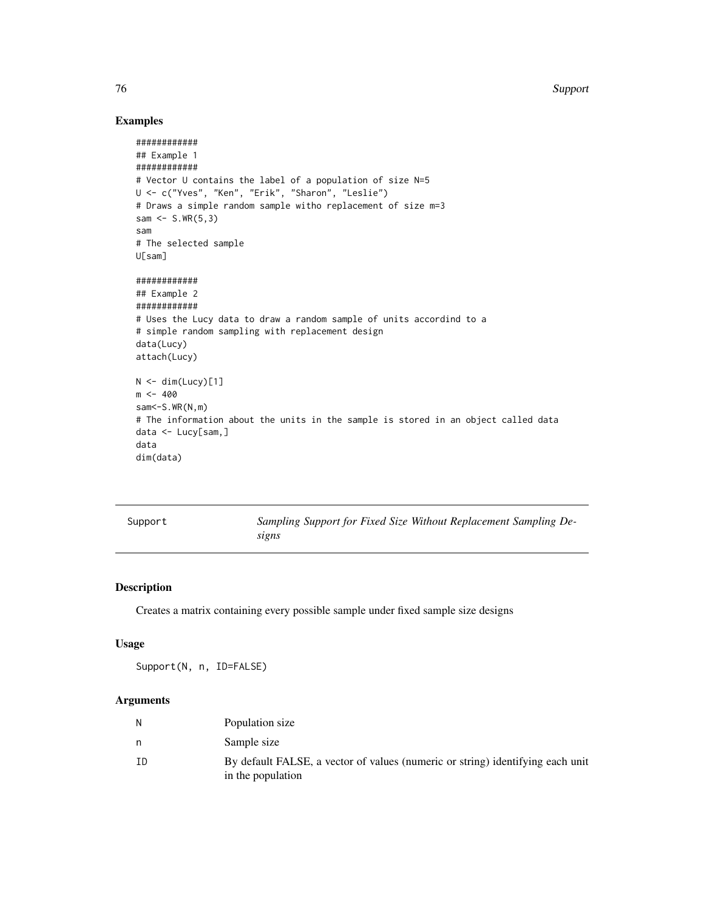76 Support

# Examples

```
############
## Example 1
############
# Vector U contains the label of a population of size N=5
U <- c("Yves", "Ken", "Erik", "Sharon", "Leslie")
# Draws a simple random sample witho replacement of size m=3
sam <- S.WR(5,3)
sam
# The selected sample
U[sam]
############
## Example 2
############
# Uses the Lucy data to draw a random sample of units accordind to a
# simple random sampling with replacement design
data(Lucy)
attach(Lucy)
N < - dim(Lucy)[1]
m < -400sam <- S.WR(N,m)
# The information about the units in the sample is stored in an object called data
data <- Lucy[sam,]
data
dim(data)
```
<span id="page-75-0"></span>

| Support |  |  |
|---------|--|--|

Sampling Support for Fixed Size Without Replacement Sampling De*signs*

# Description

Creates a matrix containing every possible sample under fixed sample size designs

# Usage

Support(N, n, ID=FALSE)

# Arguments

| Ν  | Population size                                                                                     |
|----|-----------------------------------------------------------------------------------------------------|
|    | Sample size                                                                                         |
| ΙD | By default FALSE, a vector of values (numeric or string) identifying each unit<br>in the population |

<span id="page-75-1"></span>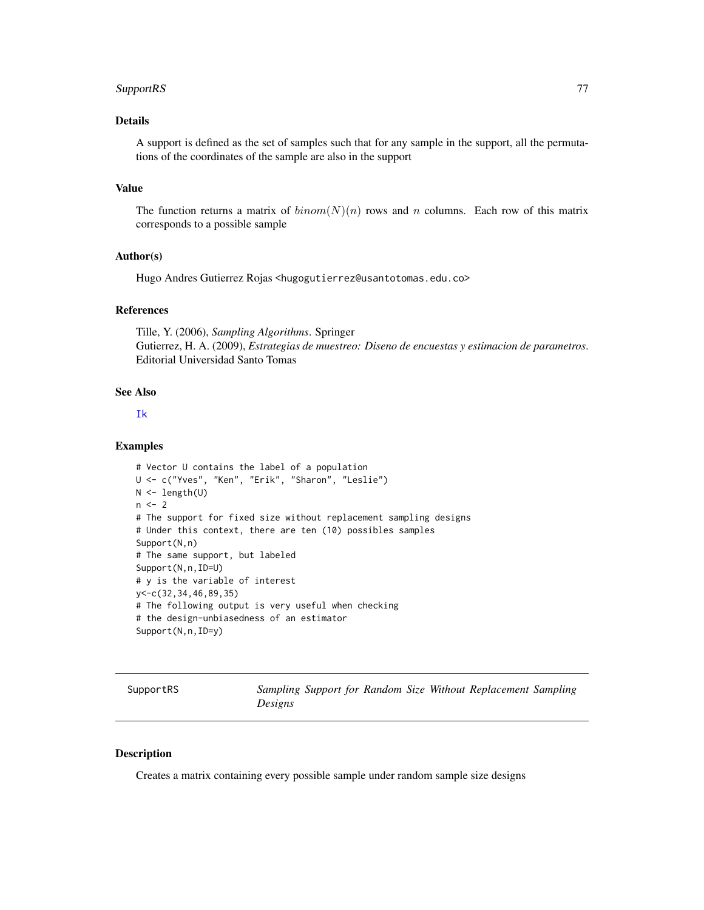#### <span id="page-76-0"></span>SupportRS 77

# Details

A support is defined as the set of samples such that for any sample in the support, all the permutations of the coordinates of the sample are also in the support

# Value

The function returns a matrix of  $binom(N)(n)$  rows and n columns. Each row of this matrix corresponds to a possible sample

#### Author(s)

Hugo Andres Gutierrez Rojas <hugogutierrez@usantotomas.edu.co>

# References

Tille, Y. (2006), *Sampling Algorithms*. Springer Gutierrez, H. A. (2009), *Estrategias de muestreo: Diseno de encuestas y estimacion de parametros*. Editorial Universidad Santo Tomas

# See Also

#### [Ik](#page-42-0)

#### Examples

```
# Vector U contains the label of a population
U <- c("Yves", "Ken", "Erik", "Sharon", "Leslie")
N <- length(U)
n < -2# The support for fixed size without replacement sampling designs
# Under this context, there are ten (10) possibles samples
Support(N,n)
# The same support, but labeled
Support(N,n,ID=U)
# y is the variable of interest
y<-c(32,34,46,89,35)
# The following output is very useful when checking
# the design-unbiasedness of an estimator
Support(N,n,ID=y)
```
SupportRS *Sampling Support for Random Size Without Replacement Sampling Designs*

# Description

Creates a matrix containing every possible sample under random sample size designs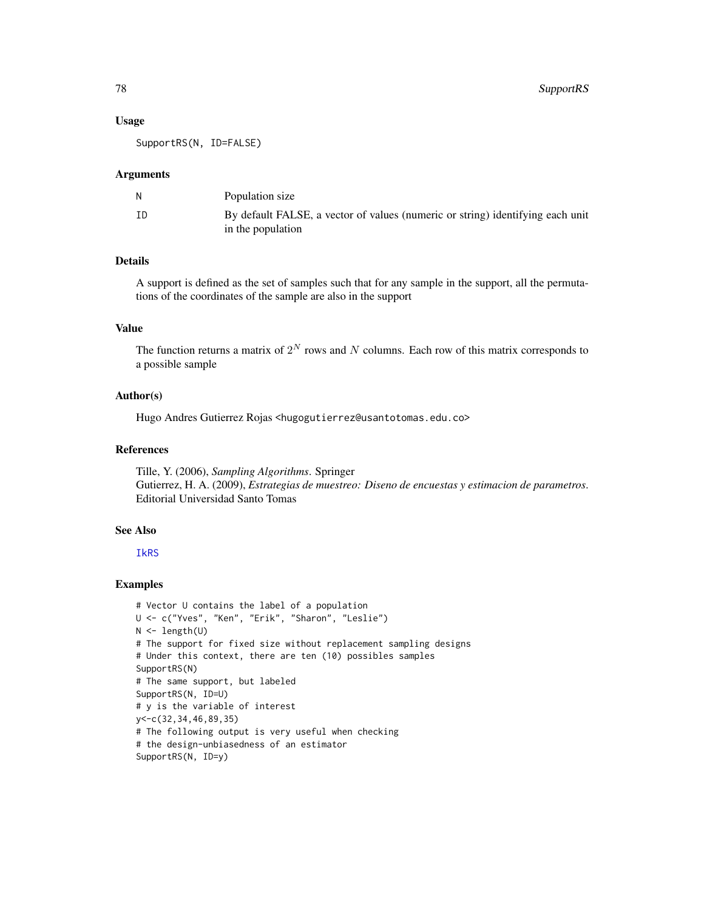#### Usage

SupportRS(N, ID=FALSE)

#### Arguments

|    | Population size                                                                                     |
|----|-----------------------------------------------------------------------------------------------------|
| ΙD | By default FALSE, a vector of values (numeric or string) identifying each unit<br>in the population |

# Details

A support is defined as the set of samples such that for any sample in the support, all the permutations of the coordinates of the sample are also in the support

# Value

The function returns a matrix of  $2^N$  rows and N columns. Each row of this matrix corresponds to a possible sample

#### Author(s)

Hugo Andres Gutierrez Rojas <hugogutierrez@usantotomas.edu.co>

#### References

Tille, Y. (2006), *Sampling Algorithms*. Springer Gutierrez, H. A. (2009), *Estrategias de muestreo: Diseno de encuestas y estimacion de parametros*. Editorial Universidad Santo Tomas

# See Also

#### [IkRS](#page-43-0)

#### Examples

```
# Vector U contains the label of a population
U <- c("Yves", "Ken", "Erik", "Sharon", "Leslie")
N < - length(U)
# The support for fixed size without replacement sampling designs
# Under this context, there are ten (10) possibles samples
SupportRS(N)
# The same support, but labeled
SupportRS(N, ID=U)
# y is the variable of interest
y<-c(32,34,46,89,35)
# The following output is very useful when checking
# the design-unbiasedness of an estimator
SupportRS(N, ID=y)
```
<span id="page-77-0"></span>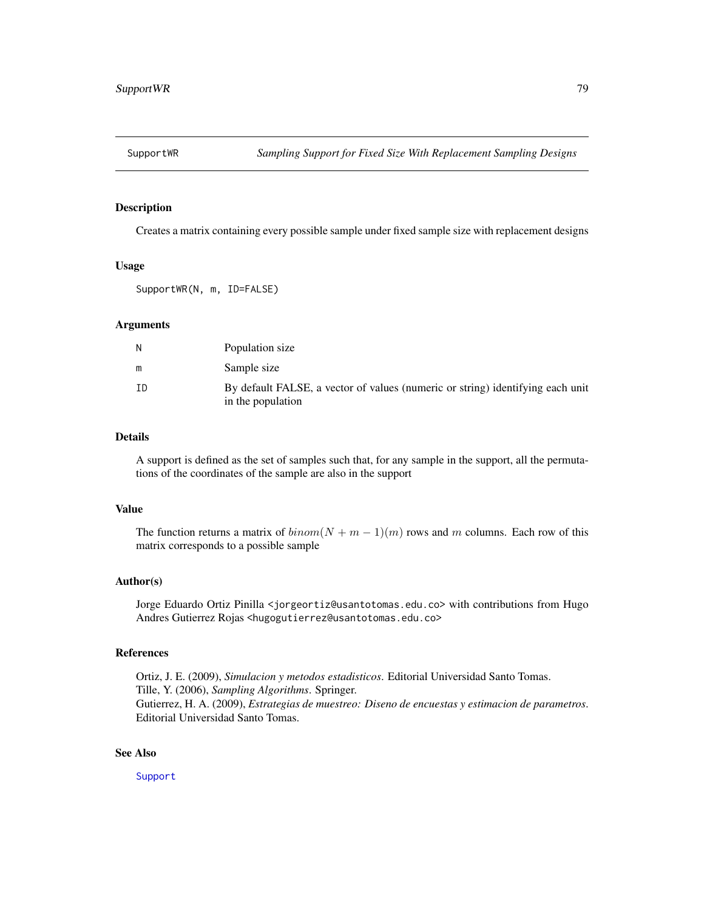<span id="page-78-0"></span>

# Description

Creates a matrix containing every possible sample under fixed sample size with replacement designs

#### Usage

SupportWR(N, m, ID=FALSE)

#### Arguments

| N  | Population size                                                                                     |
|----|-----------------------------------------------------------------------------------------------------|
| m  | Sample size                                                                                         |
| ΙD | By default FALSE, a vector of values (numeric or string) identifying each unit<br>in the population |

# Details

A support is defined as the set of samples such that, for any sample in the support, all the permutations of the coordinates of the sample are also in the support

#### Value

The function returns a matrix of  $binom(N + m - 1)(m)$  rows and m columns. Each row of this matrix corresponds to a possible sample

#### Author(s)

Jorge Eduardo Ortiz Pinilla <jorgeortiz@usantotomas.edu.co> with contributions from Hugo Andres Gutierrez Rojas <hugogutierrez@usantotomas.edu.co>

# References

Ortiz, J. E. (2009), *Simulacion y metodos estadisticos*. Editorial Universidad Santo Tomas. Tille, Y. (2006), *Sampling Algorithms*. Springer. Gutierrez, H. A. (2009), *Estrategias de muestreo: Diseno de encuestas y estimacion de parametros*. Editorial Universidad Santo Tomas.

# See Also

[Support](#page-75-0)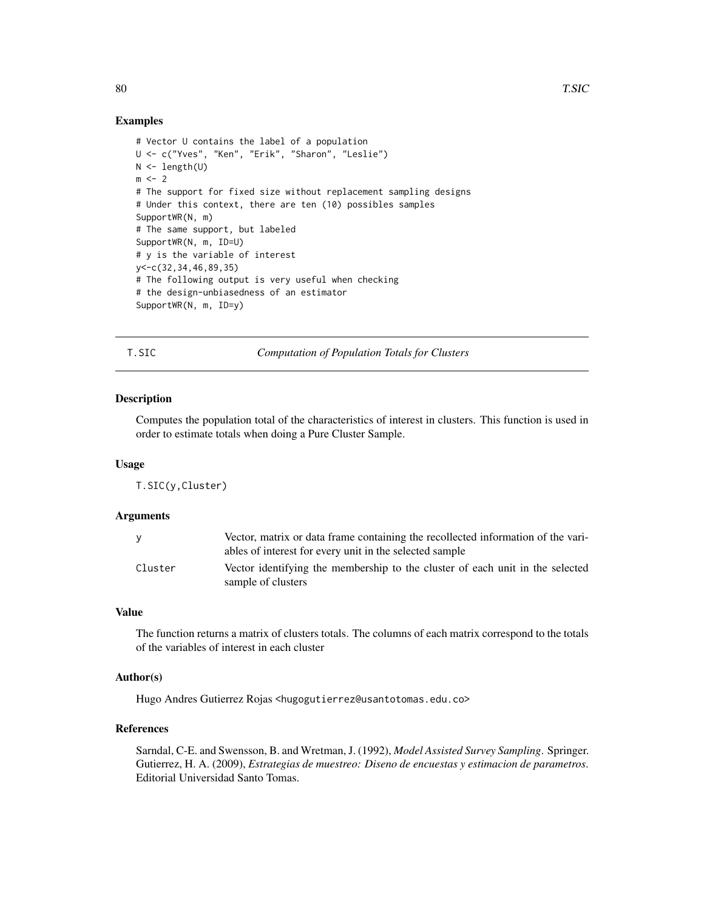# Examples

```
# Vector U contains the label of a population
U <- c("Yves", "Ken", "Erik", "Sharon", "Leslie")
N \leftarrow length(U)
m < -2# The support for fixed size without replacement sampling designs
# Under this context, there are ten (10) possibles samples
SupportWR(N, m)
# The same support, but labeled
SupportWR(N, m, ID=U)
# y is the variable of interest
y<-c(32,34,46,89,35)
# The following output is very useful when checking
# the design-unbiasedness of an estimator
SupportWR(N, m, ID=y)
```
T.SIC *Computation of Population Totals for Clusters*

# **Description**

Computes the population total of the characteristics of interest in clusters. This function is used in order to estimate totals when doing a Pure Cluster Sample.

#### Usage

T.SIC(y,Cluster)

#### Arguments

| <b>V</b> | Vector, matrix or data frame containing the recollected information of the vari-<br>ables of interest for every unit in the selected sample |
|----------|---------------------------------------------------------------------------------------------------------------------------------------------|
| Cluster  | Vector identifying the membership to the cluster of each unit in the selected<br>sample of clusters                                         |

# Value

The function returns a matrix of clusters totals. The columns of each matrix correspond to the totals of the variables of interest in each cluster

# Author(s)

Hugo Andres Gutierrez Rojas <hugogutierrez@usantotomas.edu.co>

# References

Sarndal, C-E. and Swensson, B. and Wretman, J. (1992), *Model Assisted Survey Sampling*. Springer. Gutierrez, H. A. (2009), *Estrategias de muestreo: Diseno de encuestas y estimacion de parametros*. Editorial Universidad Santo Tomas.

<span id="page-79-0"></span>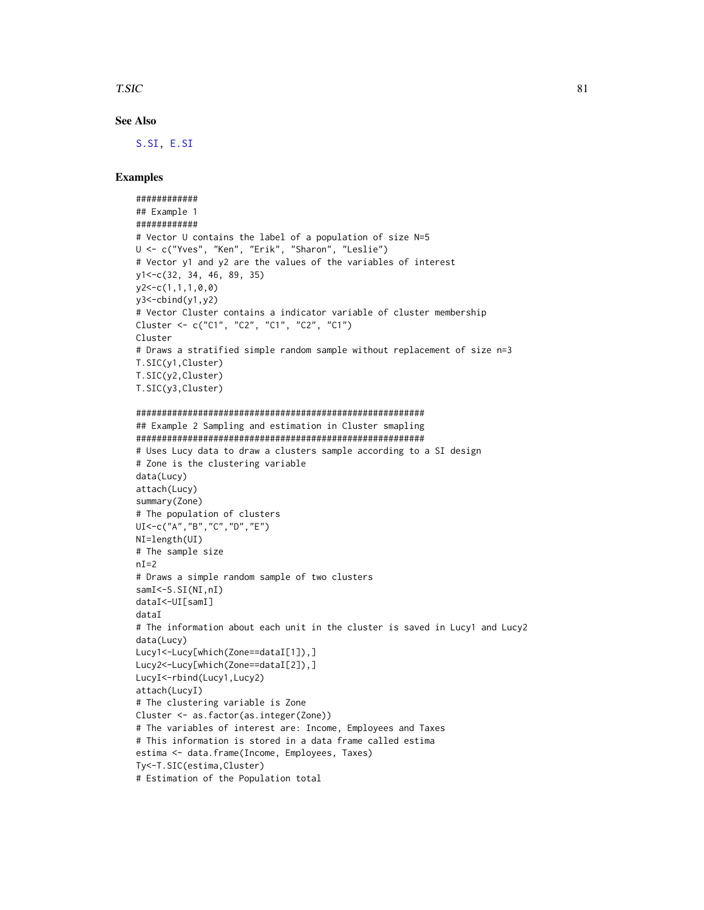#### <span id="page-80-0"></span>T.SIC 81

# See Also

[S.SI,](#page-65-0) [E.SI](#page-19-0)

# Examples

```
############
## Example 1
############
# Vector U contains the label of a population of size N=5
U <- c("Yves", "Ken", "Erik", "Sharon", "Leslie")
# Vector y1 and y2 are the values of the variables of interest
y1<-c(32, 34, 46, 89, 35)
y2<-c(1,1,1,0,0)
y3 < -cbind(y1, y2)# Vector Cluster contains a indicator variable of cluster membership
Cluster <- c("C1", "C2", "C1", "C2", "C1")
Cluster
# Draws a stratified simple random sample without replacement of size n=3
T.SIC(y1,Cluster)
T.SIC(y2,Cluster)
T.SIC(y3,Cluster)
########################################################
## Example 2 Sampling and estimation in Cluster smapling
########################################################
# Uses Lucy data to draw a clusters sample according to a SI design
# Zone is the clustering variable
data(Lucy)
attach(Lucy)
summary(Zone)
# The population of clusters
UI<-c("A","B","C","D","E")
NI=length(UI)
# The sample size
nI=2# Draws a simple random sample of two clusters
samI<sup><-S.SI(NI,nI)</sup>
dataI<-UI[samI]
dataI
# The information about each unit in the cluster is saved in Lucy1 and Lucy2
data(Lucy)
Lucy1<-Lucy[which(Zone==dataI[1]),]
```
Lucy2<-Lucy[which(Zone==dataI[2]),] LucyI<-rbind(Lucy1,Lucy2) attach(LucyI) # The clustering variable is Zone Cluster <- as.factor(as.integer(Zone)) # The variables of interest are: Income, Employees and Taxes # This information is stored in a data frame called estima estima <- data.frame(Income, Employees, Taxes) Ty<-T.SIC(estima,Cluster)

# Estimation of the Population total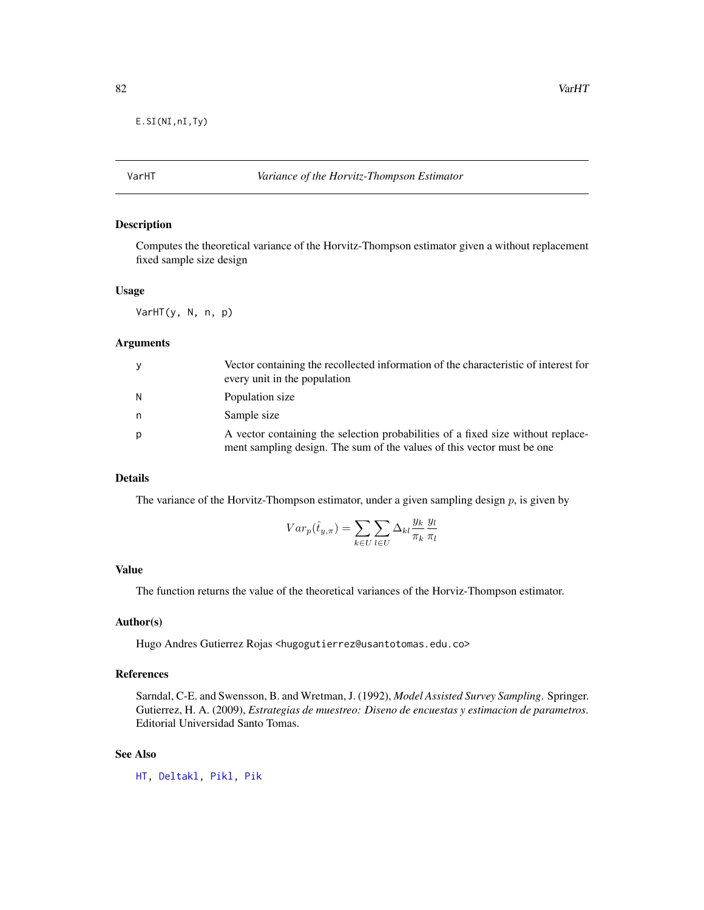<span id="page-81-0"></span>E.SI(NI,nI,Ty)

# VarHT *Variance of the Horvitz-Thompson Estimator*

#### Description

Computes the theoretical variance of the Horvitz-Thompson estimator given a without replacement fixed sample size design

#### Usage

VarHT(y, N, n, p)

# Arguments

| <b>V</b> | Vector containing the recollected information of the characteristic of interest for<br>every unit in the population                                        |
|----------|------------------------------------------------------------------------------------------------------------------------------------------------------------|
| N        | Population size                                                                                                                                            |
| n        | Sample size                                                                                                                                                |
| p        | A vector containing the selection probabilities of a fixed size without replace-<br>ment sampling design. The sum of the values of this vector must be one |

#### Details

The variance of the Horvitz-Thompson estimator, under a given sampling design  $p$ , is given by

$$
Var_p(\hat{t}_{y,\pi}) = \sum_{k \in U} \sum_{l \in U} \Delta_{kl} \frac{y_k}{\pi_k} \frac{y_l}{\pi_l}
$$

# Value

The function returns the value of the theoretical variances of the Horviz-Thompson estimator.

#### Author(s)

Hugo Andres Gutierrez Rojas <hugogutierrez@usantotomas.edu.co>

# References

Sarndal, C-E. and Swensson, B. and Wretman, J. (1992), *Model Assisted Survey Sampling*. Springer. Gutierrez, H. A. (2009), *Estrategias de muestreo: Diseno de encuestas y estimacion de parametros*. Editorial Universidad Santo Tomas.

#### See Also

[HT,](#page-36-0) [Deltakl,](#page-3-0) [Pikl,](#page-56-0) [Pik](#page-52-0)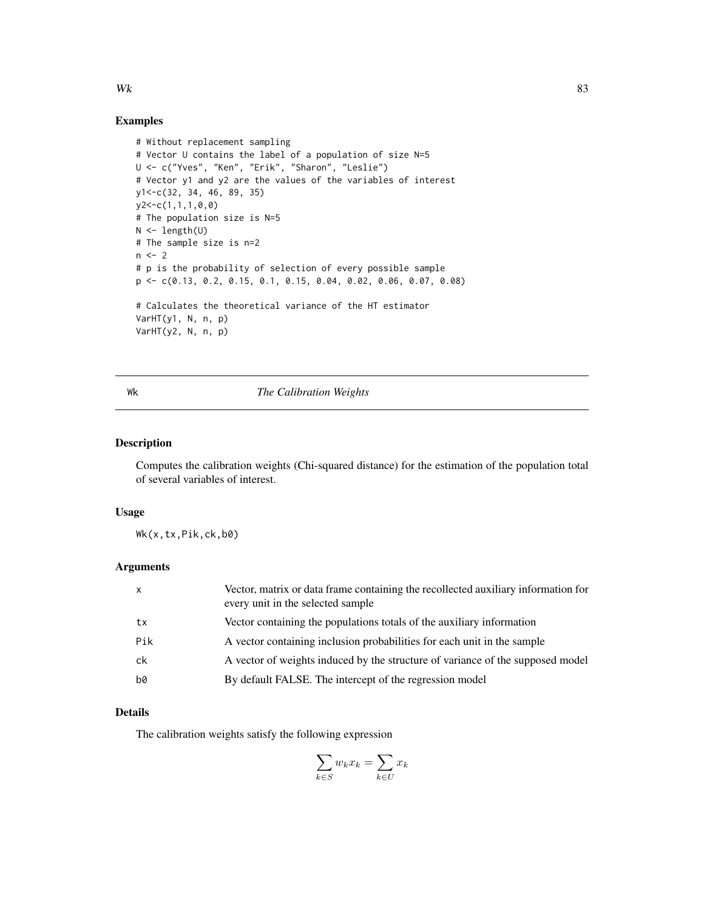# <span id="page-82-0"></span>Examples

```
# Without replacement sampling
# Vector U contains the label of a population of size N=5
U <- c("Yves", "Ken", "Erik", "Sharon", "Leslie")
# Vector y1 and y2 are the values of the variables of interest
y1<-c(32, 34, 46, 89, 35)
y2<-c(1,1,1,0,0)
# The population size is N=5
N <- length(U)
# The sample size is n=2
n < -2# p is the probability of selection of every possible sample
p <- c(0.13, 0.2, 0.15, 0.1, 0.15, 0.04, 0.02, 0.06, 0.07, 0.08)
# Calculates the theoretical variance of the HT estimator
VarHT(y1, N, n, p)
VarHT(y2, N, n, p)
```
# Wk *The Calibration Weights*

# Description

Computes the calibration weights (Chi-squared distance) for the estimation of the population total of several variables of interest.

# Usage

Wk(x,tx,Pik,ck,b0)

# Arguments

| $\mathsf{x}$ | Vector, matrix or data frame containing the recollected auxiliary information for<br>every unit in the selected sample |
|--------------|------------------------------------------------------------------------------------------------------------------------|
| tx           | Vector containing the populations totals of the auxiliary information                                                  |
| Pik          | A vector containing inclusion probabilities for each unit in the sample                                                |
| ck           | A vector of weights induced by the structure of variance of the supposed model                                         |
| b0           | By default FALSE. The intercept of the regression model                                                                |

# Details

The calibration weights satisfy the following expression

$$
\sum_{k \in S} w_k x_k = \sum_{k \in U} x_k
$$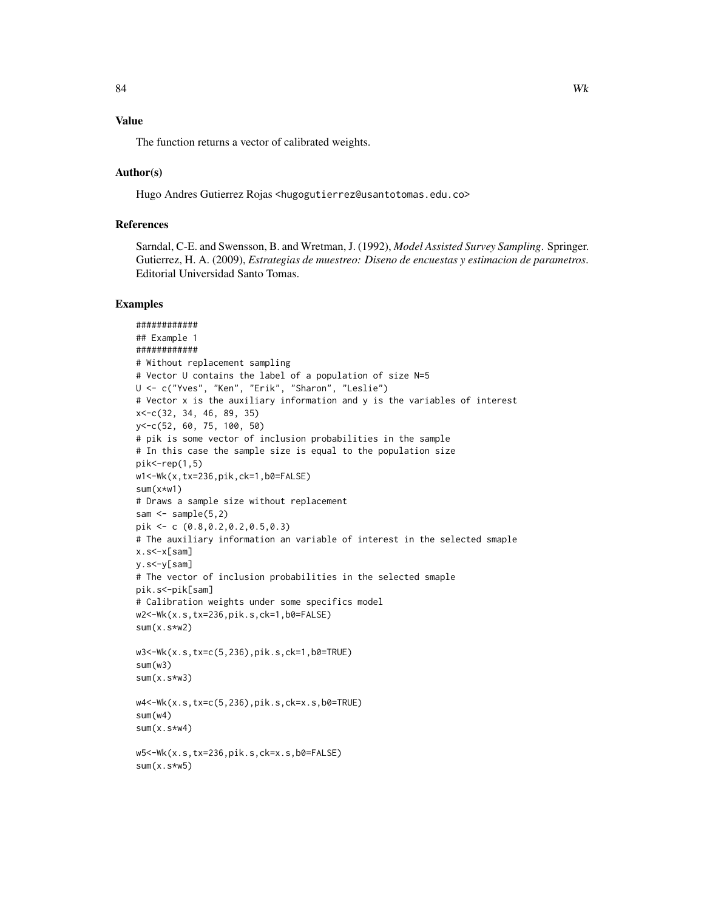# Value

The function returns a vector of calibrated weights.

# Author(s)

Hugo Andres Gutierrez Rojas <hugogutierrez@usantotomas.edu.co>

# References

Sarndal, C-E. and Swensson, B. and Wretman, J. (1992), *Model Assisted Survey Sampling*. Springer. Gutierrez, H. A. (2009), *Estrategias de muestreo: Diseno de encuestas y estimacion de parametros*. Editorial Universidad Santo Tomas.

# Examples

```
############
## Example 1
############
# Without replacement sampling
# Vector U contains the label of a population of size N=5
U <- c("Yves", "Ken", "Erik", "Sharon", "Leslie")
# Vector x is the auxiliary information and y is the variables of interest
x<-c(32, 34, 46, 89, 35)
y<-c(52, 60, 75, 100, 50)
# pik is some vector of inclusion probabilities in the sample
# In this case the sample size is equal to the population size
pik < -rep(1,5)w1<-Wk(x,tx=236,pik,ck=1,b0=FALSE)
sum(x*w1)
# Draws a sample size without replacement
sam \leq sample(5,2)pik <- c (0.8,0.2,0.2,0.5,0.3)
# The auxiliary information an variable of interest in the selected smaple
x.s<-x[sam]
y.s<-y[sam]
# The vector of inclusion probabilities in the selected smaple
pik.s<-pik[sam]
# Calibration weights under some specifics model
w2<-Wk(x.s,tx=236,pik.s,ck=1,b0=FALSE)
sum(x.s*w2)
w3<-Wk(x.s,tx=c(5,236),pik.s,ck=1,b0=TRUE)
sum(w3)
sum(x.s*w3)
w4<-Wk(x.s,tx=c(5,236),pik.s,ck=x.s,b0=TRUE)
sum(w4)
sum(x.s*w4)
w5<-Wk(x.s,tx=236,pik.s,ck=x.s,b0=FALSE)
sum(x.s*w5)
```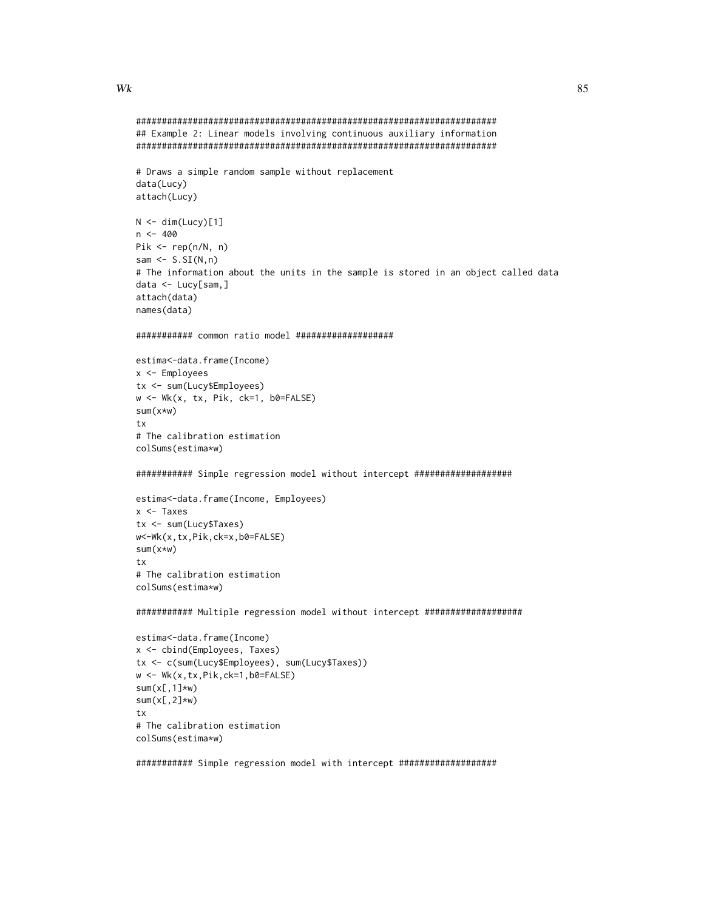#### Wk

data(Lucy) attach(Lucy)

 $n \le -400$ 

attach(data) names(data)

x <- Employees

 $sum(x*w)$ tx

```
## Example 2: Linear models involving continuous auxiliary information
# Draws a simple random sample without replacement
N \leq dim(Lucy)[1]Pik \leq rep(n/N, n)sam \leq S.SI(N,n)# The information about the units in the sample is stored in an object called data
data <- Lucy[sam,]
############ common ratio model ####################
estima<-data.frame(Income)
tx <- sum(Lucy$Employees)
w \leftarrow \text{Wk}(x, tx, \text{Pik}, ck=1, b0=FALSE)# The calibration estimation
colSums(estima*w)
############ Simple regression model without intercept ####################
```

```
estima<-data.frame(Income, Employees)
x \leftarrow Taxes
tx <- sum(Lucy$Taxes)
w<-Wk(x,tx,Pik,ck=x,b0=FALSE)
sum(x*w)tx# The calibration estimation
colSums(estima*w)
```
############ Multiple regression model without intercept ###################

```
estima<-data.frame(Income)
x <- cbind(Employees, Taxes)
tx <- c(sum(Lucy$Employees), sum(Lucy$Taxes))
w \leftarrow \text{Wk}(x, tx, \text{Pik}, \text{ck=1}, \text{b0=FALSE})sum(x[,1]*w)
sum(x[, 2]*w)
tx
# The calibration estimation
colSums(estima*w)
```
############ Simple regression model with intercept ###################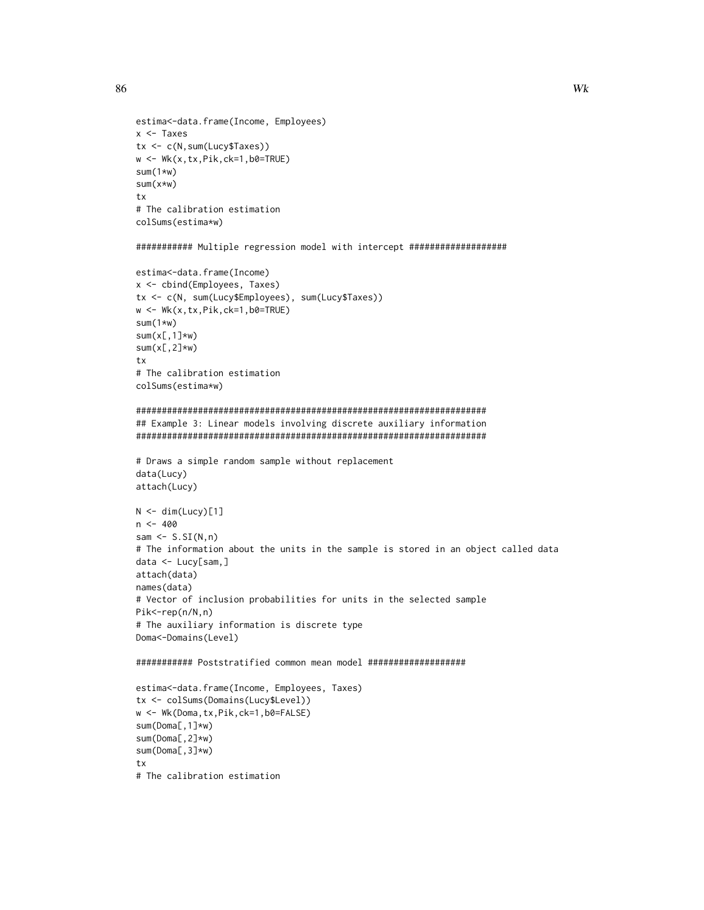86

```
estima<-data.frame(Income, Employees)
x < - Taxes
tx < -c(N, sum(Lucy$Taxes))w \leftarrow \text{Wk}(x, tx, \text{Pik}, \text{ck=1}, \text{b0=TRUE})sum(1*w)sum(x*w)tx
# The calibration estimation
colSums(estima*w)
############ Multiple regression model with intercept ###################
estima<-data.frame(Income)
x <- cbind(Employees, Taxes)
tx <- c(N, sum(Lucy$Employees), sum(Lucy$Taxes))
w \leftarrow \text{Wk}(x, tx, \text{Pik}, \text{ck=1}, b\emptyset = \text{TRUE})sum(1*w)sum(x[, 1]*w)
sum(x[, 2]*w)
tx
# The calibration estimation
colSums(estima*w)
## Example 3: Linear models involving discrete auxiliary information
# Draws a simple random sample without replacement
data(Lucy)
attach(Lucy)
N \leftarrow \text{dim}(\text{Lucy})[1]
n < -400sam \leq S.SI(N, n)# The information about the units in the sample is stored in an object called data
data <- Lucy[sam,]
attach(data)
names(data)
# Vector of inclusion probabilities for units in the selected sample
Pik<-rep(n/N,n)
# The auxiliary information is discrete type
Doma<-Domains(Level)
############ Poststratified common mean model ####################
estima<-data.frame(Income, Employees, Taxes)
tx <- colSums(Domains(Lucy$Level))
w <- Wk(Doma, tx, Pik, ck=1, b0=FALSE)
sum(Doma[, 1]*w)
sum(Doma[, 2]*w)
sum(Doma[, 3]*w)
tx
```

```
# The calibration estimation
```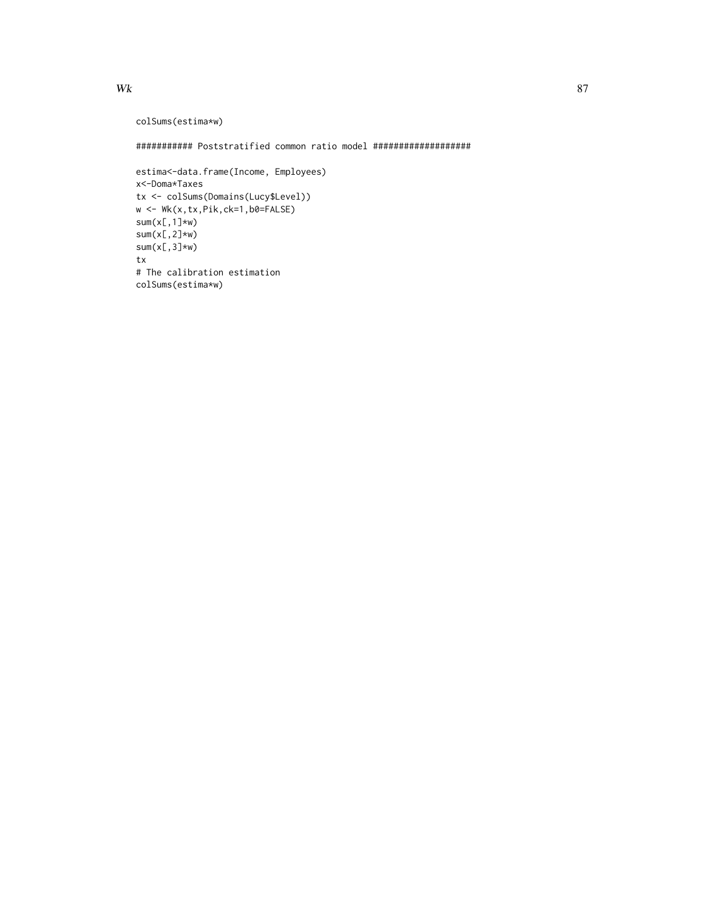```
colSums(estima*w)
```
############ Poststratified common ratio model ####################

```
estima<-data.frame(Income, Employees)
x<-Doma*Taxes
tx <- colSums(Domains(Lucy$Level))
w \leftarrow \text{Wk}(x, tx, \text{Pik}, \text{ck=1}, \text{b0=FALSE})sum(x[,1]*w)
sum(x[, 2] \star w)sum(x[,3] \star w)tx
# The calibration estimation
colSums(estima*w)
```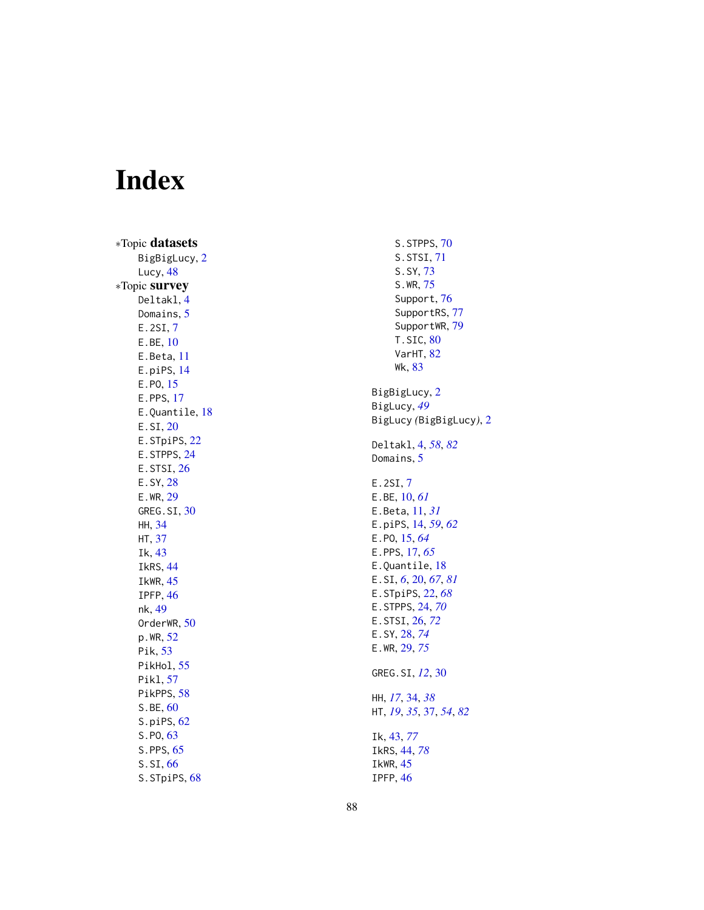# Index

∗Topic datasets BigBigLucy, [2](#page-1-0) Lucy , [48](#page-47-0) ∗Topic survey Deltakl , [4](#page-3-1) Domains, [5](#page-4-0) E.2SI , [7](#page-6-0) E.BE , [10](#page-9-0) E.Beta , [11](#page-10-0) E.piPS , [14](#page-13-0) E.PO, [15](#page-14-0) E.PPS , [17](#page-16-0) E.Quantile, [18](#page-17-0) E.SI , [20](#page-19-1) E.STpiPS, [22](#page-21-0) E.STPPS, [24](#page-23-0) E.STSI, [26](#page-25-0) E.SY , [28](#page-27-1) E.WR , [29](#page-28-1) GREG.SI, [30](#page-29-0) HH , [34](#page-33-0) HT , [37](#page-36-1) Ik , [43](#page-42-1) IkRS , [44](#page-43-1) IkWR , [45](#page-44-0) IPFP , [46](#page-45-0) nk , [49](#page-48-0) OrderWR, <mark>[50](#page-49-0)</mark> p.WR , [52](#page-51-0) Pik, [53](#page-52-1) PikHol, [55](#page-54-0) Pikl , [57](#page-56-1) PikPPS, [58](#page-57-0) S.BE, [60](#page-59-0) S.piPS, [62](#page-61-0) S.PO , [63](#page-62-0) S.PPS, [65](#page-64-0) S.SI , [66](#page-65-1) S.STpiPS, [68](#page-67-0)

S.STPPS, [70](#page-69-0) S.STSI , [71](#page-70-0) S.SY , [73](#page-72-0) S.WR , [75](#page-74-0) Support, [76](#page-75-1) SupportRS, [77](#page-76-0) SupportWR, [79](#page-78-0) T.SIC,  $80$ VarHT, [82](#page-81-0) Wk , [83](#page-82-0) BigBigLucy, [2](#page-1-0) BigLucy , *[49](#page-48-0)* BigLucy *(*BigBigLucy *)* , [2](#page-1-0) Deltakl , [4](#page-3-1) , *[58](#page-57-0)* , *[82](#page-81-0)* Domains, <mark>[5](#page-4-0)</mark> E.2SI , [7](#page-6-0) E.BE , [10](#page-9-0) , *[61](#page-60-0)* E.Beta , [11](#page-10-0) , *[31](#page-30-0)* E.piPS , [14](#page-13-0) , *[59](#page-58-0)* , *[62](#page-61-0)* E.PO , [15](#page-14-0) , *[64](#page-63-0)* E.PPS , [17](#page-16-0) , *[65](#page-64-0)* E.Quantile, [18](#page-17-0) E.SI , *[6](#page-5-0)* , [20](#page-19-1) , *[67](#page-66-0)* , *[81](#page-80-0)* E.STpiPS , [22](#page-21-0) , *[68](#page-67-0)* E.STPPS , [24](#page-23-0) , *[70](#page-69-0)* E.STSI , [26](#page-25-0) , *[72](#page-71-0)* E.SY , [28](#page-27-1) , *[74](#page-73-0)* E.WR , [29](#page-28-1) , *[75](#page-74-0)* GREG.SI , *[12](#page-11-0)* , [30](#page-29-0) HH , *[17](#page-16-0)* , [34](#page-33-0) , *[38](#page-37-0)* HT , *[19](#page-18-0)* , *[35](#page-34-0)* , [37](#page-36-1) , *[54](#page-53-0)* , *[82](#page-81-0)* Ik , [43](#page-42-1) , *[77](#page-76-0)* IkRS , [44](#page-43-1) , *[78](#page-77-0)* IkWR , [45](#page-44-0) IPFP , [46](#page-45-0)